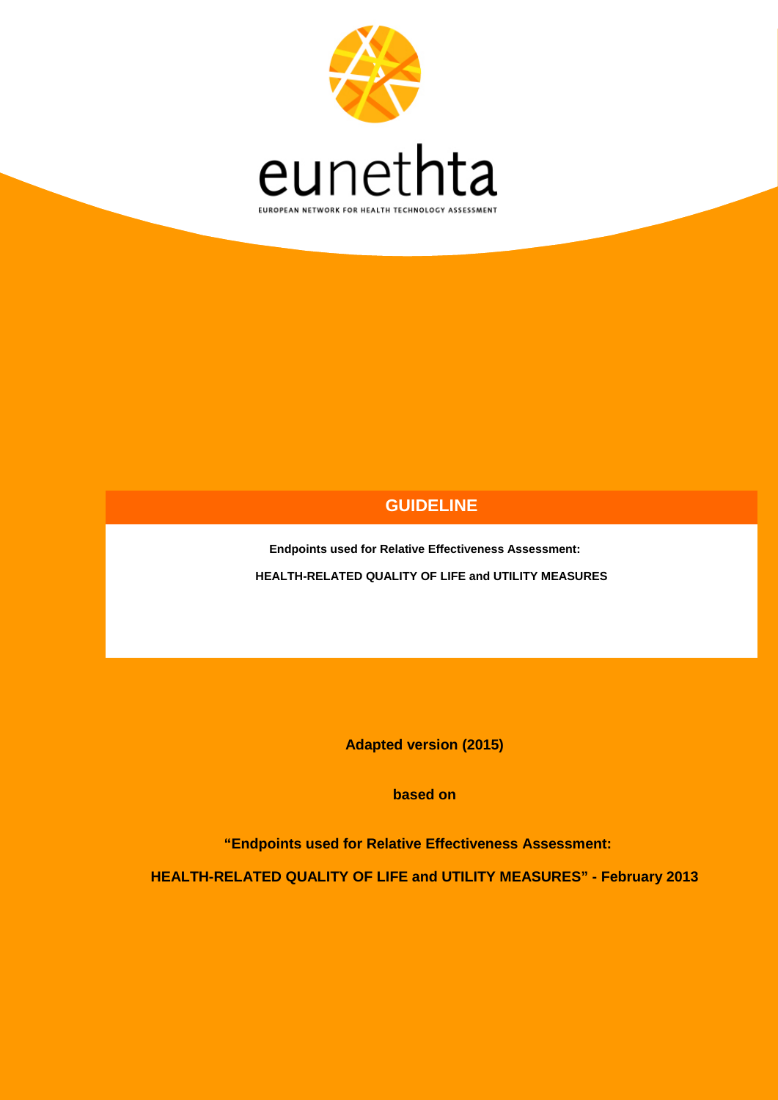

## **GUIDELINE**

**Endpoints used for Relative Effectiveness Assessment: HEALTH-RELATED QUALITY OF LIFE and UTILITY MEASURES**

**Adapted version (2015)**

**based on** 

**"Endpoints used for Relative Effectiveness Assessment:** 

**HEALTH-RELATED QUALITY OF LIFE and UTILITY MEASURES" - February 2013**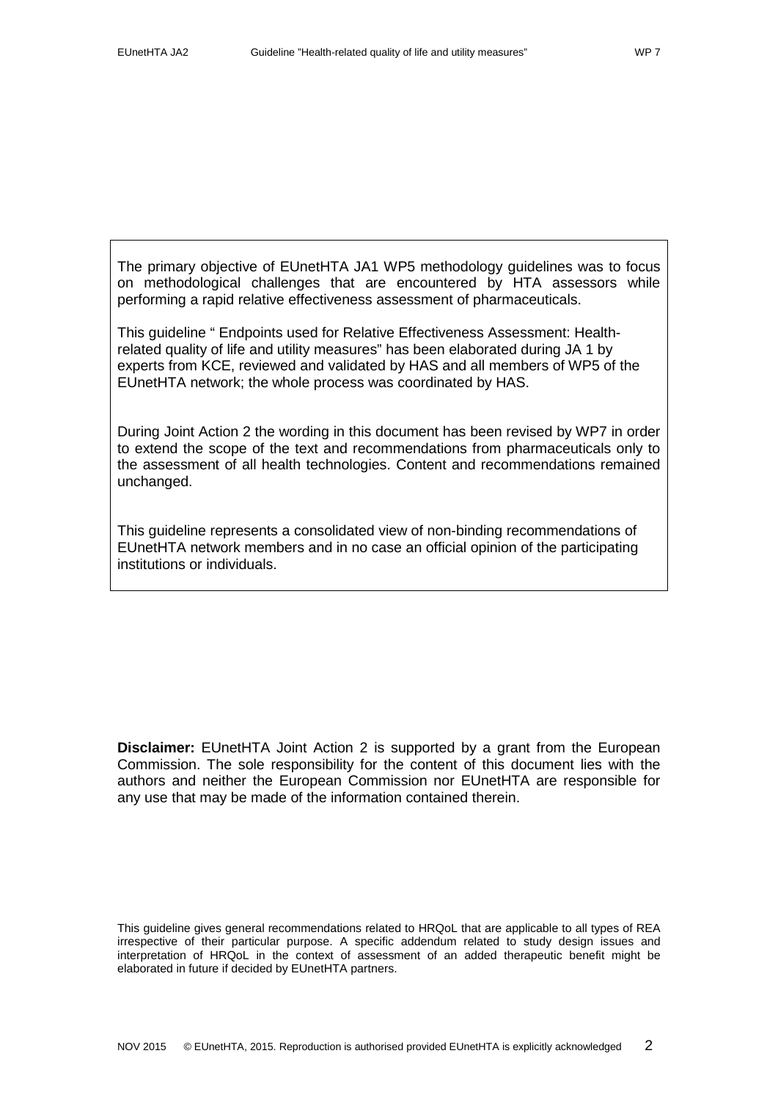The primary objective of EUnetHTA JA1 WP5 methodology guidelines was to focus on methodological challenges that are encountered by HTA assessors while performing a rapid relative effectiveness assessment of pharmaceuticals.

This guideline " Endpoints used for Relative Effectiveness Assessment: Healthrelated quality of life and utility measures" has been elaborated during JA 1 by experts from KCE, reviewed and validated by HAS and all members of WP5 of the EUnetHTA network; the whole process was coordinated by HAS.

During Joint Action 2 the wording in this document has been revised by WP7 in order to extend the scope of the text and recommendations from pharmaceuticals only to the assessment of all health technologies. Content and recommendations remained unchanged.

This guideline represents a consolidated view of non-binding recommendations of EUnetHTA network members and in no case an official opinion of the participating institutions or individuals.

**Disclaimer:** EUnetHTA Joint Action 2 is supported by a grant from the European Commission. The sole responsibility for the content of this document lies with the authors and neither the European Commission nor EUnetHTA are responsible for any use that may be made of the information contained therein.

This guideline gives general recommendations related to HRQoL that are applicable to all types of REA irrespective of their particular purpose. A specific addendum related to study design issues and interpretation of HRQoL in the context of assessment of an added therapeutic benefit might be elaborated in future if decided by EUnetHTA partners.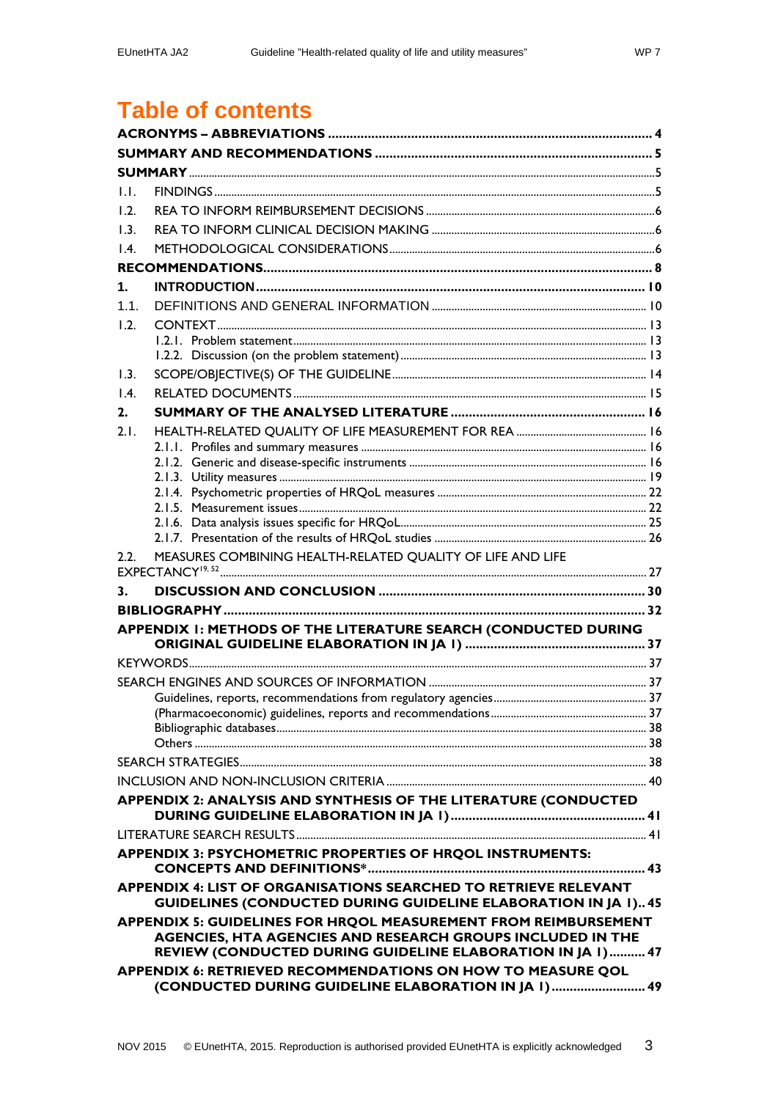# **Table of contents**

| 1.1.           |                                                                                                                           |  |  |
|----------------|---------------------------------------------------------------------------------------------------------------------------|--|--|
| 1.2.           |                                                                                                                           |  |  |
| 1.3.           |                                                                                                                           |  |  |
| $\mathsf{I}$ . |                                                                                                                           |  |  |
|                |                                                                                                                           |  |  |
| 1.             |                                                                                                                           |  |  |
| 1.1.           |                                                                                                                           |  |  |
| 1.2.           |                                                                                                                           |  |  |
|                |                                                                                                                           |  |  |
|                |                                                                                                                           |  |  |
| 1.3.           |                                                                                                                           |  |  |
| 1.4.           |                                                                                                                           |  |  |
| 2.             |                                                                                                                           |  |  |
| 2.1.           |                                                                                                                           |  |  |
|                |                                                                                                                           |  |  |
|                |                                                                                                                           |  |  |
|                |                                                                                                                           |  |  |
|                |                                                                                                                           |  |  |
|                |                                                                                                                           |  |  |
|                |                                                                                                                           |  |  |
| 2.2.           | MEASURES COMBINING HEALTH-RELATED QUALITY OF LIFE AND LIFE                                                                |  |  |
|                |                                                                                                                           |  |  |
| 3.             |                                                                                                                           |  |  |
|                |                                                                                                                           |  |  |
|                | APPENDIX I: METHODS OF THE LITERATURE SEARCH (CONDUCTED DURING                                                            |  |  |
|                |                                                                                                                           |  |  |
|                |                                                                                                                           |  |  |
|                |                                                                                                                           |  |  |
|                |                                                                                                                           |  |  |
|                |                                                                                                                           |  |  |
|                |                                                                                                                           |  |  |
|                |                                                                                                                           |  |  |
|                |                                                                                                                           |  |  |
|                | APPENDIX 2: ANALYSIS AND SYNTHESIS OF THE LITERATURE (CONDUCTED                                                           |  |  |
|                |                                                                                                                           |  |  |
|                |                                                                                                                           |  |  |
|                | APPENDIX 3: PSYCHOMETRIC PROPERTIES OF HRQOL INSTRUMENTS:                                                                 |  |  |
|                |                                                                                                                           |  |  |
|                | APPENDIX 4: LIST OF ORGANISATIONS SEARCHED TO RETRIEVE RELEVANT                                                           |  |  |
|                | <b>GUIDELINES (CONDUCTED DURING GUIDELINE ELABORATION IN JA 1) 45</b>                                                     |  |  |
|                | APPENDIX 5: GUIDELINES FOR HRQOL MEASUREMENT FROM REIMBURSEMENT                                                           |  |  |
|                | AGENCIES, HTA AGENCIES AND RESEARCH GROUPS INCLUDED IN THE<br>REVIEW (CONDUCTED DURING GUIDELINE ELABORATION IN JA 1)  47 |  |  |
|                | APPENDIX 6: RETRIEVED RECOMMENDATIONS ON HOW TO MEASURE QOL                                                               |  |  |
|                | (CONDUCTED DURING GUIDELINE ELABORATION IN JA I) 49                                                                       |  |  |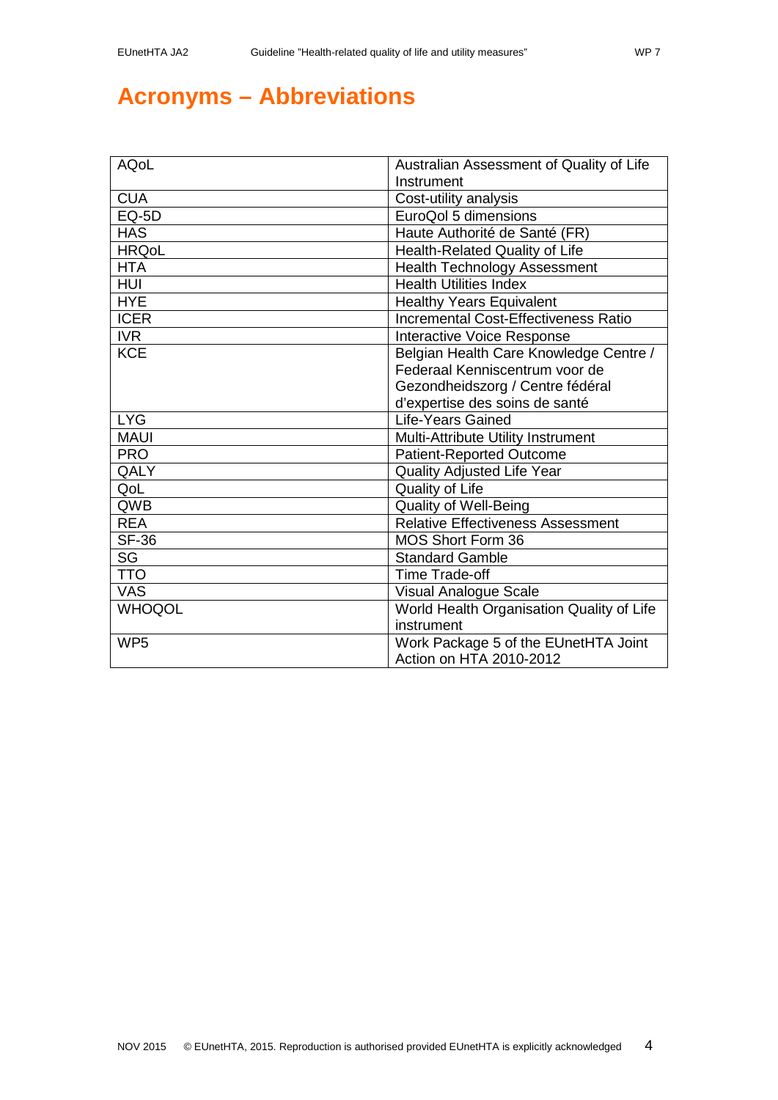# <span id="page-3-0"></span>**Acronyms – Abbreviations**

| <b>AQoL</b>     | Australian Assessment of Quality of Life<br>Instrument |
|-----------------|--------------------------------------------------------|
| <b>CUA</b>      | Cost-utility analysis                                  |
| EQ-5D           | EuroQol 5 dimensions                                   |
| <b>HAS</b>      | Haute Authorité de Santé (FR)                          |
| <b>HRQoL</b>    | Health-Related Quality of Life                         |
| <b>HTA</b>      | <b>Health Technology Assessment</b>                    |
| <b>HUI</b>      | <b>Health Utilities Index</b>                          |
| <b>HYE</b>      | <b>Healthy Years Equivalent</b>                        |
| <b>ICER</b>     | <b>Incremental Cost-Effectiveness Ratio</b>            |
| IVR             | Interactive Voice Response                             |
| <b>KCE</b>      | Belgian Health Care Knowledge Centre /                 |
|                 | Federaal Kenniscentrum voor de                         |
|                 | Gezondheidszorg / Centre fédéral                       |
|                 | d'expertise des soins de santé                         |
| <b>LYG</b>      | Life-Years Gained                                      |
| <b>MAUI</b>     | Multi-Attribute Utility Instrument                     |
| <b>PRO</b>      | Patient-Reported Outcome                               |
| QALY            | <b>Quality Adjusted Life Year</b>                      |
| QoL             | Quality of Life                                        |
| QWB             | <b>Quality of Well-Being</b>                           |
| <b>REA</b>      | <b>Relative Effectiveness Assessment</b>               |
| <b>SF-36</b>    | MOS Short Form 36                                      |
| <b>SG</b>       | <b>Standard Gamble</b>                                 |
| <b>TTO</b>      | <b>Time Trade-off</b>                                  |
| <b>VAS</b>      | <b>Visual Analogue Scale</b>                           |
| <b>WHOQOL</b>   | World Health Organisation Quality of Life              |
|                 | instrument                                             |
| WP <sub>5</sub> | Work Package 5 of the EUnetHTA Joint                   |
|                 | Action on HTA 2010-2012                                |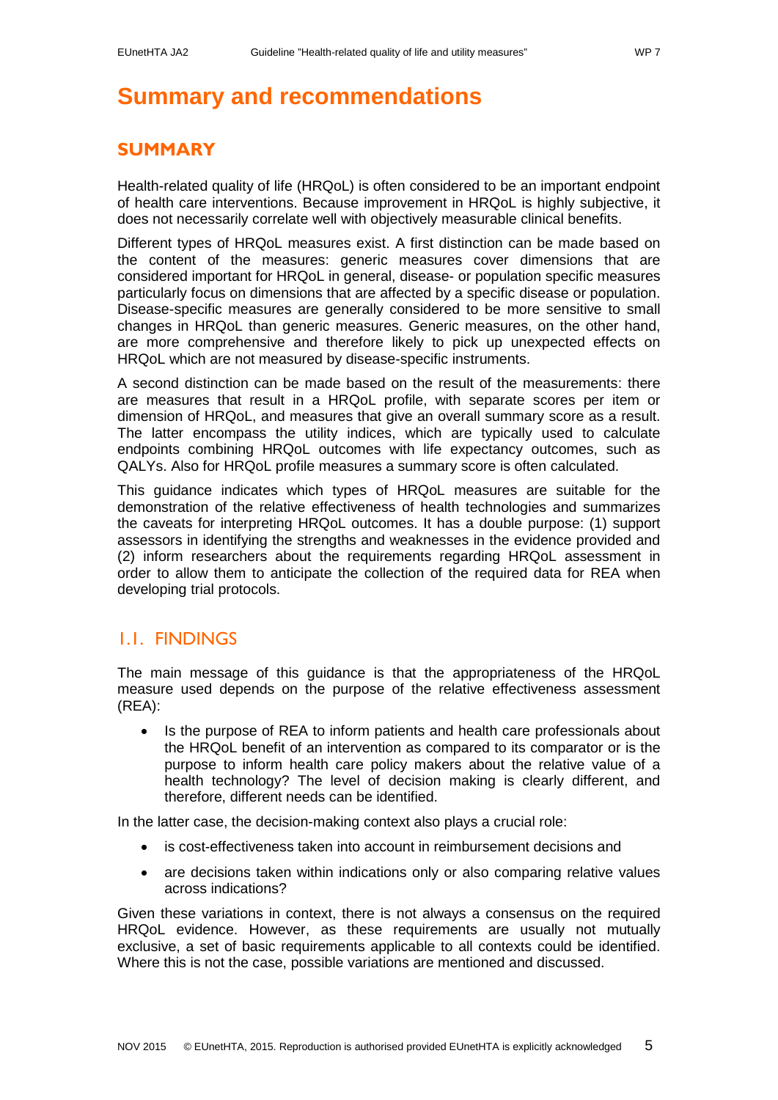# <span id="page-4-0"></span>**Summary and recommendations**

## <span id="page-4-1"></span>**SUMMARY**

Health-related quality of life (HRQoL) is often considered to be an important endpoint of health care interventions. Because improvement in HRQoL is highly subjective, it does not necessarily correlate well with objectively measurable clinical benefits.

Different types of HRQoL measures exist. A first distinction can be made based on the content of the measures: generic measures cover dimensions that are considered important for HRQoL in general, disease- or population specific measures particularly focus on dimensions that are affected by a specific disease or population. Disease-specific measures are generally considered to be more sensitive to small changes in HRQoL than generic measures. Generic measures, on the other hand, are more comprehensive and therefore likely to pick up unexpected effects on HRQoL which are not measured by disease-specific instruments.

A second distinction can be made based on the result of the measurements: there are measures that result in a HRQoL profile, with separate scores per item or dimension of HRQoL, and measures that give an overall summary score as a result. The latter encompass the utility indices, which are typically used to calculate endpoints combining HRQoL outcomes with life expectancy outcomes, such as QALYs. Also for HRQoL profile measures a summary score is often calculated.

This guidance indicates which types of HRQoL measures are suitable for the demonstration of the relative effectiveness of health technologies and summarizes the caveats for interpreting HRQoL outcomes. It has a double purpose: (1) support assessors in identifying the strengths and weaknesses in the evidence provided and (2) inform researchers about the requirements regarding HRQoL assessment in order to allow them to anticipate the collection of the required data for REA when developing trial protocols.

## <span id="page-4-2"></span>1.1. FINDINGS

The main message of this guidance is that the appropriateness of the HRQoL measure used depends on the purpose of the relative effectiveness assessment (REA):

• Is the purpose of REA to inform patients and health care professionals about the HRQoL benefit of an intervention as compared to its comparator or is the purpose to inform health care policy makers about the relative value of a health technology? The level of decision making is clearly different, and therefore, different needs can be identified.

In the latter case, the decision-making context also plays a crucial role:

- is cost-effectiveness taken into account in reimbursement decisions and
- are decisions taken within indications only or also comparing relative values across indications?

Given these variations in context, there is not always a consensus on the required HRQoL evidence. However, as these requirements are usually not mutually exclusive, a set of basic requirements applicable to all contexts could be identified. Where this is not the case, possible variations are mentioned and discussed.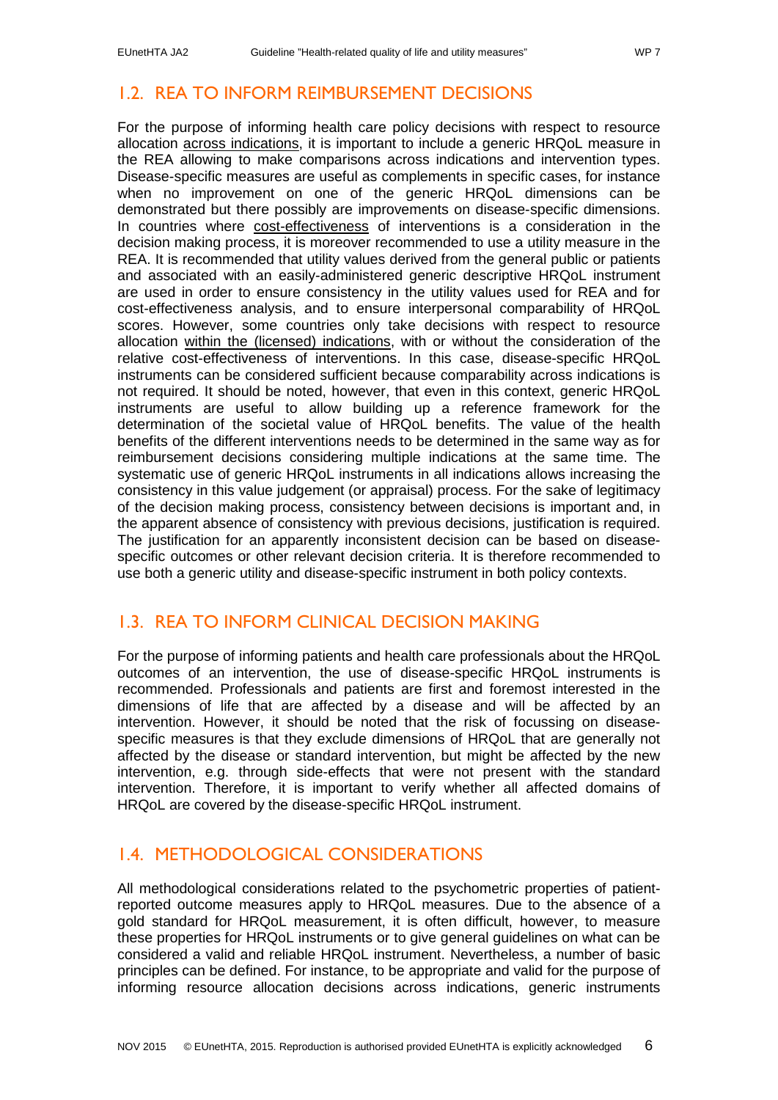## <span id="page-5-0"></span>1.2. REA TO INFORM REIMBURSEMENT DECISIONS

For the purpose of informing health care policy decisions with respect to resource allocation across indications, it is important to include a generic HRQoL measure in the REA allowing to make comparisons across indications and intervention types. Disease-specific measures are useful as complements in specific cases, for instance when no improvement on one of the generic HRQoL dimensions can be demonstrated but there possibly are improvements on disease-specific dimensions. In countries where cost-effectiveness of interventions is a consideration in the decision making process, it is moreover recommended to use a utility measure in the REA. It is recommended that utility values derived from the general public or patients and associated with an easily-administered generic descriptive HRQoL instrument are used in order to ensure consistency in the utility values used for REA and for cost-effectiveness analysis, and to ensure interpersonal comparability of HRQoL scores. However, some countries only take decisions with respect to resource allocation within the (licensed) indications, with or without the consideration of the relative cost-effectiveness of interventions. In this case, disease-specific HRQoL instruments can be considered sufficient because comparability across indications is not required. It should be noted, however, that even in this context, generic HRQoL instruments are useful to allow building up a reference framework for the determination of the societal value of HRQoL benefits. The value of the health benefits of the different interventions needs to be determined in the same way as for reimbursement decisions considering multiple indications at the same time. The systematic use of generic HRQoL instruments in all indications allows increasing the consistency in this value judgement (or appraisal) process. For the sake of legitimacy of the decision making process, consistency between decisions is important and, in the apparent absence of consistency with previous decisions, justification is required. The justification for an apparently inconsistent decision can be based on diseasespecific outcomes or other relevant decision criteria. It is therefore recommended to use both a generic utility and disease-specific instrument in both policy contexts.

## <span id="page-5-1"></span>1.3. REA TO INFORM CLINICAL DECISION MAKING

For the purpose of informing patients and health care professionals about the HRQoL outcomes of an intervention, the use of disease-specific HRQoL instruments is recommended. Professionals and patients are first and foremost interested in the dimensions of life that are affected by a disease and will be affected by an intervention. However, it should be noted that the risk of focussing on diseasespecific measures is that they exclude dimensions of HRQoL that are generally not affected by the disease or standard intervention, but might be affected by the new intervention, e.g. through side-effects that were not present with the standard intervention. Therefore, it is important to verify whether all affected domains of HRQoL are covered by the disease-specific HRQoL instrument.

## <span id="page-5-2"></span>1.4. METHODOLOGICAL CONSIDERATIONS

All methodological considerations related to the psychometric properties of patientreported outcome measures apply to HRQoL measures. Due to the absence of a gold standard for HRQoL measurement, it is often difficult, however, to measure these properties for HRQoL instruments or to give general guidelines on what can be considered a valid and reliable HRQoL instrument. Nevertheless, a number of basic principles can be defined. For instance, to be appropriate and valid for the purpose of informing resource allocation decisions across indications, generic instruments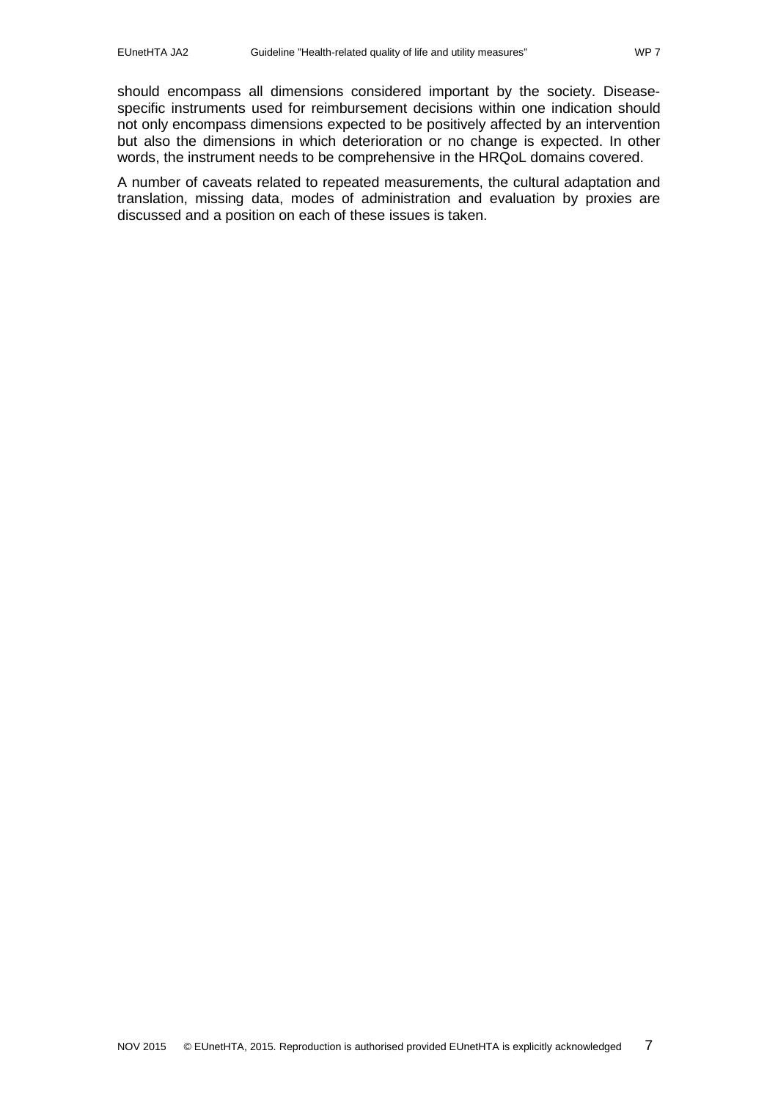should encompass all dimensions considered important by the society. Diseasespecific instruments used for reimbursement decisions within one indication should not only encompass dimensions expected to be positively affected by an intervention but also the dimensions in which deterioration or no change is expected. In other words, the instrument needs to be comprehensive in the HRQoL domains covered.

A number of caveats related to repeated measurements, the cultural adaptation and translation, missing data, modes of administration and evaluation by proxies are discussed and a position on each of these issues is taken.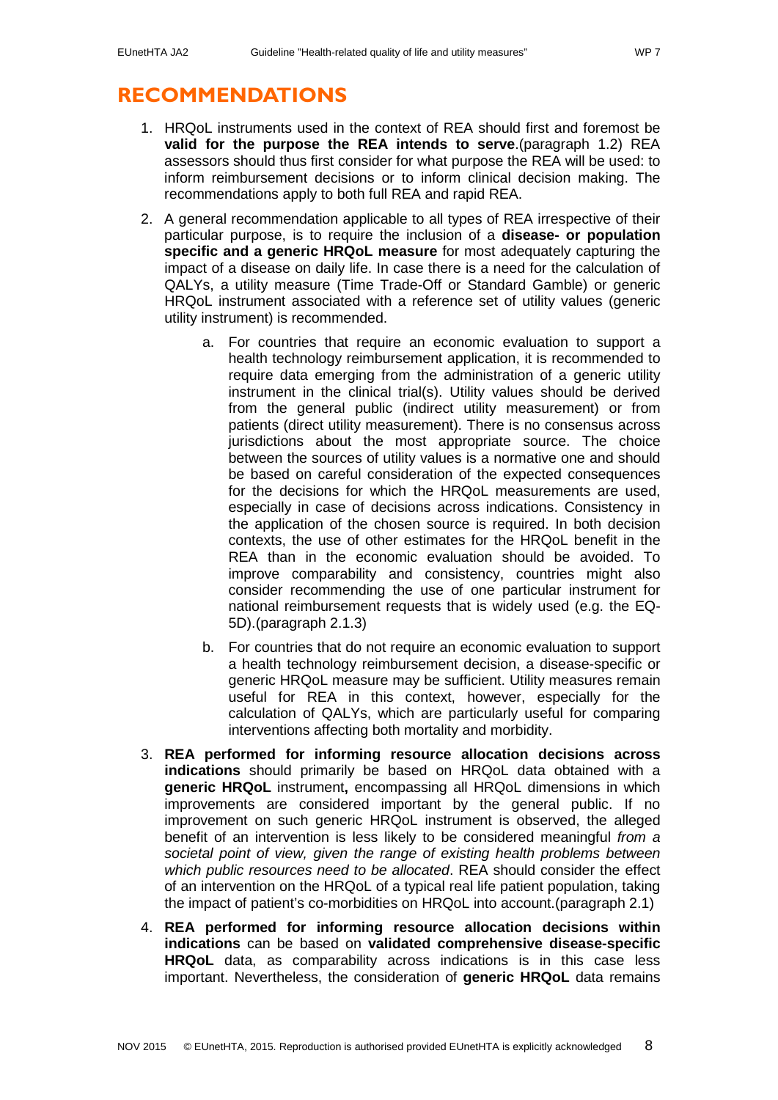## <span id="page-7-0"></span>**RECOMMENDATIONS**

- 1. HRQoL instruments used in the context of REA should first and foremost be **valid for the purpose the REA intends to serve**.(paragraph [1.2\)](#page-12-0) REA assessors should thus first consider for what purpose the REA will be used: to inform reimbursement decisions or to inform clinical decision making. The recommendations apply to both full REA and rapid REA.
- 2. A general recommendation applicable to all types of REA irrespective of their particular purpose, is to require the inclusion of a **disease- or population specific and a generic HRQoL measure** for most adequately capturing the impact of a disease on daily life. In case there is a need for the calculation of QALYs, a utility measure (Time Trade-Off or Standard Gamble) or generic HRQoL instrument associated with a reference set of utility values (generic utility instrument) is recommended.
	- a. For countries that require an economic evaluation to support a health technology reimbursement application, it is recommended to require data emerging from the administration of a generic utility instrument in the clinical trial(s). Utility values should be derived from the general public (indirect utility measurement) or from patients (direct utility measurement). There is no consensus across jurisdictions about the most appropriate source. The choice between the sources of utility values is a normative one and should be based on careful consideration of the expected consequences for the decisions for which the HRQoL measurements are used, especially in case of decisions across indications. Consistency in the application of the chosen source is required. In both decision contexts, the use of other estimates for the HRQoL benefit in the REA than in the economic evaluation should be avoided. To improve comparability and consistency, countries might also consider recommending the use of one particular instrument for national reimbursement requests that is widely used (e.g. the EQ-5D).(paragraph [2.1.3\)](#page-18-0)
	- b. For countries that do not require an economic evaluation to support a health technology reimbursement decision, a disease-specific or generic HRQoL measure may be sufficient. Utility measures remain useful for REA in this context, however, especially for the calculation of QALYs, which are particularly useful for comparing interventions affecting both mortality and morbidity.
- 3. **REA performed for informing resource allocation decisions across indications** should primarily be based on HRQoL data obtained with a **generic HRQoL** instrument**,** encompassing all HRQoL dimensions in which improvements are considered important by the general public. If no improvement on such generic HRQoL instrument is observed, the alleged benefit of an intervention is less likely to be considered meaningful *from a societal point of view, given the range of existing health problems between which public resources need to be allocated*. REA should consider the effect of an intervention on the HRQoL of a typical real life patient population, taking the impact of patient's co-morbidities on HRQoL into account.(paragraph [2.1\)](#page-15-1)
- 4. **REA performed for informing resource allocation decisions within indications** can be based on **validated comprehensive disease-specific HRQoL** data, as comparability across indications is in this case less important. Nevertheless, the consideration of **generic HRQoL** data remains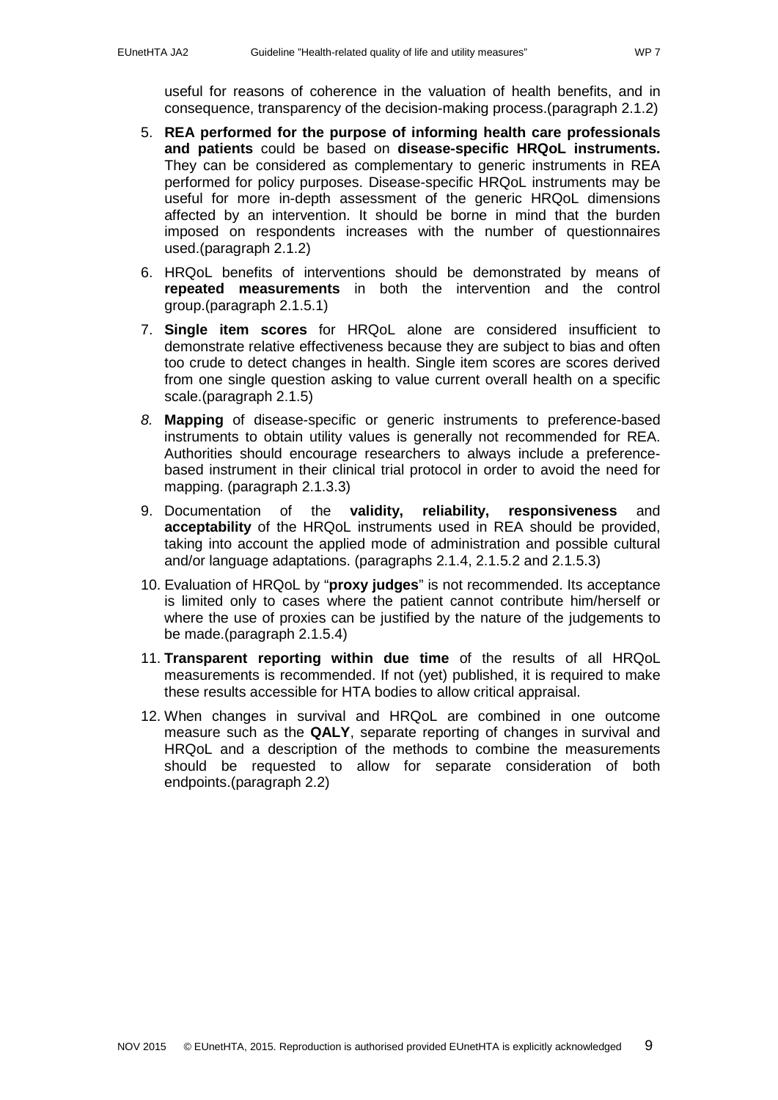useful for reasons of coherence in the valuation of health benefits, and in consequence, transparency of the decision-making process.(paragraph [2.1.2\)](#page-15-3)

- 5. **REA performed for the purpose of informing health care professionals and patients** could be based on **disease-specific HRQoL instruments.**  They can be considered as complementary to generic instruments in REA performed for policy purposes. Disease-specific HRQoL instruments may be useful for more in-depth assessment of the generic HRQoL dimensions affected by an intervention. It should be borne in mind that the burden imposed on respondents increases with the number of questionnaires used.(paragraph [2.1.2\)](#page-15-3)
- 6. HRQoL benefits of interventions should be demonstrated by means of **repeated measurements** in both the intervention and the control group.(paragraph [2.1.5.1\)](#page-21-2)
- 7. **Single item scores** for HRQoL alone are considered insufficient to demonstrate relative effectiveness because they are subject to bias and often too crude to detect changes in health. Single item scores are scores derived from one single question asking to value current overall health on a specific scale.(paragraph [2.1.5\)](#page-21-1)
- *8.* **Mapping** of disease-specific or generic instruments to preference-based instruments to obtain utility values is generally not recommended for REA. Authorities should encourage researchers to always include a preferencebased instrument in their clinical trial protocol in order to avoid the need for mapping. (paragraph [2.1.3.3\)](#page-19-0)
- 9. Documentation of the **validity, reliability, responsiveness** and **acceptability** of the HRQoL instruments used in REA should be provided, taking into account the applied mode of administration and possible cultural and/or language adaptations. (paragraphs [2.1.4,](#page-21-0) [2.1.5.2](#page-22-0) and [2.1.5.3\)](#page-22-1)
- 10. Evaluation of HRQoL by "**proxy judges**" is not recommended. Its acceptance is limited only to cases where the patient cannot contribute him/herself or where the use of proxies can be justified by the nature of the judgements to be made.(paragraph [2.1.5.4\)](#page-23-0)
- 11. **Transparent reporting within due time** of the results of all HRQoL measurements is recommended. If not (yet) published, it is required to make these results accessible for HTA bodies to allow critical appraisal.
- 12. When changes in survival and HRQoL are combined in one outcome measure such as the **QALY**, separate reporting of changes in survival and HRQoL and a description of the methods to combine the measurements should be requested to allow for separate consideration of both endpoints.(paragraph [2.2\)](#page-26-0)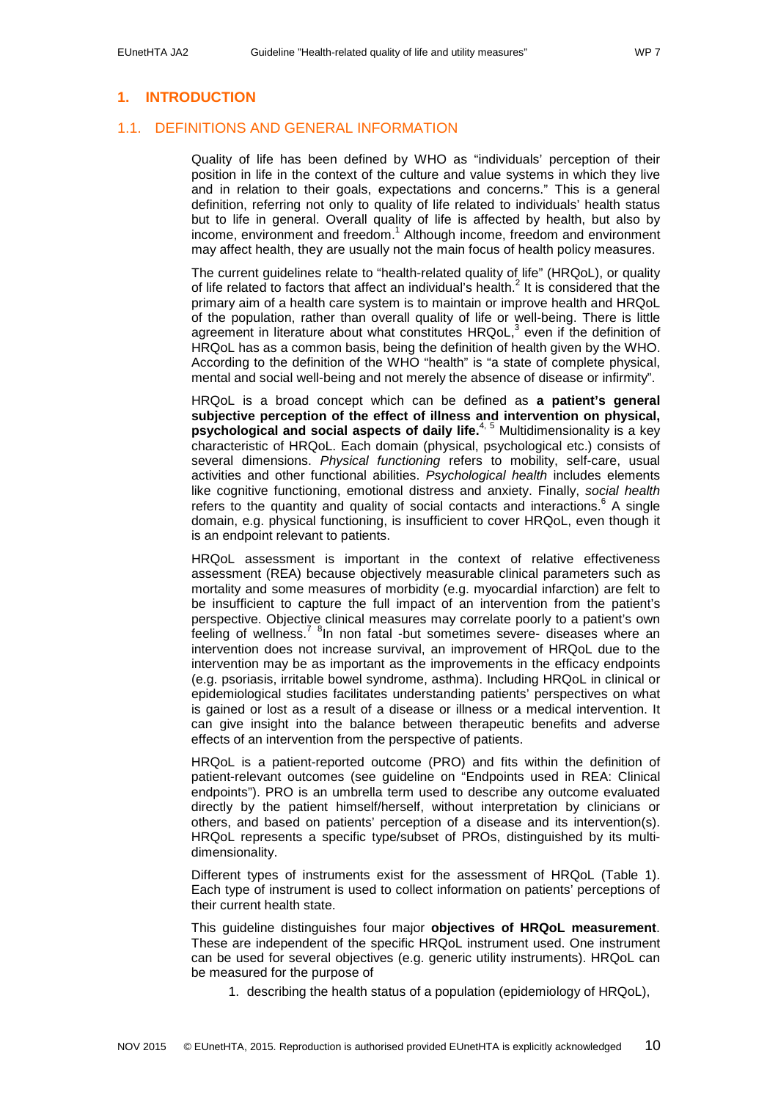## <span id="page-9-0"></span>**1. INTRODUCTION**

### <span id="page-9-1"></span>1.1. DEFINITIONS AND GENERAL INFORMATION

Quality of life has been defined by WHO as "individuals' perception of their position in life in the context of the culture and value systems in which they live and in relation to their goals, expectations and concerns." This is a general definition, referring not only to quality of life related to individuals' health status but to life in general. Overall quality of life is affected by health, but also by income, environment and freedom[.](#page-31-1)<sup>1</sup> Although income, freedom and environment may affect health, they are usually not the main focus of health policy measures.

The current guidelines relate to "health-related quality of life" (HRQoL), or quality of life related to factors that affect an individual's health[.](#page-31-2)<sup>2</sup> It is considered that the primary aim of a health care system is to maintain or improve health and HRQoL of the population, rather than overall quality of life or well-being. There is little agreement in literature about what constitutes  $H R QoL$ , even if the definition of HRQoL has as a common basis, being the definition of health given by the WHO. According to the definition of the WHO "health" is "a state of complete physical, mental and social well-being and not merely the absence of disease or infirmity".

HRQoL is a broad concept which can be defined as **a patient's general subjective perception of the effect of illness and intervention on physical, psychological and social aspects of daily life.** [4,](#page-31-4) [5](#page-31-5) Multidimensionality is a key characteristic of HRQoL. Each domain (physical, psychological etc.) consists of several dimensions. *Physical functioning* refers to mobility, self-care, usual activities and other functional abilities. *Psychological health* includes elements like cognitive functioning, emotional distress and anxiety. Finally, *social health* refers to the quantity and quality of social contacts and interactions[.](#page-31-6) $6$  A single domain, e.g. physical functioning, is insufficient to cover HRQoL, even though it is an endpoint relevant to patients.

HRQoL assessment is important in the context of relative effectiveness assessment (REA) because objectively measurable clinical parameters such as mortality and some measures of morbidity (e.g. myocardial infarction) are felt to be insufficient to capture the full impact of an intervention from the patient's perspective. Objective clinical measures may correlate poorly to a patient's own feeling of wellness.<sup>[7](#page-31-7) 8</sup>[I](#page-31-8)n non fatal -but sometimes severe- diseases where an intervention does not increase survival, an improvement of HRQoL due to the intervention may be as important as the improvements in the efficacy endpoints (e.g. psoriasis, irritable bowel syndrome, asthma). Including HRQoL in clinical or epidemiological studies facilitates understanding patients' perspectives on what is gained or lost as a result of a disease or illness or a medical intervention. It can give insight into the balance between therapeutic benefits and adverse effects of an intervention from the perspective of patients.

HRQoL is a patient-reported outcome (PRO) and fits within the definition of patient-relevant outcomes (see guideline on "Endpoints used in REA: Clinical endpoints"). PRO is an umbrella term used to describe any outcome evaluated directly by the patient himself/herself, without interpretation by clinicians or others, and based on patients' perception of a disease and its intervention(s). HRQoL represents a specific type/subset of PROs, distinguished by its multidimensionality.

Different types of instruments exist for the assessment of HRQoL [\(Table 1\)](#page-11-0). Each type of instrument is used to collect information on patients' perceptions of their current health state.

This guideline distinguishes four major **objectives of HRQoL measurement**. These are independent of the specific HRQoL instrument used. One instrument can be used for several objectives (e.g. generic utility instruments). HRQoL can be measured for the purpose of

1. describing the health status of a population (epidemiology of HRQoL),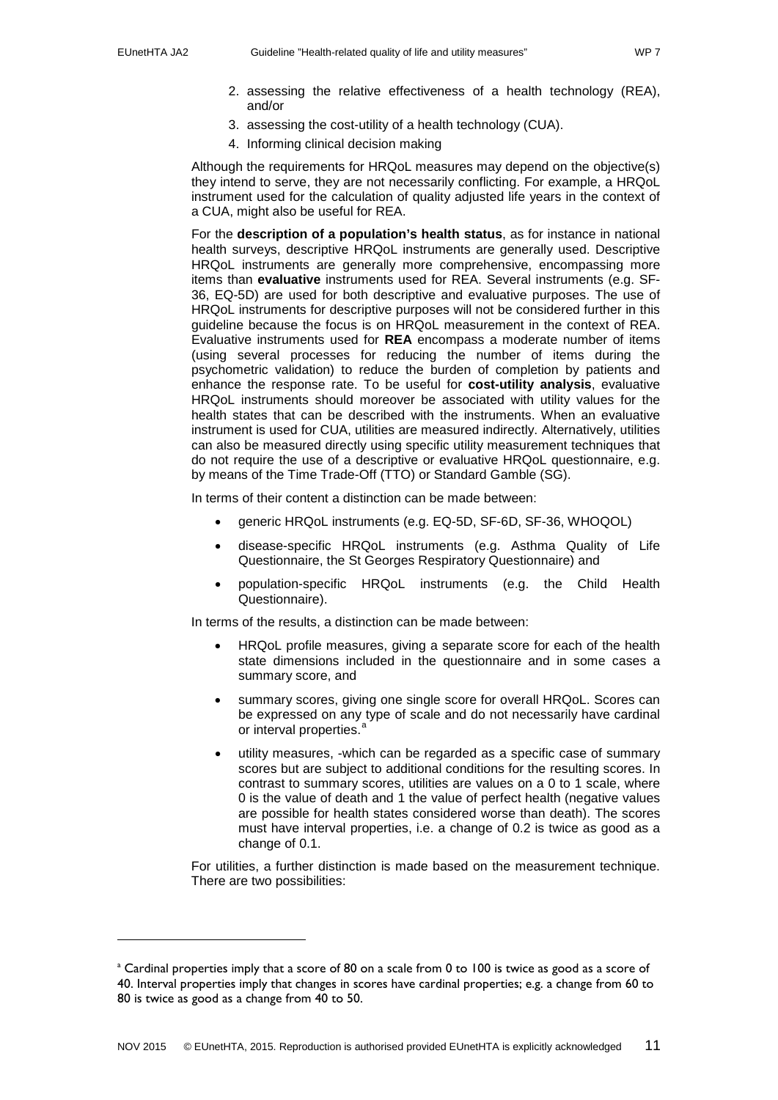-

- 2. assessing the relative effectiveness of a health technology (REA), and/or
- 3. assessing the cost-utility of a health technology (CUA).
- 4. Informing clinical decision making

Although the requirements for HRQoL measures may depend on the objective(s) they intend to serve, they are not necessarily conflicting. For example, a HRQoL instrument used for the calculation of quality adjusted life years in the context of a CUA, might also be useful for REA.

For the **description of a population's health status**, as for instance in national health surveys, descriptive HRQoL instruments are generally used. Descriptive HRQoL instruments are generally more comprehensive, encompassing more items than **evaluative** instruments used for REA. Several instruments (e.g. SF-36, EQ-5D) are used for both descriptive and evaluative purposes. The use of HRQoL instruments for descriptive purposes will not be considered further in this guideline because the focus is on HRQoL measurement in the context of REA. Evaluative instruments used for **REA** encompass a moderate number of items (using several processes for reducing the number of items during the psychometric validation) to reduce the burden of completion by patients and enhance the response rate. To be useful for **cost-utility analysis**, evaluative HRQoL instruments should moreover be associated with utility values for the health states that can be described with the instruments. When an evaluative instrument is used for CUA, utilities are measured indirectly. Alternatively, utilities can also be measured directly using specific utility measurement techniques that do not require the use of a descriptive or evaluative HRQoL questionnaire, e.g. by means of the Time Trade-Off (TTO) or Standard Gamble (SG).

In terms of their content a distinction can be made between:

- generic HRQoL instruments (e.g. EQ-5D, SF-6D, SF-36, WHOQOL)
- disease-specific HRQoL instruments (e.g. Asthma Quality of Life Questionnaire, the St Georges Respiratory Questionnaire) and
- population-specific HRQoL instruments (e.g. the Child Health Questionnaire).

In terms of the results, a distinction can be made between:

- HRQoL profile measures, giving a separate score for each of the health state dimensions included in the questionnaire and in some cases a summary score, and
- summary scores, giving one single score for overall HRQoL. Scores can be expressed on any type of scale and do not necessarily have cardinal or interv[a](#page-10-0)l properties.
- utility measures, -which can be regarded as a specific case of summary scores but are subject to additional conditions for the resulting scores. In contrast to summary scores, utilities are values on a 0 to 1 scale, where 0 is the value of death and 1 the value of perfect health (negative values are possible for health states considered worse than death). The scores must have interval properties, i.e. a change of 0.2 is twice as good as a change of 0.1.

For utilities, a further distinction is made based on the measurement technique. There are two possibilities:

<span id="page-10-0"></span><sup>&</sup>lt;sup>a</sup> Cardinal properties imply that a score of 80 on a scale from 0 to 100 is twice as good as a score of 40. Interval properties imply that changes in scores have cardinal properties; e.g. a change from 60 to 80 is twice as good as a change from 40 to 50.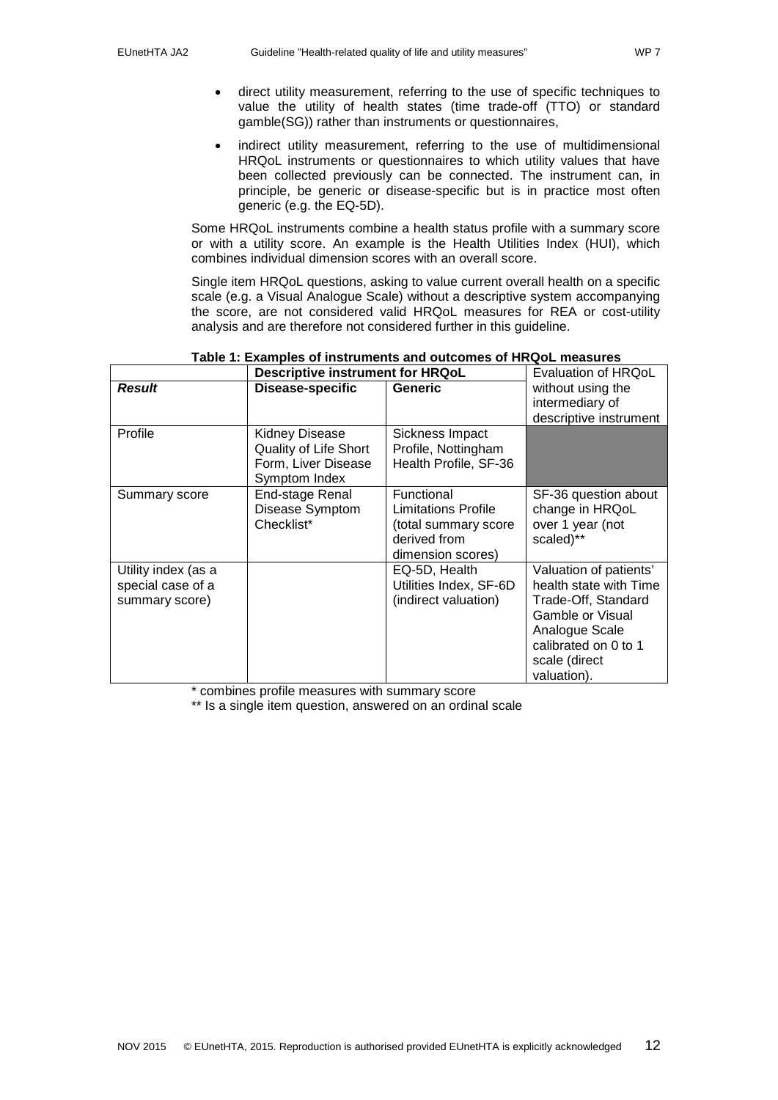- direct utility measurement, referring to the use of specific techniques to value the utility of health states (time trade-off (TTO) or standard gamble(SG)) rather than instruments or questionnaires,
- indirect utility measurement, referring to the use of multidimensional HRQoL instruments or questionnaires to which utility values that have been collected previously can be connected. The instrument can, in principle, be generic or disease-specific but is in practice most often generic (e.g. the EQ-5D).

Some HRQoL instruments combine a health status profile with a summary score or with a utility score. An example is the Health Utilities Index (HUI), which combines individual dimension scores with an overall score.

Single item HRQoL questions, asking to value current overall health on a specific scale (e.g. a Visual Analogue Scale) without a descriptive system accompanying the score, are not considered valid HRQoL measures for REA or cost-utility analysis and are therefore not considered further in this guideline.

<span id="page-11-0"></span>

|                                                            | Descriptive instrument for HRQoL                                                       |                                                                                                       | Evaluation of HRQoL                                                                                                                                                   |  |
|------------------------------------------------------------|----------------------------------------------------------------------------------------|-------------------------------------------------------------------------------------------------------|-----------------------------------------------------------------------------------------------------------------------------------------------------------------------|--|
| <b>Result</b>                                              | Disease-specific                                                                       | <b>Generic</b>                                                                                        | without using the<br>intermediary of<br>descriptive instrument                                                                                                        |  |
| Profile                                                    | Kidney Disease<br><b>Quality of Life Short</b><br>Form, Liver Disease<br>Symptom Index | Sickness Impact<br>Profile, Nottingham<br>Health Profile, SF-36                                       |                                                                                                                                                                       |  |
| Summary score                                              | End-stage Renal<br>Disease Symptom<br>Checklist*                                       | Functional<br><b>Limitations Profile</b><br>(total summary score<br>derived from<br>dimension scores) | SF-36 question about<br>change in HRQoL<br>over 1 year (not<br>scaled)**                                                                                              |  |
| Utility index (as a<br>special case of a<br>summary score) |                                                                                        | EQ-5D, Health<br>Utilities Index, SF-6D<br>(indirect valuation)                                       | Valuation of patients'<br>health state with Time<br>Trade-Off, Standard<br>Gamble or Visual<br>Analogue Scale<br>calibrated on 0 to 1<br>scale (direct<br>valuation). |  |

#### **Table 1: Examples of instruments and outcomes of HRQoL measures**

\* combines profile measures with summary score

\*\* Is a single item question, answered on an ordinal scale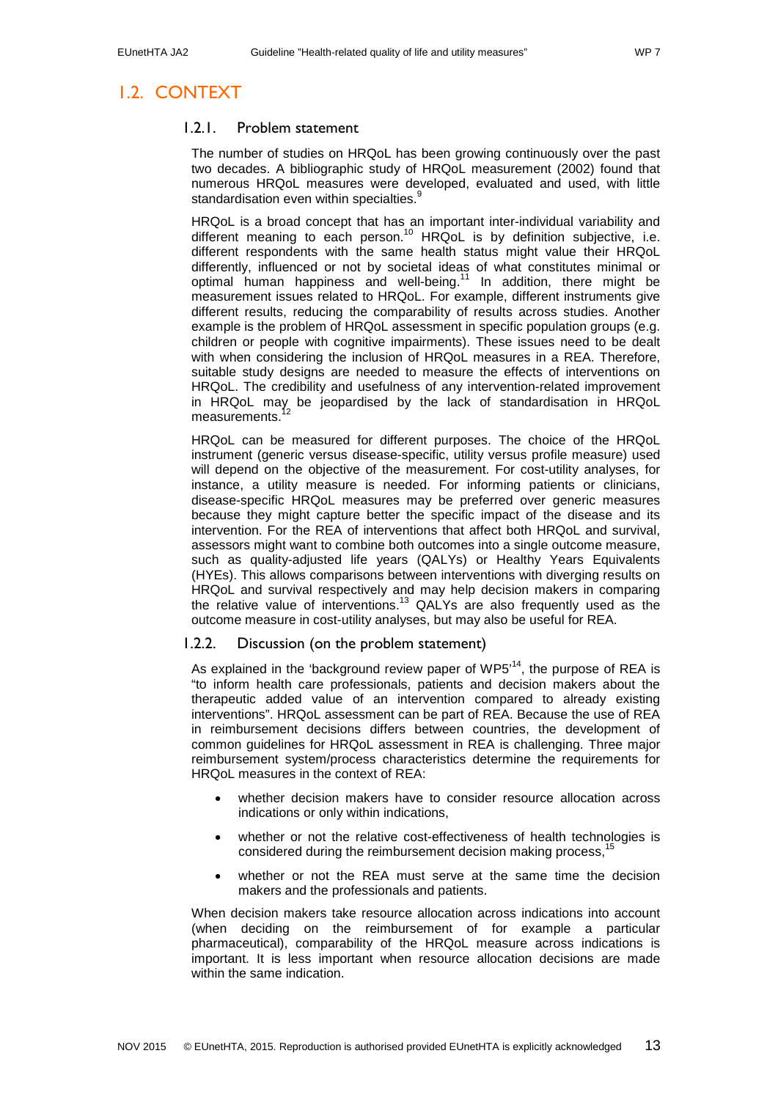## <span id="page-12-1"></span><span id="page-12-0"></span>1.2. CONTEXT

#### 1.2.1. Problem statement

The number of studies on HRQoL has been growing continuously over the past two decades. A bibliographic study of HRQoL measurement (2002) found that numerous HRQoL measures were developed, evaluated and used, with little standardisation even within specialties[.](#page-31-9)<sup>9</sup>

HRQoL is a broad concept that has an important inter-individual variability and different meaning to each person.<sup>[10](#page-31-10)</sup> HRQoL is by definition subjective, i.e. different respondents with the same health status might value their HRQoL differently, influenced or not by societal ideas of what constitutes minimal or optimal human happiness and well-being.<sup>[11](#page-31-11)</sup> In addition, there might be measurement issues related to HRQoL. For example, different instruments give different results, reducing the comparability of results across studies. Another example is the problem of HRQoL assessment in specific population groups (e.g. children or people with cognitive impairments). These issues need to be dealt with when considering the inclusion of HRQoL measures in a REA. Therefore, suitable study designs are needed to measure the effects of interventions on HRQoL. The credibility and usefulness of any intervention-related improvement in HRQoL may be jeopardised by the lack of standardisation in HRQoL<br>measurements<sup>[12](#page-31-12)</sup> measurements.

HRQoL can be measured for different purposes. The choice of the HRQoL instrument (generic versus disease-specific, utility versus profile measure) used will depend on the objective of the measurement. For cost-utility analyses, for instance, a utility measure is needed. For informing patients or clinicians, disease-specific HRQoL measures may be preferred over generic measures because they might capture better the specific impact of the disease and its intervention. For the REA of interventions that affect both HRQoL and survival, assessors might want to combine both outcomes into a single outcome measure, such as quality-adjusted life years (QALYs) or Healthy Years Equivalents (HYEs). This allows comparisons between interventions with diverging results on HRQoL and survival respectively and may help decision makers in comparing the relative value of interventions.<sup>[13](#page-31-13)</sup> QALYs are also frequently used as the outcome measure in cost-utility analyses, but may also be useful for REA.

### <span id="page-12-2"></span>1.2.2. Discussion (on the problem statement)

As explained in the 'background review paper of  $WPS<sup>14</sup>$ , the purpose of REA is "to inform health care professionals, patients and decision makers about the therapeutic added value of an intervention compared to already existing interventions". HRQoL assessment can be part of REA. Because the use of REA in reimbursement decisions differs between countries, the development of common guidelines for HRQoL assessment in REA is challenging. Three major reimbursement system/process characteristics determine the requirements for HRQoL measures in the context of REA:

- whether decision makers have to consider resource allocation across indications or only within indications,
- whether or not the relative cost-effectiveness of health technologies is considered during the reimbursement decision making process,<sup>[15](#page-31-15)</sup>
- whether or not the REA must serve at the same time the decision makers and the professionals and patients.

When decision makers take resource allocation across indications into account (when deciding on the reimbursement of for example a particular pharmaceutical), comparability of the HRQoL measure across indications is important. It is less important when resource allocation decisions are made within the same indication.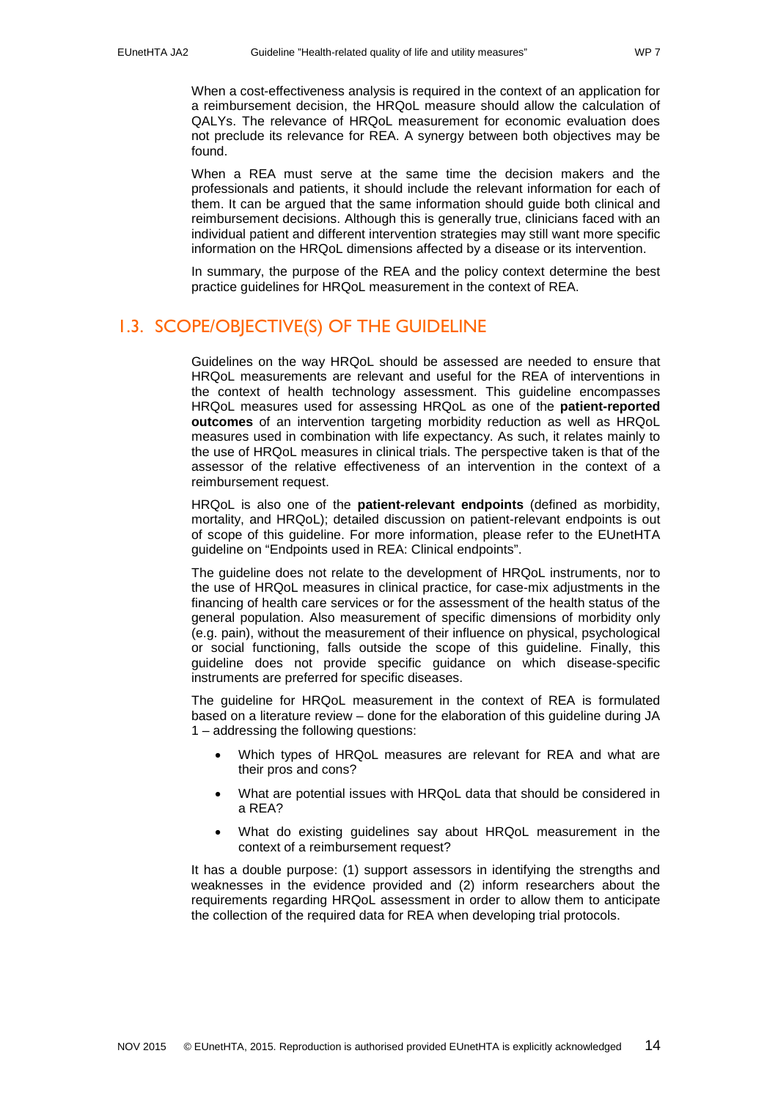When a cost-effectiveness analysis is required in the context of an application for a reimbursement decision, the HRQoL measure should allow the calculation of QALYs. The relevance of HRQoL measurement for economic evaluation does not preclude its relevance for REA. A synergy between both objectives may be found.

When a REA must serve at the same time the decision makers and the professionals and patients, it should include the relevant information for each of them. It can be argued that the same information should guide both clinical and reimbursement decisions. Although this is generally true, clinicians faced with an individual patient and different intervention strategies may still want more specific information on the HRQoL dimensions affected by a disease or its intervention.

In summary, the purpose of the REA and the policy context determine the best practice guidelines for HRQoL measurement in the context of REA.

## <span id="page-13-0"></span>1.3. SCOPE/OBJECTIVE(S) OF THE GUIDELINE

Guidelines on the way HRQoL should be assessed are needed to ensure that HRQoL measurements are relevant and useful for the REA of interventions in the context of health technology assessment. This guideline encompasses HRQoL measures used for assessing HRQoL as one of the **patient-reported outcomes** of an intervention targeting morbidity reduction as well as HRQoL measures used in combination with life expectancy. As such, it relates mainly to the use of HRQoL measures in clinical trials. The perspective taken is that of the assessor of the relative effectiveness of an intervention in the context of a reimbursement request.

HRQoL is also one of the **patient-relevant endpoints** (defined as morbidity, mortality, and HRQoL); detailed discussion on patient-relevant endpoints is out of scope of this guideline. For more information, please refer to the EUnetHTA guideline on "Endpoints used in REA: Clinical endpoints".

The guideline does not relate to the development of HRQoL instruments, nor to the use of HRQoL measures in clinical practice, for case-mix adjustments in the financing of health care services or for the assessment of the health status of the general population. Also measurement of specific dimensions of morbidity only (e.g. pain), without the measurement of their influence on physical, psychological or social functioning, falls outside the scope of this guideline. Finally, this guideline does not provide specific guidance on which disease-specific instruments are preferred for specific diseases.

The guideline for HRQoL measurement in the context of REA is formulated based on a literature review – done for the elaboration of this guideline during JA 1 – addressing the following questions:

- Which types of HRQoL measures are relevant for REA and what are their pros and cons?
- What are potential issues with HRQoL data that should be considered in a REA?
- What do existing guidelines say about HRQoL measurement in the context of a reimbursement request?

It has a double purpose: (1) support assessors in identifying the strengths and weaknesses in the evidence provided and (2) inform researchers about the requirements regarding HRQoL assessment in order to allow them to anticipate the collection of the required data for REA when developing trial protocols.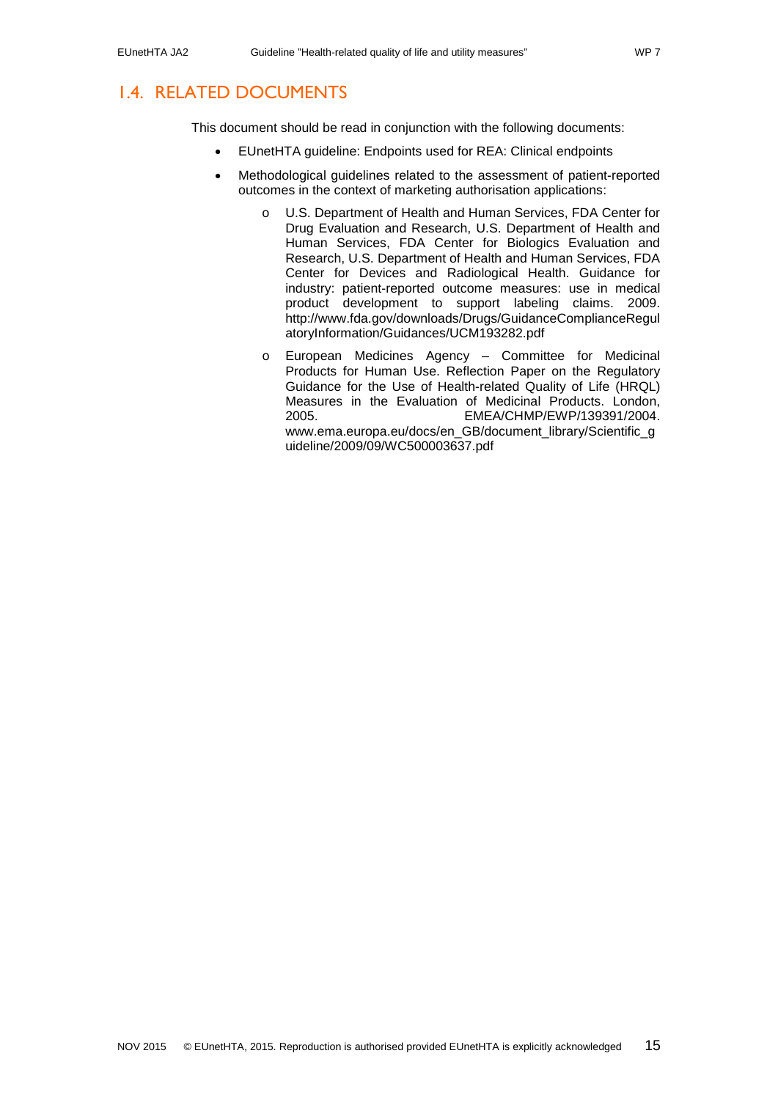## <span id="page-14-0"></span>1.4. RELATED DOCUMENTS

This document should be read in conjunction with the following documents:

- EUnetHTA guideline: Endpoints used for REA: Clinical endpoints
- Methodological guidelines related to the assessment of patient-reported outcomes in the context of marketing authorisation applications:
	- o U.S. Department of Health and Human Services, FDA Center for Drug Evaluation and Research, U.S. Department of Health and Human Services, FDA Center for Biologics Evaluation and Research, U.S. Department of Health and Human Services, FDA Center for Devices and Radiological Health. Guidance for industry: patient-reported outcome measures: use in medical product development to support labeling claims. 2009. http://www.fda.gov/downloads/Drugs/GuidanceComplianceRegul atoryInformation/Guidances/UCM193282.pdf
	- o European Medicines Agency Committee for Medicinal Products for Human Use. Reflection Paper on the Regulatory Guidance for the Use of Health-related Quality of Life (HRQL) Measures in the Evaluation of Medicinal Products. London, 2005. EMEA/CHMP/EWP/139391/2004. www.ema.europa.eu/docs/en\_GB/document\_library/Scientific\_g uideline/2009/09/WC500003637.pdf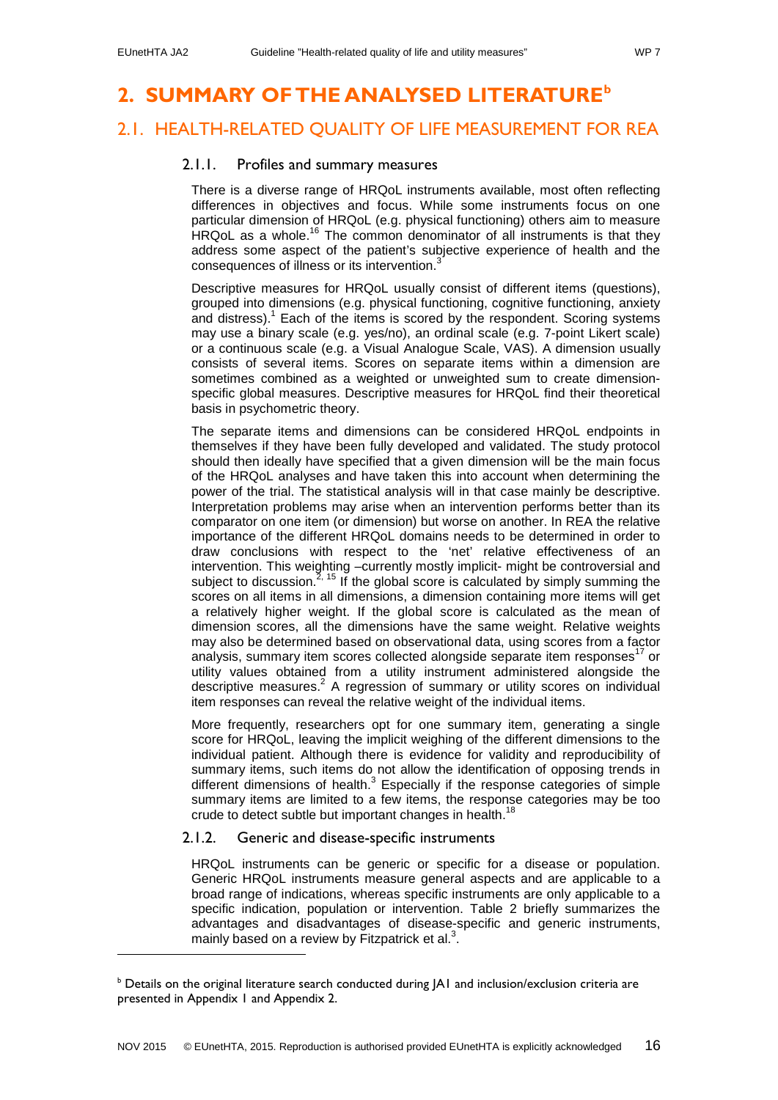-

## <span id="page-15-0"></span>**2. SUMMARY OF THE ANALYSED LITERATURE[b](#page-15-4)**

## <span id="page-15-2"></span><span id="page-15-1"></span>2.1. HEALTH-RELATED QUALITY OF LIFE MEASUREMENT FOR REA

#### 2.1.1. Profiles and summary measures

There is a diverse range of HRQoL instruments available, most often reflecting differences in objectives and focus. While some instruments focus on one particular dimension of HRQoL (e.g. physical functioning) others aim to measure HRQoL as a whole.<sup>[16](#page-31-16)</sup> The common denominator of all instruments is that they address some aspect of the patient's subjective experience of health and the consequences of illness or its intervention[.](#page-31-3)<sup>3</sup>

Descriptive measures for HRQoL usually consist of different items (questions), grouped into dimensions (e.g. physical functioning, cognitive functioning, anxiety and distress)[.](#page-31-1) <sup>1</sup> Each of the items is scored by the respondent. Scoring systems may use a binary scale (e.g. yes/no), an ordinal scale (e.g. 7-point Likert scale) or a continuous scale (e.g. a Visual Analogue Scale, VAS). A dimension usually consists of several items. Scores on separate items within a dimension are sometimes combined as a weighted or unweighted sum to create dimensionspecific global measures. Descriptive measures for HRQoL find their theoretical basis in psychometric theory.

The separate items and dimensions can be considered HRQoL endpoints in themselves if they have been fully developed and validated. The study protocol should then ideally have specified that a given dimension will be the main focus of the HRQoL analyses and have taken this into account when determining the power of the trial. The statistical analysis will in that case mainly be descriptive. Interpretation problems may arise when an intervention performs better than its comparator on one item (or dimension) but worse on another. In REA the relative importance of the different HRQoL domains needs to be determined in order to draw conclusions with respect to the 'net' relative effectiveness of an intervention. This weighting –currently mostly implicit- might be controversial and subject to discussion.<sup>[2,](#page-31-2) [15](#page-31-15)</sup> If the global score is calculated by simply summing the scores on all items in all dimensions, a dimension containing more items will get a relatively higher weight. If the global score is calculated as the mean of dimension scores, all the dimensions have the same weight. Relative weights may also be determined based on observational data, using scores from a factor analysis, summary item scores collected alongside separate item responses $^{17}$  $^{17}$  $^{17}$  or utility values obtained from a utility instrument administered alongside the descriptive measures[.](#page-31-2) $2$  A regression of summary or utility scores on individual item responses can reveal the relative weight of the individual items.

More frequently, researchers opt for one summary item, generating a single score for HRQoL, leaving the implicit weighing of the different dimensions to the individual patient. Although there is evidence for validity and reproducibility of summary items, such items do not allow the identification of opposing trends in different dimensions of health.<sup>[3](#page-31-3)</sup> Especially if the response categories of simple summary items are limited to a few items, the response categories may be too crude to detect subtle but important changes in health.<sup>[18](#page-31-18)</sup>

#### <span id="page-15-3"></span>2.1.2. Generic and disease-specific instruments

HRQoL instruments can be generic or specific for a disease or population. Generic HRQoL instruments measure general aspects and are applicable to a broad range of indications, whereas specific instruments are only applicable to a specific indication, population or intervention. [Table 2](#page-16-0) briefly summarizes the advantages and disadvantages of disease-specific and generic instruments, mainly based on a review by Fitzpatrick et al[.](#page-31-3) $3$ .

<span id="page-15-4"></span>**b Details on the original literature search conducted during JA1 and inclusion/exclusion criteria are** presented in Appendix 1 and Appendix 2.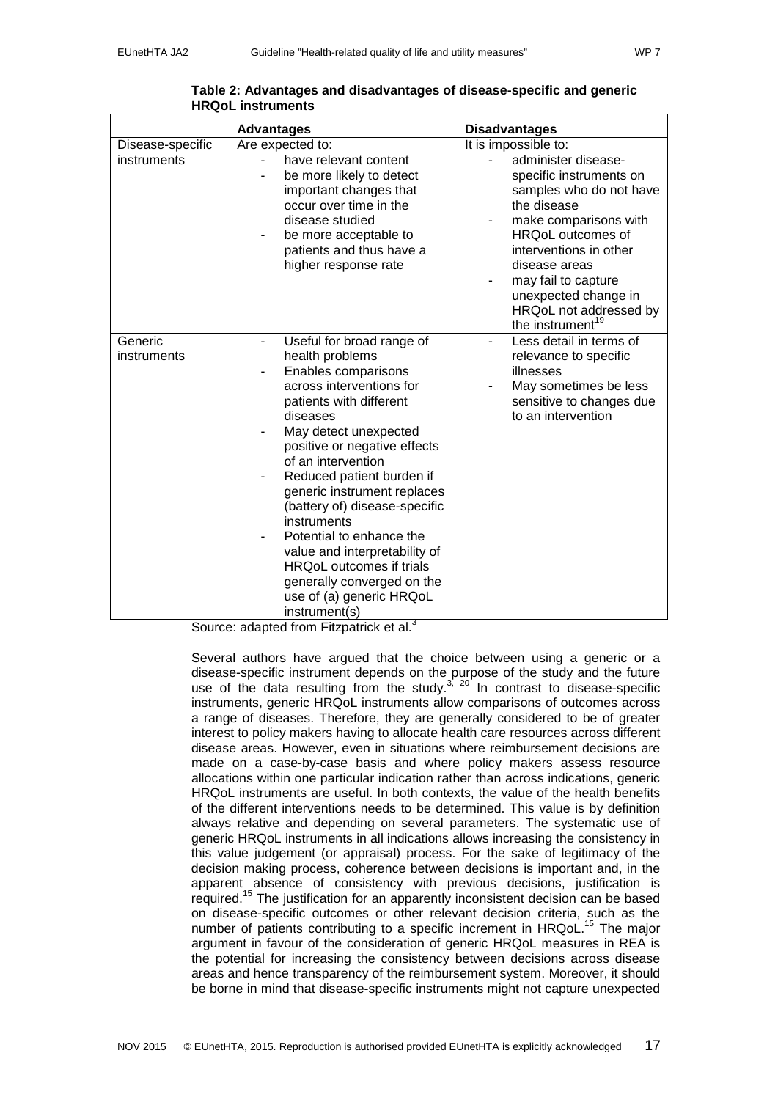|--|--|

<span id="page-16-0"></span>

|                        | <b>Advantages</b>                                                                                                                                                                                                                                                                                                                                                                                                                                                                                                 | <b>Disadvantages</b>                                                                                                                                                                                                                                                                       |
|------------------------|-------------------------------------------------------------------------------------------------------------------------------------------------------------------------------------------------------------------------------------------------------------------------------------------------------------------------------------------------------------------------------------------------------------------------------------------------------------------------------------------------------------------|--------------------------------------------------------------------------------------------------------------------------------------------------------------------------------------------------------------------------------------------------------------------------------------------|
| Disease-specific       | Are expected to:                                                                                                                                                                                                                                                                                                                                                                                                                                                                                                  | It is impossible to:                                                                                                                                                                                                                                                                       |
| instruments            | have relevant content<br>be more likely to detect<br>important changes that<br>occur over time in the<br>disease studied<br>be more acceptable to<br>patients and thus have a<br>higher response rate                                                                                                                                                                                                                                                                                                             | administer disease-<br>specific instruments on<br>samples who do not have<br>the disease<br>make comparisons with<br>HRQoL outcomes of<br>interventions in other<br>disease areas<br>may fail to capture<br>unexpected change in<br>HRQoL not addressed by<br>the instrument <sup>19</sup> |
| Generic<br>instruments | Useful for broad range of<br>٠<br>health problems<br>Enables comparisons<br>across interventions for<br>patients with different<br>diseases<br>May detect unexpected<br>positive or negative effects<br>of an intervention<br>Reduced patient burden if<br>generic instrument replaces<br>(battery of) disease-specific<br>instruments<br>Potential to enhance the<br>value and interpretability of<br><b>HRQoL</b> outcomes if trials<br>generally converged on the<br>use of (a) generic HRQoL<br>instrument(s) | Less detail in terms of<br>relevance to specific<br>illnesses<br>May sometimes be less<br>sensitive to changes due<br>to an intervention                                                                                                                                                   |

**Table 2: Advantages and disadvantages of disease-specific and generic HRQoL instruments**

Source: adapted from Fitzpatrick et al[.](#page-31-3)<sup>3</sup>

Several authors have argued that the choice between using a generic or a disease-specific instrument depends on the purpose of the study and the future use of the data resulting from the study. $3^{1/20}$  $3^{1/20}$  $3^{1/20}$  In contrast to disease-specific instruments, generic HRQoL instruments allow comparisons of outcomes across a range of diseases. Therefore, they are generally considered to be of greater interest to policy makers having to allocate health care resources across different disease areas. However, even in situations where reimbursement decisions are made on a case-by-case basis and where policy makers assess resource allocations within one particular indication rather than across indications, generic HRQoL instruments are useful. In both contexts, the value of the health benefits of the different interventions needs to be determined. This value is by definition always relative and depending on several parameters. The systematic use of generic HRQoL instruments in all indications allows increasing the consistency in this value judgement (or appraisal) process. For the sake of legitimacy of the decision making process, coherence between decisions is important and, in the apparent absence of consistency with previous decisions, justification is required. [15](#page-31-15) The justification for an apparently inconsistent decision can be based on disease-specific outcomes or other relevant decision criteria, such as the number of patients contributing to a specific increment in HRQoL.<sup>[15](#page-31-15)</sup> The major argument in favour of the consideration of generic HRQoL measures in REA is the potential for increasing the consistency between decisions across disease areas and hence transparency of the reimbursement system. Moreover, it should be borne in mind that disease-specific instruments might not capture unexpected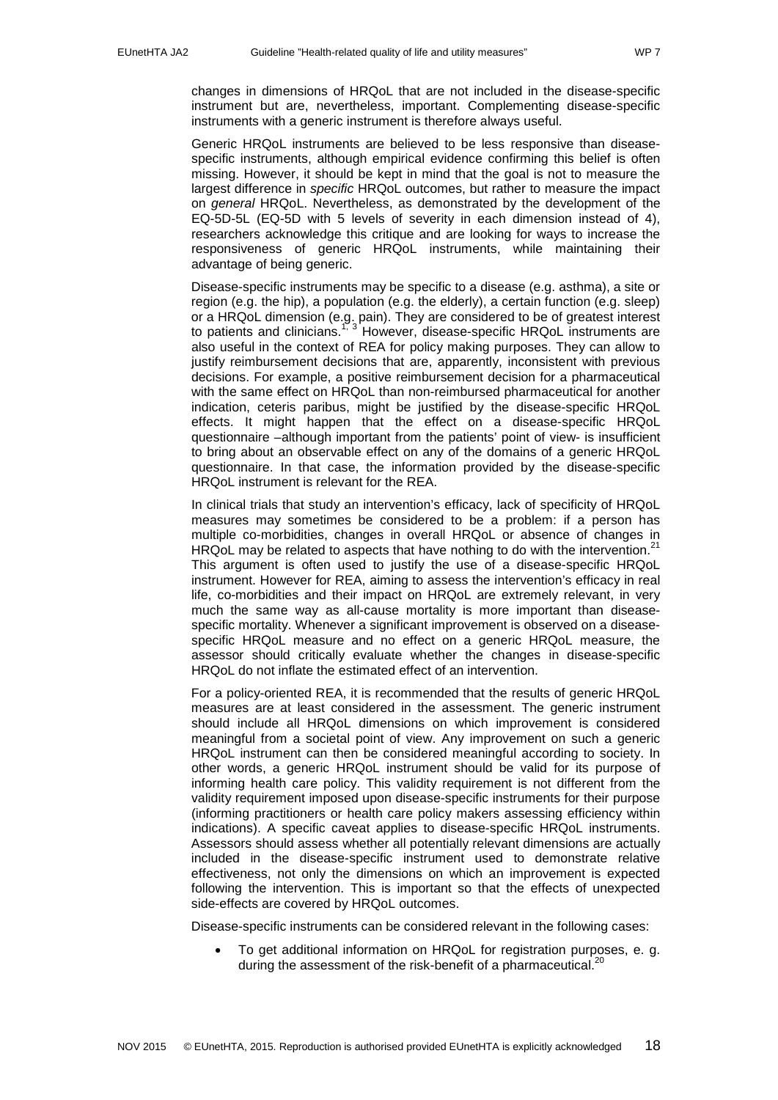changes in dimensions of HRQoL that are not included in the disease-specific instrument but are, nevertheless, important. Complementing disease-specific instruments with a generic instrument is therefore always useful.

Generic HRQoL instruments are believed to be less responsive than diseasespecific instruments, although empirical evidence confirming this belief is often missing. However, it should be kept in mind that the goal is not to measure the largest difference in *specific* HRQoL outcomes, but rather to measure the impact on *general* HRQoL. Nevertheless, as demonstrated by the development of the EQ-5D-5L (EQ-5D with 5 levels of severity in each dimension instead of 4), researchers acknowledge this critique and are looking for ways to increase the responsiveness of generic HRQoL instruments, while maintaining their advantage of being generic.

Disease-specific instruments may be specific to a disease (e.g. asthma), a site or region (e.g. the hip), a population (e.g. the elderly), a certain function (e.g. sleep) or a HRQoL dimension (e.g. pain). They are considered to be of greatest interest to patients and clinicians.<sup>[1,](#page-31-1) [3](#page-31-3)</sup> However, disease-specific HRQoL instruments are also useful in the context of REA for policy making purposes. They can allow to justify reimbursement decisions that are, apparently, inconsistent with previous decisions. For example, a positive reimbursement decision for a pharmaceutical with the same effect on HRQoL than non-reimbursed pharmaceutical for another indication, ceteris paribus, might be justified by the disease-specific HRQoL effects. It might happen that the effect on a disease-specific HRQoL questionnaire –although important from the patients' point of view- is insufficient to bring about an observable effect on any of the domains of a generic HRQoL questionnaire. In that case, the information provided by the disease-specific HRQoL instrument is relevant for the REA.

In clinical trials that study an intervention's efficacy, lack of specificity of HRQoL measures may sometimes be considered to be a problem: if a person has multiple co-morbidities, changes in overall HRQoL or absence of changes in HRQoL may be related to aspects that have nothing to do with the intervention.<sup>[21](#page-31-21)</sup> This argument is often used to justify the use of a disease-specific HRQoL instrument. However for REA, aiming to assess the intervention's efficacy in real life, co-morbidities and their impact on HRQoL are extremely relevant, in very much the same way as all-cause mortality is more important than diseasespecific mortality. Whenever a significant improvement is observed on a diseasespecific HRQoL measure and no effect on a generic HRQoL measure, the assessor should critically evaluate whether the changes in disease-specific HRQoL do not inflate the estimated effect of an intervention.

For a policy-oriented REA, it is recommended that the results of generic HRQoL measures are at least considered in the assessment. The generic instrument should include all HRQoL dimensions on which improvement is considered meaningful from a societal point of view. Any improvement on such a generic HRQoL instrument can then be considered meaningful according to society. In other words, a generic HRQoL instrument should be valid for its purpose of informing health care policy. This validity requirement is not different from the validity requirement imposed upon disease-specific instruments for their purpose (informing practitioners or health care policy makers assessing efficiency within indications). A specific caveat applies to disease-specific HRQoL instruments. Assessors should assess whether all potentially relevant dimensions are actually included in the disease-specific instrument used to demonstrate relative effectiveness, not only the dimensions on which an improvement is expected following the intervention. This is important so that the effects of unexpected side-effects are covered by HRQoL outcomes.

Disease-specific instruments can be considered relevant in the following cases:

• To get additional information on HRQoL for registration purposes, e. g. during the assessment of the risk-benefit of a pharmaceutical.<sup>[20](#page-31-20)</sup>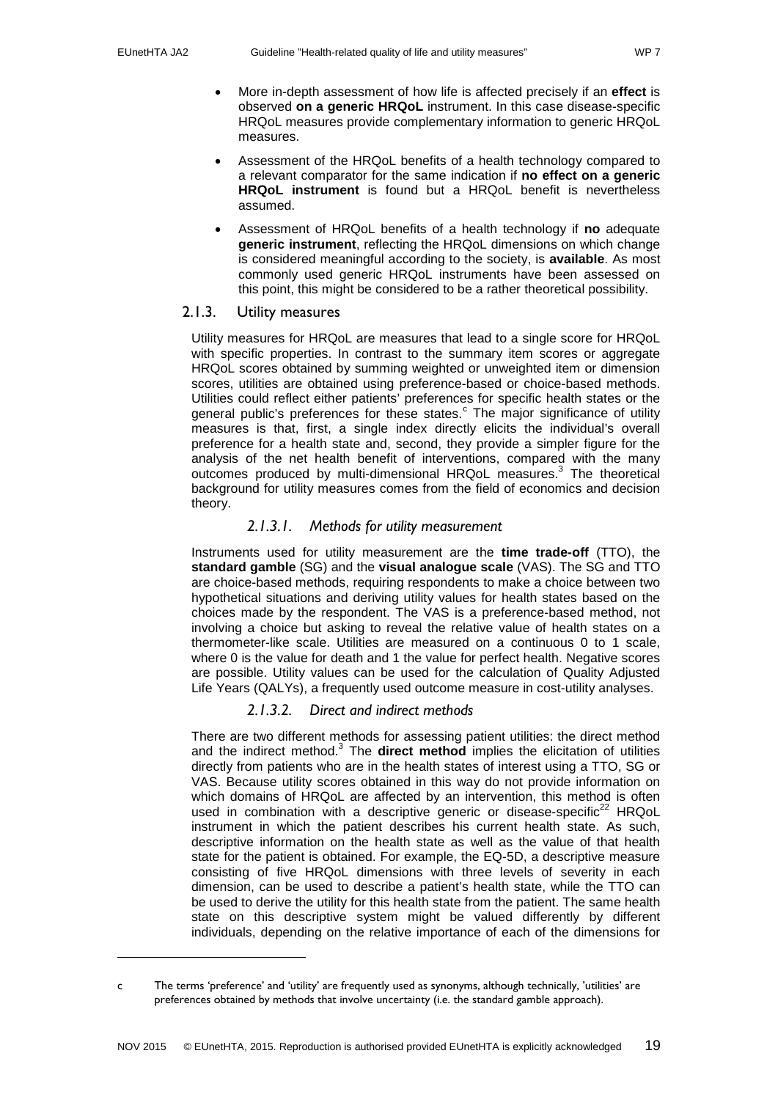j

- More in-depth assessment of how life is affected precisely if an **effect** is observed **on a generic HRQoL** instrument. In this case disease-specific HRQoL measures provide complementary information to generic HRQoL measures.
- Assessment of the HRQoL benefits of a health technology compared to a relevant comparator for the same indication if **no effect on a generic HRQoL instrument** is found but a HRQoL benefit is nevertheless assumed.
- Assessment of HRQoL benefits of a health technology if **no** adequate **generic instrument**, reflecting the HRQoL dimensions on which change is considered meaningful according to the society, is **available**. As most commonly used generic HRQoL instruments have been assessed on this point, this might be considered to be a rather theoretical possibility.

## <span id="page-18-0"></span>2.1.3. Utility measures

Utility measures for HRQoL are measures that lead to a single score for HRQoL with specific properties. In contrast to the summary item scores or aggregate HRQoL scores obtained by summing weighted or unweighted item or dimension scores, utilities are obtained using preference-based or choice-based methods. Utilities could reflect either patients' preferences for specific health states or the general publi[c](#page-18-1)'s preferences for these states.<sup>c</sup> The major significance of utility measures is that, first, a single index directly elicits the individual's overall preference for a health state and, second, they provide a simpler figure for the analysis of the net health benefit of interventions, compared with the many outcomes produced by multi-dimensional HRQoL measures[.](#page-31-3)<sup>3</sup> The theoretical background for utility measures comes from the field of economics and decision theory.

## *2.1.3.1. Methods for utility measurement*

Instruments used for utility measurement are the **time trade-off** (TTO), the **standard gamble** (SG) and the **visual analogue scale** (VAS). The SG and TTO are choice-based methods, requiring respondents to make a choice between two hypothetical situations and deriving utility values for health states based on the choices made by the respondent. The VAS is a preference-based method, not involving a choice but asking to reveal the relative value of health states on a thermometer-like scale. Utilities are measured on a continuous 0 to 1 scale, where 0 is the value for death and 1 the value for perfect health. Negative scores are possible. Utility values can be used for the calculation of Quality Adjusted Life Years (QALYs), a frequently used outcome measure in cost-utility analyses.

## *2.1.3.2. Direct and indirect methods*

There are two different methods for assessing patient utilities: the direct method and the indirect method[.](#page-31-3)<sup>3</sup> The **direct method** implies the elicitation of utilities directly from patients who are in the health states of interest using a TTO, SG or VAS. Because utility scores obtained in this way do not provide information on which domains of HRQoL are affected by an intervention, this method is often used in combination with a descriptive generic or disease-specific $^{22}$  $^{22}$  $^{22}$  HRQoL instrument in which the patient describes his current health state. As such, descriptive information on the health state as well as the value of that health state for the patient is obtained. For example, the EQ-5D, a descriptive measure consisting of five HRQoL dimensions with three levels of severity in each dimension, can be used to describe a patient's health state, while the TTO can be used to derive the utility for this health state from the patient. The same health state on this descriptive system might be valued differently by different individuals, depending on the relative importance of each of the dimensions for

<span id="page-18-1"></span>c The terms 'preference' and 'utility' are frequently used as synonyms, although technically, 'utilities' are preferences obtained by methods that involve uncertainty (i.e. the standard gamble approach).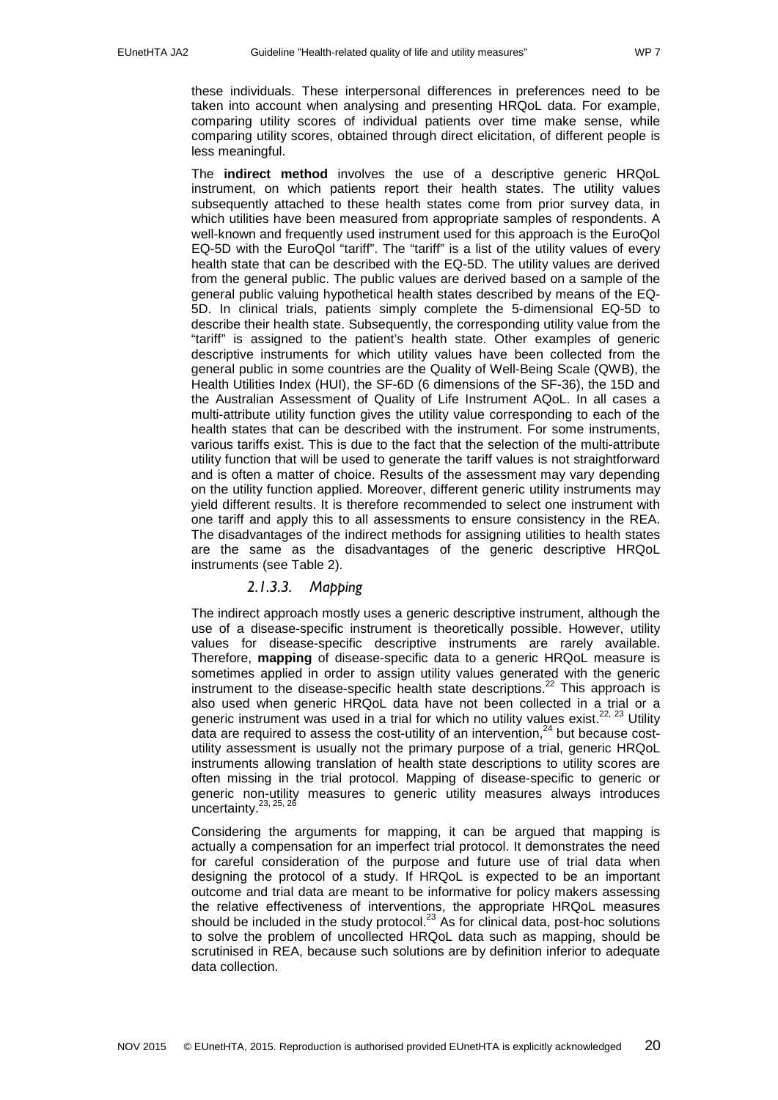these individuals. These interpersonal differences in preferences need to be taken into account when analysing and presenting HRQoL data. For example, comparing utility scores of individual patients over time make sense, while comparing utility scores, obtained through direct elicitation, of different people is less meaningful.

The **indirect method** involves the use of a descriptive generic HRQoL instrument, on which patients report their health states. The utility values subsequently attached to these health states come from prior survey data, in which utilities have been measured from appropriate samples of respondents. A well-known and frequently used instrument used for this approach is the EuroQol EQ-5D with the EuroQol "tariff". The "tariff" is a list of the utility values of every health state that can be described with the EQ-5D. The utility values are derived from the general public. The public values are derived based on a sample of the general public valuing hypothetical health states described by means of the EQ-5D. In clinical trials, patients simply complete the 5-dimensional EQ-5D to describe their health state. Subsequently, the corresponding utility value from the "tariff" is assigned to the patient's health state. Other examples of generic descriptive instruments for which utility values have been collected from the general public in some countries are the Quality of Well-Being Scale (QWB), the Health Utilities Index (HUI), the SF-6D (6 dimensions of the SF-36), the 15D and the Australian Assessment of Quality of Life Instrument AQoL. In all cases a multi-attribute utility function gives the utility value corresponding to each of the health states that can be described with the instrument. For some instruments, various tariffs exist. This is due to the fact that the selection of the multi-attribute utility function that will be used to generate the tariff values is not straightforward and is often a matter of choice. Results of the assessment may vary depending on the utility function applied. Moreover, different generic utility instruments may yield different results. It is therefore recommended to select one instrument with one tariff and apply this to all assessments to ensure consistency in the REA. The disadvantages of the indirect methods for assigning utilities to health states are the same as the disadvantages of the generic descriptive HRQoL instruments (see Table 2).

#### *2.1.3.3. Mapping*

<span id="page-19-0"></span>The indirect approach mostly uses a generic descriptive instrument, although the use of a disease-specific instrument is theoretically possible. However, utility values for disease-specific descriptive instruments are rarely available. Therefore, **mapping** of disease-specific data to a generic HRQoL measure is sometimes applied in order to assign utility values generated with the generic instrument to the disease-specific health state descriptions.[22](#page-31-22) This approach is also used when generic HRQoL data have not been collected in a trial or a generic instrument was used in a trial for which no utility values exist.<sup>[22,](#page-31-22) [23](#page-32-0)</sup> Utility data are required to assess the cost-utility of an intervention,<sup>[24](#page-32-1)</sup> but because costutility assessment is usually not the primary purpose of a trial, generic HRQoL instruments allowing translation of health state descriptions to utility scores are often missing in the trial protocol. Mapping of disease-specific to generic or generic non-utility measures to generic utility measures always introduces uncertainty.<sup>[23,](#page-32-0) [25,](#page-32-2) [26](#page-32-3)</sup>

Considering the arguments for mapping, it can be argued that mapping is actually a compensation for an imperfect trial protocol. It demonstrates the need for careful consideration of the purpose and future use of trial data when designing the protocol of a study. If HRQoL is expected to be an important outcome and trial data are meant to be informative for policy makers assessing the relative effectiveness of interventions, the appropriate HRQoL measures should be included in the study protocol. $^{23}$  $^{23}$  $^{23}$  As for clinical data, post-hoc solutions to solve the problem of uncollected HRQoL data such as mapping, should be scrutinised in REA, because such solutions are by definition inferior to adequate data collection.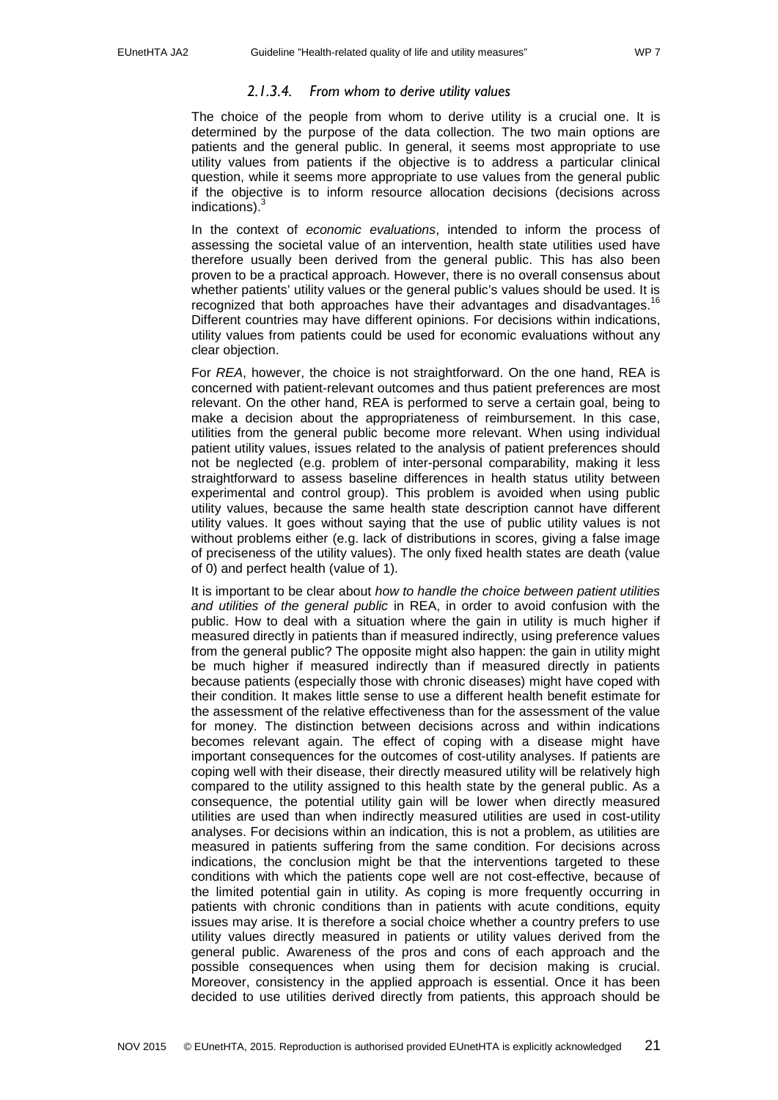### *2.1.3.4. From whom to derive utility values*

The choice of the people from whom to derive utility is a crucial one. It is determined by the purpose of the data collection. The two main options are patients and the general public. In general, it seems most appropriate to use utility values from patients if the objective is to address a particular clinical question, while it seems more appropriate to use values from the general public if the objective is to inform resource allocation decisions (decisions across indications). [3](#page-31-3)

In the context of *economic evaluations*, intended to inform the process of assessing the societal value of an intervention, health state utilities used have therefore usually been derived from the general public. This has also been proven to be a practical approach. However, there is no overall consensus about whether patients' utility values or the general public's values should be used. It is recognized that both approaches have their advantages and disadvantages.<sup>[16](#page-31-16)</sup> Different countries may have different opinions. For decisions within indications, utility values from patients could be used for economic evaluations without any clear objection.

For *REA*, however, the choice is not straightforward. On the one hand, REA is concerned with patient-relevant outcomes and thus patient preferences are most relevant. On the other hand, REA is performed to serve a certain goal, being to make a decision about the appropriateness of reimbursement. In this case, utilities from the general public become more relevant. When using individual patient utility values, issues related to the analysis of patient preferences should not be neglected (e.g. problem of inter-personal comparability, making it less straightforward to assess baseline differences in health status utility between experimental and control group). This problem is avoided when using public utility values, because the same health state description cannot have different utility values. It goes without saying that the use of public utility values is not without problems either (e.g. lack of distributions in scores, giving a false image of preciseness of the utility values). The only fixed health states are death (value of 0) and perfect health (value of 1).

It is important to be clear about *how to handle the choice between patient utilities and utilities of the general public* in REA, in order to avoid confusion with the public. How to deal with a situation where the gain in utility is much higher if measured directly in patients than if measured indirectly, using preference values from the general public? The opposite might also happen: the gain in utility might be much higher if measured indirectly than if measured directly in patients because patients (especially those with chronic diseases) might have coped with their condition. It makes little sense to use a different health benefit estimate for the assessment of the relative effectiveness than for the assessment of the value for money. The distinction between decisions across and within indications becomes relevant again. The effect of coping with a disease might have important consequences for the outcomes of cost-utility analyses. If patients are coping well with their disease, their directly measured utility will be relatively high compared to the utility assigned to this health state by the general public. As a consequence, the potential utility gain will be lower when directly measured utilities are used than when indirectly measured utilities are used in cost-utility analyses. For decisions within an indication, this is not a problem, as utilities are measured in patients suffering from the same condition. For decisions across indications, the conclusion might be that the interventions targeted to these conditions with which the patients cope well are not cost-effective, because of the limited potential gain in utility. As coping is more frequently occurring in patients with chronic conditions than in patients with acute conditions, equity issues may arise. It is therefore a social choice whether a country prefers to use utility values directly measured in patients or utility values derived from the general public. Awareness of the pros and cons of each approach and the possible consequences when using them for decision making is crucial. Moreover, consistency in the applied approach is essential. Once it has been decided to use utilities derived directly from patients, this approach should be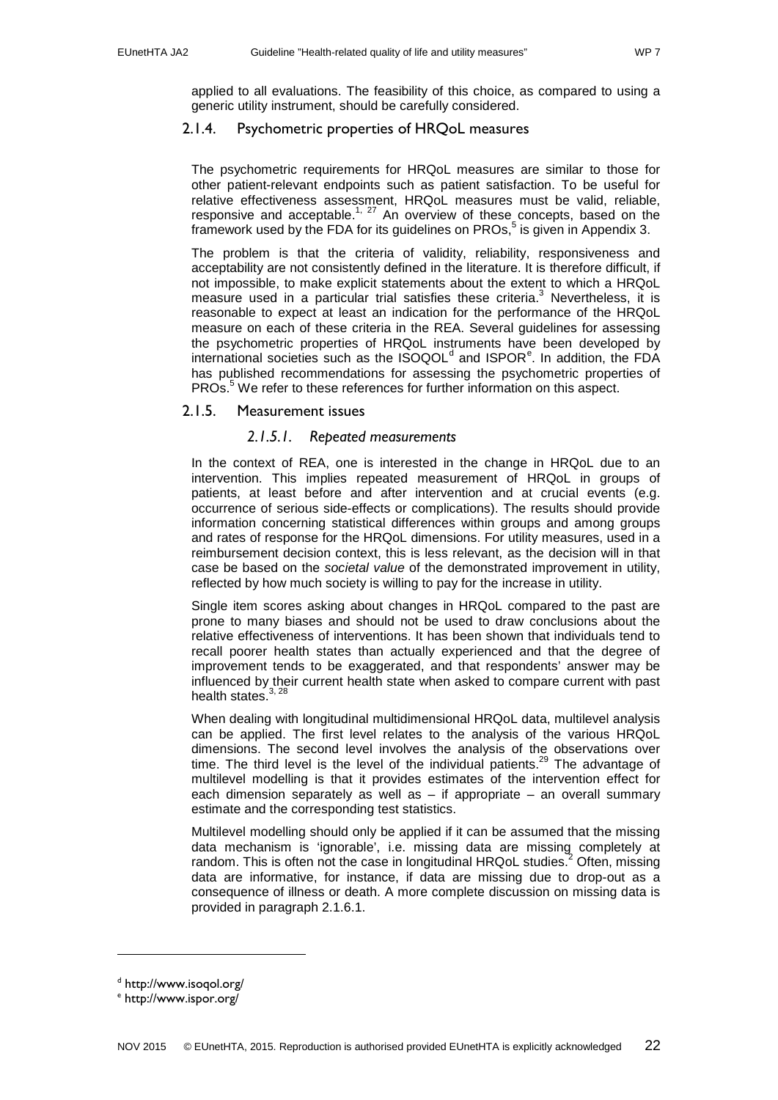applied to all evaluations. The feasibility of this choice, as compared to using a generic utility instrument, should be carefully considered.

## <span id="page-21-0"></span>2.1.4. Psychometric properties of HRQoL measures

The psychometric requirements for HRQoL measures are similar to those for other patient-relevant endpoints such as patient satisfaction. To be useful for relative effectiveness assessment, HRQoL measures must be valid, reliable, responsive and acceptable.<sup>[1,](#page-31-1) [27](#page-32-4)</sup> An overview of these concepts, based on the framework used by the FDA for its guidelines on  $PROs$ <sup>5</sup> is given in Appendix 3.

The problem is that the criteria of validity, reliability, responsiveness and acceptability are not consistently defined in the literature. It is therefore difficult, if not impossible, to make explicit statements about the extent to which a HRQoL measure used in a particular trial satisfies these criteria. $3$  Nevertheless, it is reasonable to expect at least an indication for the performance of the HRQoL measure on each of these criteria in the REA. Several guidelines for assessing the psychometric properties of HRQoL instruments have been developed by int[e](#page-21-4)rnational societies such as the  $ISOQOL<sup>d</sup>$  $ISOQOL<sup>d</sup>$  $ISOQOL<sup>d</sup>$  and  $ISPOR<sup>e</sup>$ . In addition, the FDA has published recommendations for assessing the psychometric properties of PROs.<sup>3</sup> We refer to these references for further information on this aspect.

## <span id="page-21-2"></span><span id="page-21-1"></span>2.1.5. Measurement issues

## *2.1.5.1. Repeated measurements*

In the context of REA, one is interested in the change in HRQoL due to an intervention. This implies repeated measurement of HRQoL in groups of patients, at least before and after intervention and at crucial events (e.g. occurrence of serious side-effects or complications). The results should provide information concerning statistical differences within groups and among groups and rates of response for the HRQoL dimensions. For utility measures, used in a reimbursement decision context, this is less relevant, as the decision will in that case be based on the *societal value* of the demonstrated improvement in utility, reflected by how much society is willing to pay for the increase in utility.

Single item scores asking about changes in HRQoL compared to the past are prone to many biases and should not be used to draw conclusions about the relative effectiveness of interventions. It has been shown that individuals tend to recall poorer health states than actually experienced and that the degree of improvement tends to be exaggerated, and that respondents' answer may be influenced by their current health state when asked to compare current with past health states.<sup>[3,](#page-31-3) [28](#page-32-5)</sup>

When dealing with longitudinal multidimensional HRQoL data, multilevel analysis can be applied. The first level relates to the analysis of the various HRQoL dimensions. The second level involves the analysis of the observations over time. The third level is the level of the individual patients.<sup>[29](#page-32-6)</sup> The advantage of multilevel modelling is that it provides estimates of the intervention effect for each dimension separately as well as  $-$  if appropriate  $-$  an overall summary estimate and the corresponding test statistics.

Multilevel modelling should only be applied if it can be assumed that the missing data mechanism is 'ignorable', i.e. missing data are missing completely at random. This is often not the case in longitudinal  $HRQoL$  studies.<sup>2</sup> Often, missing data are informative, for instance, if data are missing due to drop-out as a consequence of illness or death. A more complete discussion on missing data is provided in paragraph [2.1.6.1.](#page-24-1)

-

<span id="page-21-3"></span><sup>d</sup> http://www.isoqol.org/

<span id="page-21-4"></span><sup>e</sup> http://www.ispor.org/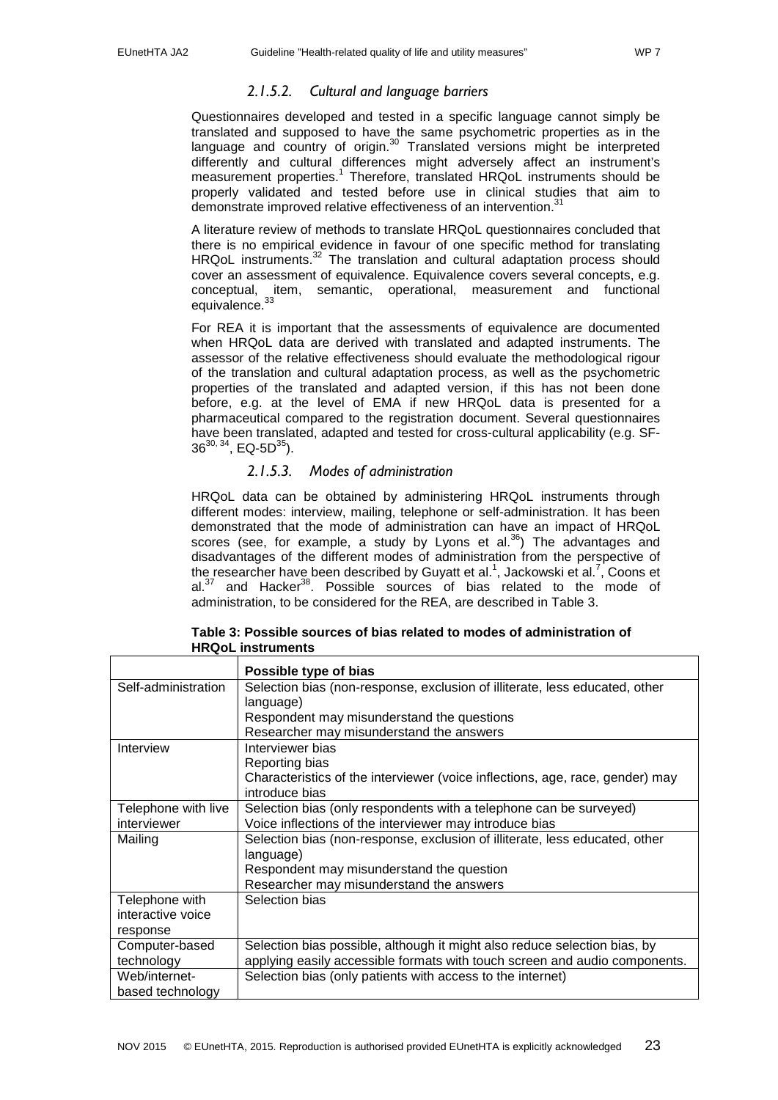## *2.1.5.2. Cultural and language barriers*

<span id="page-22-0"></span>Questionnaires developed and tested in a specific language cannot simply be translated and supposed to have the same psychometric properties as in the language and country of origin.<sup>30</sup> Translated versions might be interpreted differently and cultural differences might adversely affect an instrument's measurement properties[.](#page-31-1)<sup>1</sup> Therefore, translated HRQoL instruments should be properly validated and tested before use in clinical studies that aim to demonstrate improved relative effectiveness of an intervention.<sup>3</sup>

A literature review of methods to translate HRQoL questionnaires concluded that there is no empirical evidence in favour of one specific method for translating HRQoL instruments.<sup>[32](#page-32-9)</sup> The translation and cultural adaptation process should cover an assessment of equivalence. Equivalence covers several concepts, e.g. conceptual, item, semantic, operational, measurement and functional equivalence.<sup>[33](#page-32-10)</sup>

For REA it is important that the assessments of equivalence are documented when HRQoL data are derived with translated and adapted instruments. The assessor of the relative effectiveness should evaluate the methodological rigour of the translation and cultural adaptation process, as well as the psychometric properties of the translated and adapted version, if this has not been done before, e.g. at the level of EMA if new HRQoL data is presented for a pharmaceutical compared to the registration document. Several questionnaires have been translated, adapted and tested for cross-cultural applicability (e.g. SF- $36^{30, 34}$ , EQ-5D<sup>35</sup>).

## *2.1.5.3. Modes of administration*

<span id="page-22-1"></span>HRQoL data can be obtained by administering HRQoL instruments through different modes: interview, mailing, telephone or self-administration. It has been demonstrated that the mode of administration can have an impact of HRQoL scores (see, for example, a study by Lyons et al.<sup>36</sup>) The advantages and disadvantages of the different modes of administration from the perspective of the researcher have been described by Guyatt et al.<sup>1</sup>[,](#page-31-7) Jackowski et al.<sup>7</sup>, Coons et al. $3^7$  and Hacker<sup>38</sup>. Possible sources of bias related to the mode of administration, to be considered for the REA, are described in Table 3.

|                     | Possible type of bias                                                         |
|---------------------|-------------------------------------------------------------------------------|
| Self-administration | Selection bias (non-response, exclusion of illiterate, less educated, other   |
|                     | language)                                                                     |
|                     | Respondent may misunderstand the questions                                    |
|                     | Researcher may misunderstand the answers                                      |
| Interview           | Interviewer bias                                                              |
|                     | Reporting bias                                                                |
|                     | Characteristics of the interviewer (voice inflections, age, race, gender) may |
|                     | introduce bias                                                                |
| Telephone with live | Selection bias (only respondents with a telephone can be surveyed)            |
| interviewer         | Voice inflections of the interviewer may introduce bias                       |
| Mailing             | Selection bias (non-response, exclusion of illiterate, less educated, other   |
|                     | language)                                                                     |
|                     | Respondent may misunderstand the question                                     |
|                     | Researcher may misunderstand the answers                                      |
| Telephone with      | Selection bias                                                                |
| interactive voice   |                                                                               |
| response            |                                                                               |
| Computer-based      | Selection bias possible, although it might also reduce selection bias, by     |
| technology          | applying easily accessible formats with touch screen and audio components.    |
| Web/internet-       | Selection bias (only patients with access to the internet)                    |
| based technology    |                                                                               |

| Table 3: Possible sources of bias related to modes of administration of |
|-------------------------------------------------------------------------|
| <b>HRQoL</b> instruments                                                |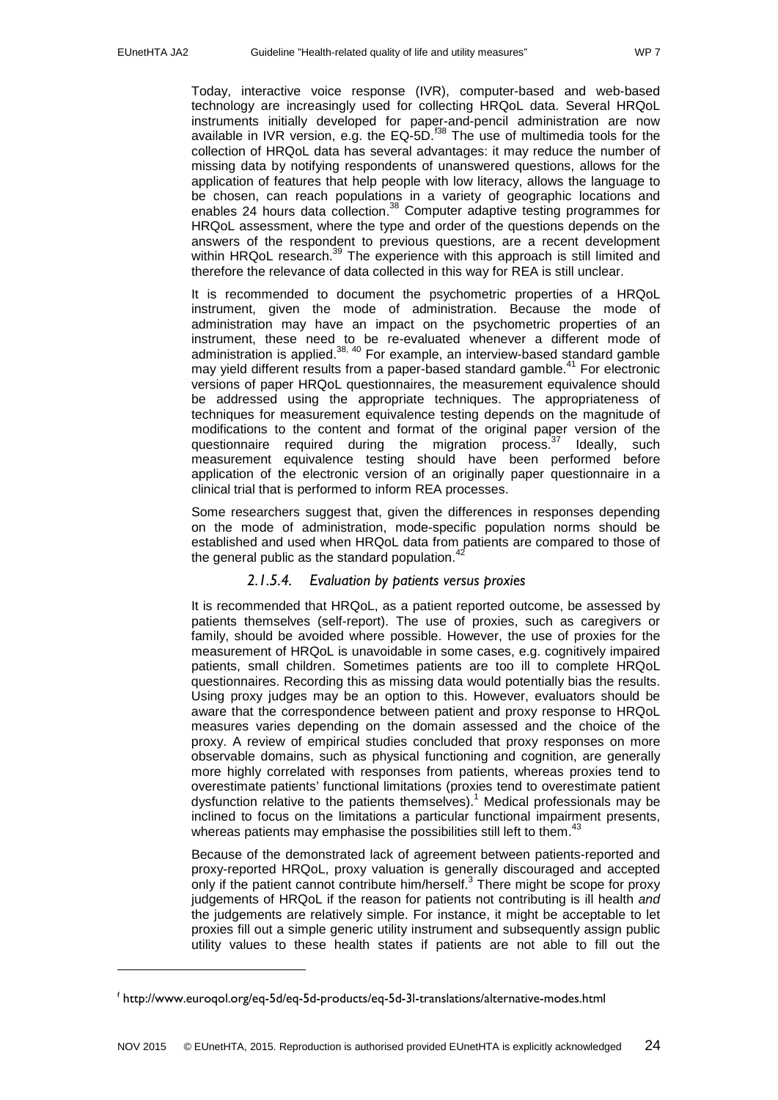-

Today, interactive voice response (IVR), computer-based and web-based technology are increasingly used for collecting HRQoL data. Several HRQoL instruments initially developed for paper-and-pencil administration are now available in IVR version, e.g. the EQ-5D.<sup> $138$ </sup> The use of multimedia tools for the collection of HRQoL data has several advantages: it may reduce the number of missing data by notifying respondents of unanswered questions, allows for the application of features that help people with low literacy, allows the language to be chosen, can reach populations in a variety of geographic locations and enables 24 hours data collection.<sup>[38](#page-32-15)</sup> Computer adaptive testing programmes for HRQoL assessment, where the type and order of the questions depends on the answers of the respondent to previous questions, are a recent development within HRQoL research.<sup>[39](#page-32-16)</sup> The experience with this approach is still limited and therefore the relevance of data collected in this way for REA is still unclear.

It is recommended to document the psychometric properties of a HRQoL instrument, given the mode of administration. Because the mode of administration may have an impact on the psychometric properties of an instrument, these need to be re-evaluated whenever a different mode of administration is applied. $38,40$  $38,40$  For example, an interview-based standard gamble may yield different results from a paper-based standard gamble.<sup>[41](#page-32-18)</sup> For electronic versions of paper HRQoL questionnaires, the measurement equivalence should be addressed using the appropriate techniques. The appropriateness of techniques for measurement equivalence testing depends on the magnitude of modifications to the content and format of the original paper version of the questionnaire required during the migration process.<sup>[37](#page-32-14)</sup> Ideally, such measurement equivalence testing should have been performed before application of the electronic version of an originally paper questionnaire in a clinical trial that is performed to inform REA processes.

Some researchers suggest that, given the differences in responses depending on the mode of administration, mode-specific population norms should be established and used when HRQoL data from patients are compared to those of the general public as the standard population.<sup>[42](#page-33-0)</sup>

## *2.1.5.4. Evaluation by patients versus proxies*

<span id="page-23-0"></span>It is recommended that HRQoL, as a patient reported outcome, be assessed by patients themselves (self-report). The use of proxies, such as caregivers or family, should be avoided where possible. However, the use of proxies for the measurement of HRQoL is unavoidable in some cases, e.g. cognitively impaired patients, small children. Sometimes patients are too ill to complete HRQoL questionnaires. Recording this as missing data would potentially bias the results. Using proxy judges may be an option to this. However, evaluators should be aware that the correspondence between patient and proxy response to HRQoL measures varies depending on the domain assessed and the choice of the proxy. A review of empirical studies concluded that proxy responses on more observable domains, such as physical functioning and cognition, are generally more highly correlated with responses from patients, whereas proxies tend to overestimate patients' functional limitations (proxies tend to overestimate patient dysfunction relative to the patients themselves).<sup>[1](#page-31-1)</sup> Medical professionals may be inclined to focus on the limitations a particular functional impairment presents, whereas patients may emphasise the possibilities still left to them.<sup>[43](#page-33-1)</sup>

Because of the demonstrated lack of agreement between patients-reported and proxy-reported HRQoL, proxy valuation is generally discouraged and accepted only if the patient cannot contribute him/herself[.](#page-31-3) <sup>3</sup> There might be scope for proxy judgements of HRQoL if the reason for patients not contributing is ill health *and* the judgements are relatively simple. For instance, it might be acceptable to let proxies fill out a simple generic utility instrument and subsequently assign public utility values to these health states if patients are not able to fill out the

<span id="page-23-1"></span><sup>f</sup> http://www.euroqol.org/eq-5d/eq-5d-products/eq-5d-3l-translations/alternative-modes.html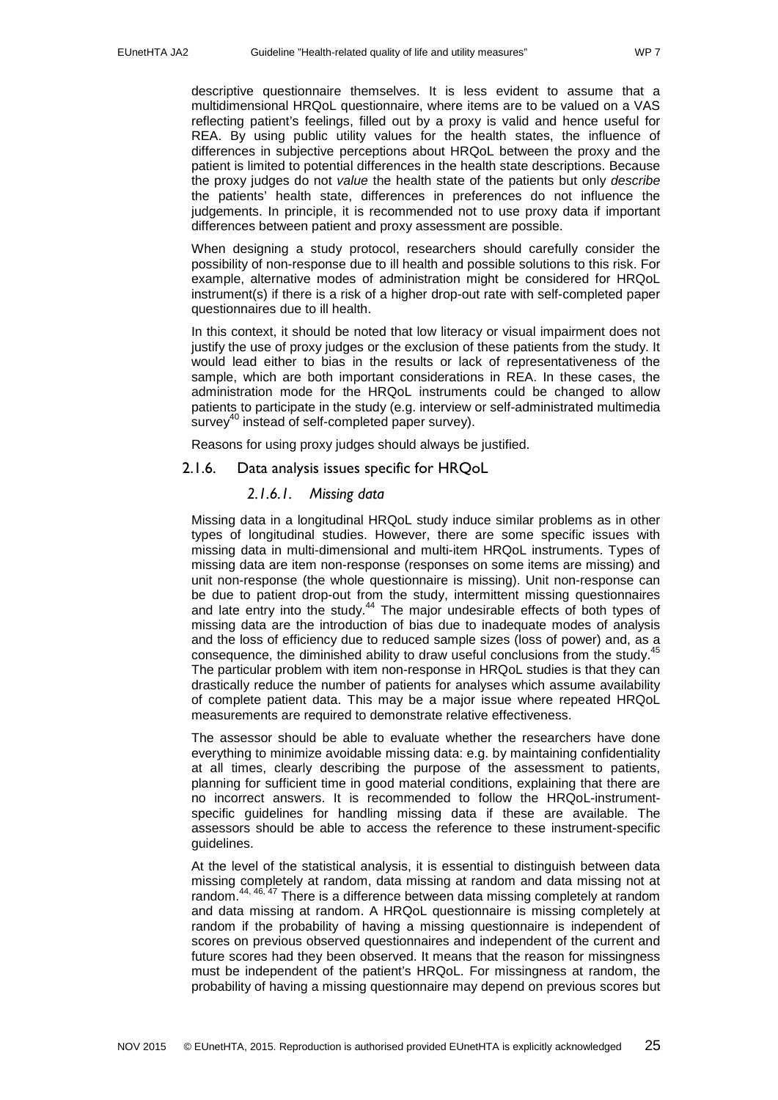descriptive questionnaire themselves. It is less evident to assume that a multidimensional HRQoL questionnaire, where items are to be valued on a VAS reflecting patient's feelings, filled out by a proxy is valid and hence useful for REA. By using public utility values for the health states, the influence of differences in subjective perceptions about HRQoL between the proxy and the patient is limited to potential differences in the health state descriptions. Because the proxy judges do not *value* the health state of the patients but only *describe* the patients' health state, differences in preferences do not influence the judgements. In principle, it is recommended not to use proxy data if important differences between patient and proxy assessment are possible.

When designing a study protocol, researchers should carefully consider the possibility of non-response due to ill health and possible solutions to this risk. For example, alternative modes of administration might be considered for HRQoL instrument(s) if there is a risk of a higher drop-out rate with self-completed paper questionnaires due to ill health.

In this context, it should be noted that low literacy or visual impairment does not justify the use of proxy judges or the exclusion of these patients from the study. It would lead either to bias in the results or lack of representativeness of the sample, which are both important considerations in REA. In these cases, the administration mode for the HRQoL instruments could be changed to allow patients to participate in the study (e.g. interview or self-administrated multimedia survey<sup>40</sup> instead of self-completed paper survey).

Reasons for using proxy judges should always be justified.

<span id="page-24-1"></span><span id="page-24-0"></span>2.1.6. Data analysis issues specific for HRQoL

### *2.1.6.1. Missing data*

Missing data in a longitudinal HRQoL study induce similar problems as in other types of longitudinal studies. However, there are some specific issues with missing data in multi-dimensional and multi-item HRQoL instruments. Types of missing data are item non-response (responses on some items are missing) and unit non-response (the whole questionnaire is missing). Unit non-response can be due to patient drop-out from the study, intermittent missing questionnaires and late entry into the study.<sup>[44](#page-33-2)</sup> The major undesirable effects of both types of missing data are the introduction of bias due to inadequate modes of analysis and the loss of efficiency due to reduced sample sizes (loss of power) and, as a consequence, the diminished ability to draw useful conclusions from the study.<sup>[45](#page-33-3)</sup> The particular problem with item non-response in HRQoL studies is that they can drastically reduce the number of patients for analyses which assume availability of complete patient data. This may be a major issue where repeated HRQoL measurements are required to demonstrate relative effectiveness.

The assessor should be able to evaluate whether the researchers have done everything to minimize avoidable missing data: e.g. by maintaining confidentiality at all times, clearly describing the purpose of the assessment to patients, planning for sufficient time in good material conditions, explaining that there are no incorrect answers. It is recommended to follow the HRQoL-instrumentspecific guidelines for handling missing data if these are available. The assessors should be able to access the reference to these instrument-specific guidelines.

At the level of the statistical analysis, it is essential to distinguish between data missing completely at random, data missing at random and data missing not at random.<sup>[44,](#page-33-2) [46,](#page-33-4) [47](#page-33-5)</sup> There is a difference between data missing completely at random and data missing at random. A HRQoL questionnaire is missing completely at random if the probability of having a missing questionnaire is independent of scores on previous observed questionnaires and independent of the current and future scores had they been observed. It means that the reason for missingness must be independent of the patient's HRQoL. For missingness at random, the probability of having a missing questionnaire may depend on previous scores but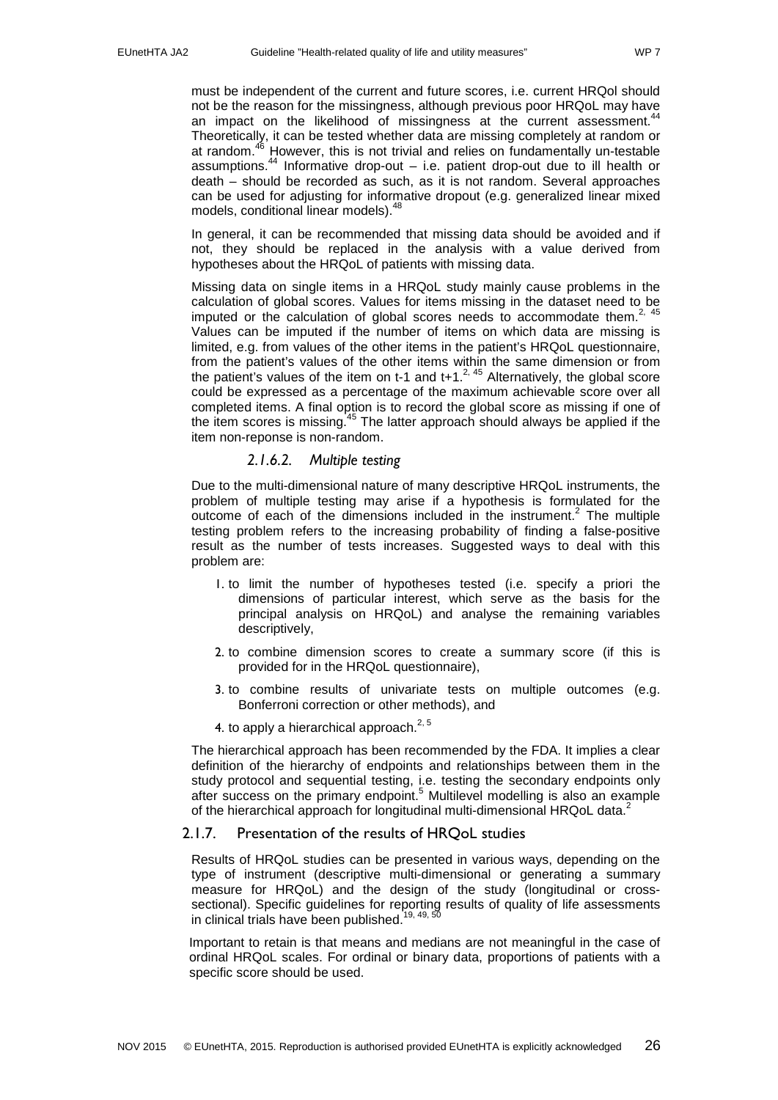must be independent of the current and future scores, i.e. current HRQol should not be the reason for the missingness, although previous poor HRQoL may have an impact on the likelihood of missingness at the current assessment.<sup>[44](#page-33-2)</sup> Theoretically, it can be tested whether data are missing completely at random or at random.<sup>46</sup> However, this is not trivial and relies on fundamentally un-testable assumptions. [44](#page-33-2) Informative drop-out – i.e. patient drop-out due to ill health or death – should be recorded as such, as it is not random. Several approaches can be used for adjusting for informative dropout (e.g. generalized linear mixed models, conditional linear models).<sup>[48](#page-33-6)</sup>

In general, it can be recommended that missing data should be avoided and if not, they should be replaced in the analysis with a value derived from hypotheses about the HRQoL of patients with missing data.

Missing data on single items in a HRQoL study mainly cause problems in the calculation of global scores. Values for items missing in the dataset need to be imputed or the calculation of global scores needs to accommodate them.<sup>[2,](#page-31-2) [45](#page-33-3)</sup> Values can be imputed if the number of items on which data are missing is limited, e.g. from values of the other items in the patient's HRQoL questionnaire, from the patient's values of the other items within the same dimension or from the patient's values of the item on t-1 and t+1. $^{2,45}$  Alternatively, the global score could be expressed as a percentage of the maximum achievable score over all completed items. A final option is to record the global score as missing if one of the item scores is missing.<sup>[45](#page-33-3)</sup> The latter approach should always be applied if the item non-reponse is non-random.

## *2.1.6.2. Multiple testing*

Due to the multi-dimensional nature of many descriptive HRQoL instruments, the problem of multiple testing may arise if a hypothesis is formulated for the outcome of each of the dimensions included in the instrument[.](#page-31-2)<sup>2</sup> The multiple testing problem refers to the increasing probability of finding a false-positive result as the number of tests increases. Suggested ways to deal with this problem are:

- 1. to limit the number of hypotheses tested (i.e. specify a priori the dimensions of particular interest, which serve as the basis for the principal analysis on HRQoL) and analyse the remaining variables descriptively,
- 2. to combine dimension scores to create a summary score (if this is provided for in the HRQoL questionnaire),
- 3. to combine results of univariate tests on multiple outcomes (e.g. Bonferroni correction or other methods), and
- 4. to apply a hierarchical approach. $^{2,5}$  $^{2,5}$  $^{2,5}$

The hierarchical approach has been recommended by the FDA. It implies a clear definition of the hierarchy of endpoints and relationships between them in the study protocol and sequential testing, i.e. testing the secondary endpoints only after success on the primary endpoint[.](#page-31-5) <sup>5</sup> Multilevel modelling is also an example of the hierarchical approach for longitudinal multi-dimensional HRQoL data.<sup>2</sup>

#### <span id="page-25-0"></span>2.1.7. Presentation of the results of HRQoL studies

Results of HRQoL studies can be presented in various ways, depending on the type of instrument (descriptive multi-dimensional or generating a summary measure for HRQoL) and the design of the study (longitudinal or crosssectional). Specific guidelines for reporting results of quality of life assessments in clinical trials have been published.<sup>[19,](#page-31-19) [49,](#page-33-7) [50](#page-33-8)</sup>

Important to retain is that means and medians are not meaningful in the case of ordinal HRQoL scales. For ordinal or binary data, proportions of patients with a specific score should be used.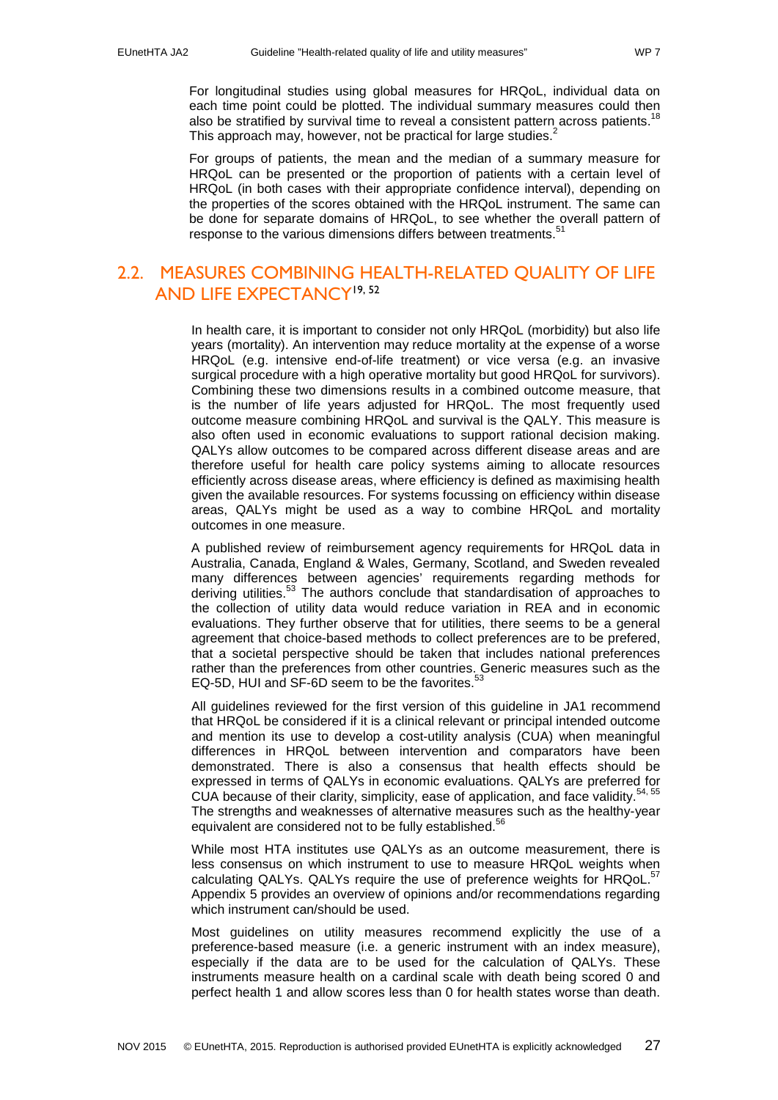For longitudinal studies using global measures for HRQoL, individual data on each time point could be plotted. The individual summary measures could then also be stratified by survival time to reveal a consistent pattern across patients.<sup>[18](#page-31-18)</sup> This approach may, however, not be practical for large studies[.](#page-31-2) $<sup>2</sup>$ </sup>

For groups of patients, the mean and the median of a summary measure for HRQoL can be presented or the proportion of patients with a certain level of HRQoL (in both cases with their appropriate confidence interval), depending on the properties of the scores obtained with the HRQoL instrument. The same can be done for separate domains of HRQoL, to see whether the overall pattern of response to the various dimensions differs between treatments.<sup>[51](#page-33-9)</sup>

## <span id="page-26-0"></span>2.2. MEASURES COMBINING HEALTH-RELATED QUALITY OF LIFE AND LIFE EXPECTANC[Y19,](#page-31-19) [52](#page-33-10)

In health care, it is important to consider not only HRQoL (morbidity) but also life years (mortality). An intervention may reduce mortality at the expense of a worse HRQoL (e.g. intensive end-of-life treatment) or vice versa (e.g. an invasive surgical procedure with a high operative mortality but good HRQoL for survivors). Combining these two dimensions results in a combined outcome measure, that is the number of life years adjusted for HRQoL. The most frequently used outcome measure combining HRQoL and survival is the QALY. This measure is also often used in economic evaluations to support rational decision making. QALYs allow outcomes to be compared across different disease areas and are therefore useful for health care policy systems aiming to allocate resources efficiently across disease areas, where efficiency is defined as maximising health given the available resources. For systems focussing on efficiency within disease areas, QALYs might be used as a way to combine HRQoL and mortality outcomes in one measure.

A published review of reimbursement agency requirements for HRQoL data in Australia, Canada, England & Wales, Germany, Scotland, and Sweden revealed many differences between agencies' requirements regarding methods for deriving utilities.<sup>[53](#page-33-11)</sup> The authors conclude that standardisation of approaches to the collection of utility data would reduce variation in REA and in economic evaluations. They further observe that for utilities, there seems to be a general agreement that choice-based methods to collect preferences are to be prefered, that a societal perspective should be taken that includes national preferences rather than the preferences from other countries. Generic measures such as the EQ-5D, HUI and SF-6D seem to be the favorites.<sup>[53](#page-33-11)</sup>

All guidelines reviewed for the first version of this guideline in JA1 recommend that HRQoL be considered if it is a clinical relevant or principal intended outcome and mention its use to develop a cost-utility analysis (CUA) when meaningful differences in HRQoL between intervention and comparators have been demonstrated. There is also a consensus that health effects should be expressed in terms of QALYs in economic evaluations. QALYs are preferred for CUA because of their clarity, simplicity, ease of application, and face validity.<sup>[54,](#page-33-12) [55](#page-33-13)</sup> The strengths and weaknesses of alternative measures such as the healthy-year equivalent are considered not to be fully established.<sup>56</sup>

While most HTA institutes use QALYs as an outcome measurement, there is less consensus on which instrument to use to measure HRQoL weights when calculating QALYs. QALYs require the use of preference weights for HRQoL.<sup>[57](#page-33-15)</sup> Appendix 5 provides an overview of opinions and/or recommendations regarding which instrument can/should be used.

Most guidelines on utility measures recommend explicitly the use of a preference-based measure (i.e. a generic instrument with an index measure), especially if the data are to be used for the calculation of QALYs. These instruments measure health on a cardinal scale with death being scored 0 and perfect health 1 and allow scores less than 0 for health states worse than death.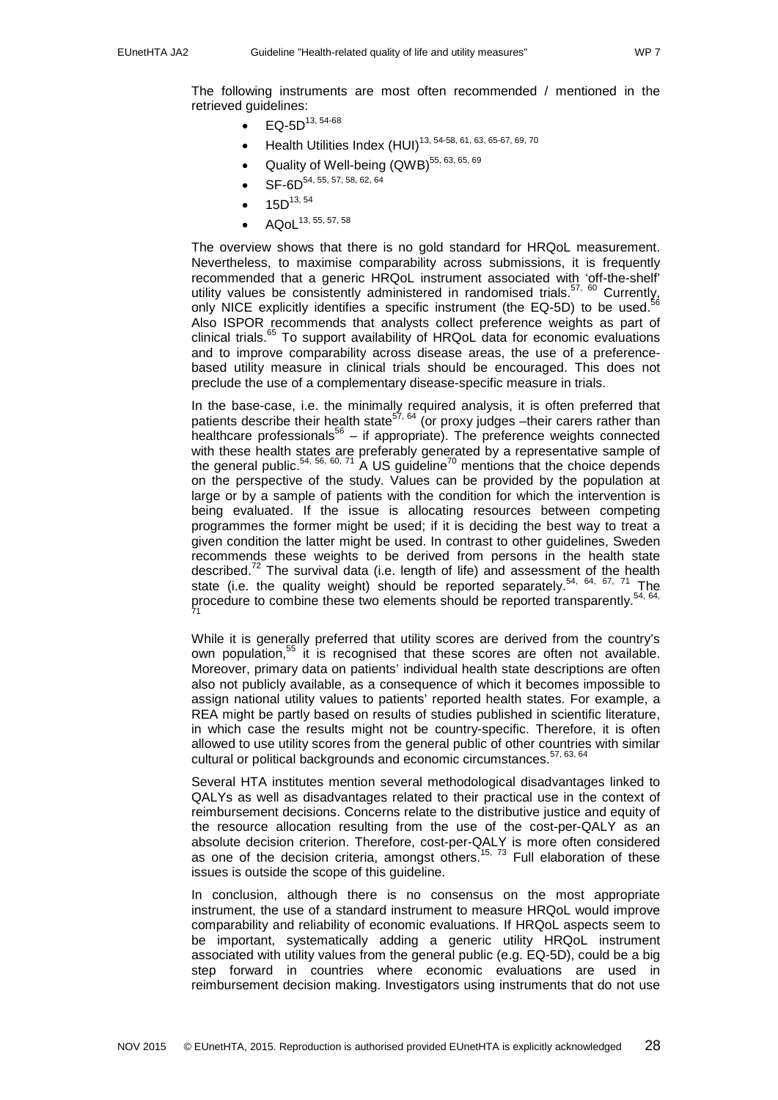The following instruments are most often recommended / mentioned in the retrieved guidelines:

- $EQ-5D^{13, 54-68}$  $EQ-5D^{13, 54-68}$  $EQ-5D^{13, 54-68}$  $EQ-5D^{13, 54-68}$
- Health Utilities Index (HUI)<sup>[13,](#page-31-13) [54-58,](#page-33-12) [61,](#page-33-16) [63,](#page-33-17) [65-67,](#page-34-0) [69,](#page-34-1) [70](#page-34-2)</sup>
- Quality of Well-being  $(QWB)^{55, 63, 65, 69}$  $(QWB)^{55, 63, 65, 69}$  $(QWB)^{55, 63, 65, 69}$  $(QWB)^{55, 63, 65, 69}$  $(QWB)^{55, 63, 65, 69}$  $(QWB)^{55, 63, 65, 69}$
- SF-6D<sup>[54,](#page-33-12) [55,](#page-33-13) [57,](#page-33-15) [58,](#page-33-18) [62,](#page-33-19) [64](#page-33-20)</sup>
- $15D^{13, 54}$  $15D^{13, 54}$  $15D^{13, 54}$  $15D^{13, 54}$
- $AQoL^{13, 55, 57, 58}$  $AQoL^{13, 55, 57, 58}$  $AQoL^{13, 55, 57, 58}$  $AQoL^{13, 55, 57, 58}$  $AQoL^{13, 55, 57, 58}$

The overview shows that there is no gold standard for HRQoL measurement. Nevertheless, to maximise comparability across submissions, it is frequently recommended that a generic HRQoL instrument associated with 'off-the-shelf' utility values be consistently administered in randomised trials.<sup>[57,](#page-33-15) [60](#page-33-21)</sup> Currently,  $\frac{1}{56}$  $\frac{1}{56}$  $\frac{1}{56}$ ,  $\frac{1}{10}$ ,  $\frac{1}{10}$ ,  $\frac{1}{10}$ ,  $\frac{1}{10}$ ,  $\frac{1}{10}$ ,  $\frac{1}{10}$ ,  $\frac{1}{10}$ ,  $\frac{1}{10}$ ,  $\frac{1}{10}$ ,  $\frac{1}{10}$ ,  $\frac{$ only NICE explicitly identifies a specific instrument (the EQ-5D) to be used. Also ISPOR recommends that analysts collect preference weights as part of clinical trials[.65](#page-34-0) To support availability of HRQoL data for economic evaluations and to improve comparability across disease areas, the use of a preferencebased utility measure in clinical trials should be encouraged. This does not preclude the use of a complementary disease-specific measure in trials.

In the base-case, i.e. the minimally required analysis, it is often preferred that patients describe their health state<sup>[57,](#page-33-15) [64](#page-33-20)</sup> (or proxy judges - their carers rather than healthcare professionals<sup>[56](#page-33-14)</sup> – if appropriate). The preference weights connected with these health states are preferably generated by a representative sample of the general public.<sup>[54,](#page-33-12) [56,](#page-33-14) [60,](#page-33-21) [71](#page-34-3)</sup> A US guideline<sup>70</sup> mentions that the choice depends on the perspective of the study. Values can be provided by the population at large or by a sample of patients with the condition for which the intervention is being evaluated. If the issue is allocating resources between competing programmes the former might be used; if it is deciding the best way to treat a given condition the latter might be used. In contrast to other guidelines, Sweden recommends these weights to be derived from persons in the health state described.<sup>[72](#page-34-4)</sup> The survival data (i.e. length of life) and assessment of the health state (i.e. the quality weight) should be reported separately.<sup>[54,](#page-33-12) [64,](#page-33-20) [67,](#page-34-5) [71](#page-34-3)</sup> The procedure to combine these two elements should be reported transparently.<sup>[54,](#page-33-12) 64,</sup>  $\frac{1}{71}$  $\frac{1}{71}$  $\frac{1}{71}$ 

While it is generally preferred that utility scores are derived from the country's own population,<sup>[55](#page-33-13)</sup> it is recognised that these scores are often not available. Moreover, primary data on patients' individual health state descriptions are often also not publicly available, as a consequence of which it becomes impossible to assign national utility values to patients' reported health states. For example, a REA might be partly based on results of studies published in scientific literature, in which case the results might not be country-specific. Therefore, it is often allowed to use utility scores from the general public of other countries with similar cultural or political backgrounds and economic circumstances.<sup>[57,](#page-33-15) [63,](#page-33-17) [64](#page-33-20)</sup>

Several HTA institutes mention several methodological disadvantages linked to QALYs as well as disadvantages related to their practical use in the context of reimbursement decisions. Concerns relate to the distributive justice and equity of the resource allocation resulting from the use of the cost-per-QALY as an absolute decision criterion. Therefore, cost-per-QALY is more often considered as one of the decision criteria, amongst others.<sup>[15,](#page-31-15) [73](#page-34-6)</sup> Full elaboration of these issues is outside the scope of this guideline.

In conclusion, although there is no consensus on the most appropriate instrument, the use of a standard instrument to measure HRQoL would improve comparability and reliability of economic evaluations. If HRQoL aspects seem to be important, systematically adding a generic utility HRQoL instrument associated with utility values from the general public (e.g. EQ-5D), could be a big step forward in countries where economic evaluations are used in reimbursement decision making. Investigators using instruments that do not use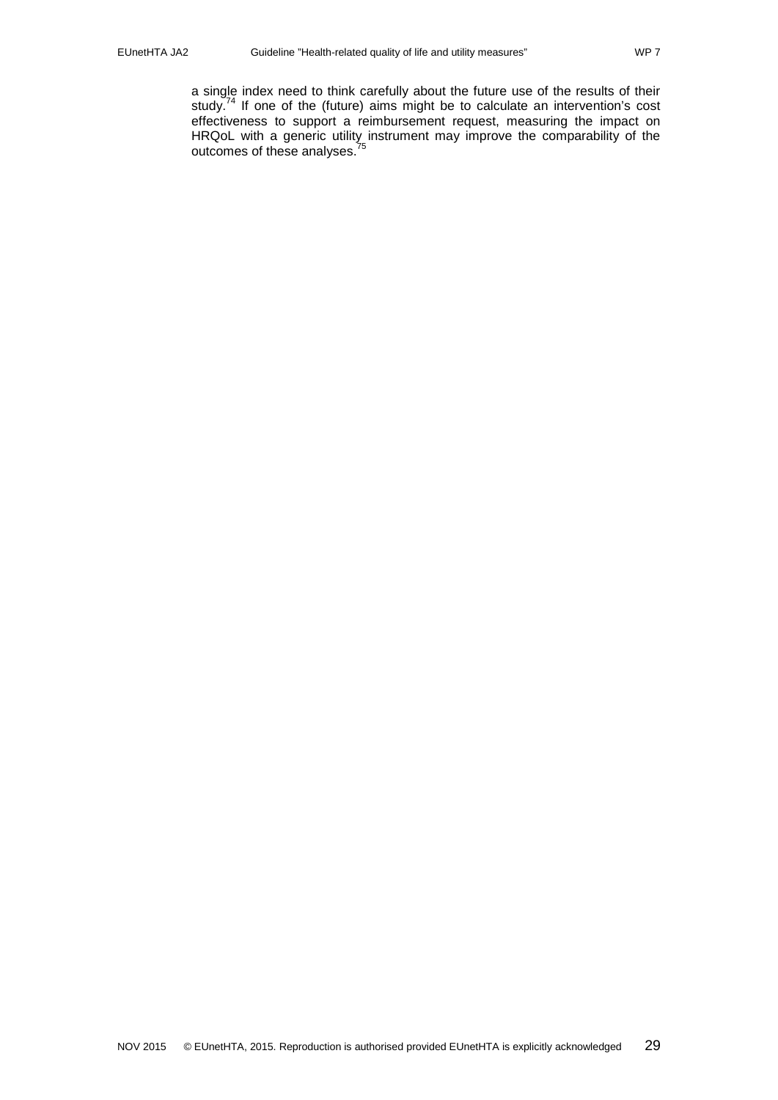a single index need to think carefully about the future use of the results of their study.<sup>74</sup> If one of the (future) aims might be to calculate an intervention's cost effectiveness to support a reimbursement request, measuring the impact on HRQoL with a generic utility instrument may improve the comparability of the outcomes of these analyses.<sup>[75](#page-34-8)</sup>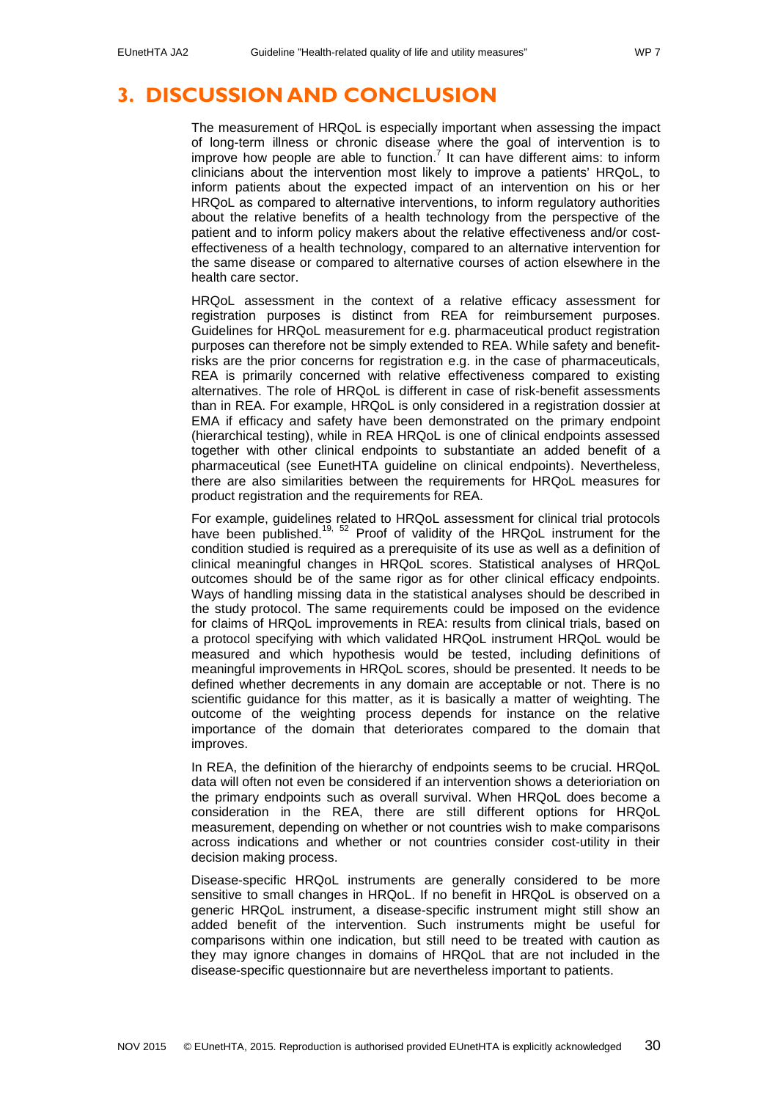## <span id="page-29-0"></span>**3. DISCUSSION AND CONCLUSION**

The measurement of HRQoL is especially important when assessing the impact of long-term illness or chronic disease where the goal of intervention is to improve how people are able to function.<sup>[7](#page-31-7)</sup> It can have different aims: to inform clinicians about the intervention most likely to improve a patients' HRQoL, to inform patients about the expected impact of an intervention on his or her HRQoL as compared to alternative interventions, to inform regulatory authorities about the relative benefits of a health technology from the perspective of the patient and to inform policy makers about the relative effectiveness and/or costeffectiveness of a health technology, compared to an alternative intervention for the same disease or compared to alternative courses of action elsewhere in the health care sector.

HRQoL assessment in the context of a relative efficacy assessment for registration purposes is distinct from REA for reimbursement purposes. Guidelines for HRQoL measurement for e.g. pharmaceutical product registration purposes can therefore not be simply extended to REA. While safety and benefitrisks are the prior concerns for registration e.g. in the case of pharmaceuticals, REA is primarily concerned with relative effectiveness compared to existing alternatives. The role of HRQoL is different in case of risk-benefit assessments than in REA. For example, HRQoL is only considered in a registration dossier at EMA if efficacy and safety have been demonstrated on the primary endpoint (hierarchical testing), while in REA HRQoL is one of clinical endpoints assessed together with other clinical endpoints to substantiate an added benefit of a pharmaceutical (see EunetHTA guideline on clinical endpoints). Nevertheless, there are also similarities between the requirements for HRQoL measures for product registration and the requirements for REA.

For example, guidelines related to HRQoL assessment for clinical trial protocols have been published.<sup>19, [52](#page-33-10)</sup> Proof of validity of the HRQoL instrument for the condition studied is required as a prerequisite of its use as well as a definition of clinical meaningful changes in HRQoL scores. Statistical analyses of HRQoL outcomes should be of the same rigor as for other clinical efficacy endpoints. Ways of handling missing data in the statistical analyses should be described in the study protocol. The same requirements could be imposed on the evidence for claims of HRQoL improvements in REA: results from clinical trials, based on a protocol specifying with which validated HRQoL instrument HRQoL would be measured and which hypothesis would be tested, including definitions of meaningful improvements in HRQoL scores, should be presented. It needs to be defined whether decrements in any domain are acceptable or not. There is no scientific guidance for this matter, as it is basically a matter of weighting. The outcome of the weighting process depends for instance on the relative importance of the domain that deteriorates compared to the domain that improves.

In REA, the definition of the hierarchy of endpoints seems to be crucial. HRQoL data will often not even be considered if an intervention shows a deterioriation on the primary endpoints such as overall survival. When HRQoL does become a consideration in the REA, there are still different options for HRQoL measurement, depending on whether or not countries wish to make comparisons across indications and whether or not countries consider cost-utility in their decision making process.

Disease-specific HRQoL instruments are generally considered to be more sensitive to small changes in HRQoL. If no benefit in HRQoL is observed on a generic HRQoL instrument, a disease-specific instrument might still show an added benefit of the intervention. Such instruments might be useful for comparisons within one indication, but still need to be treated with caution as they may ignore changes in domains of HRQoL that are not included in the disease-specific questionnaire but are nevertheless important to patients.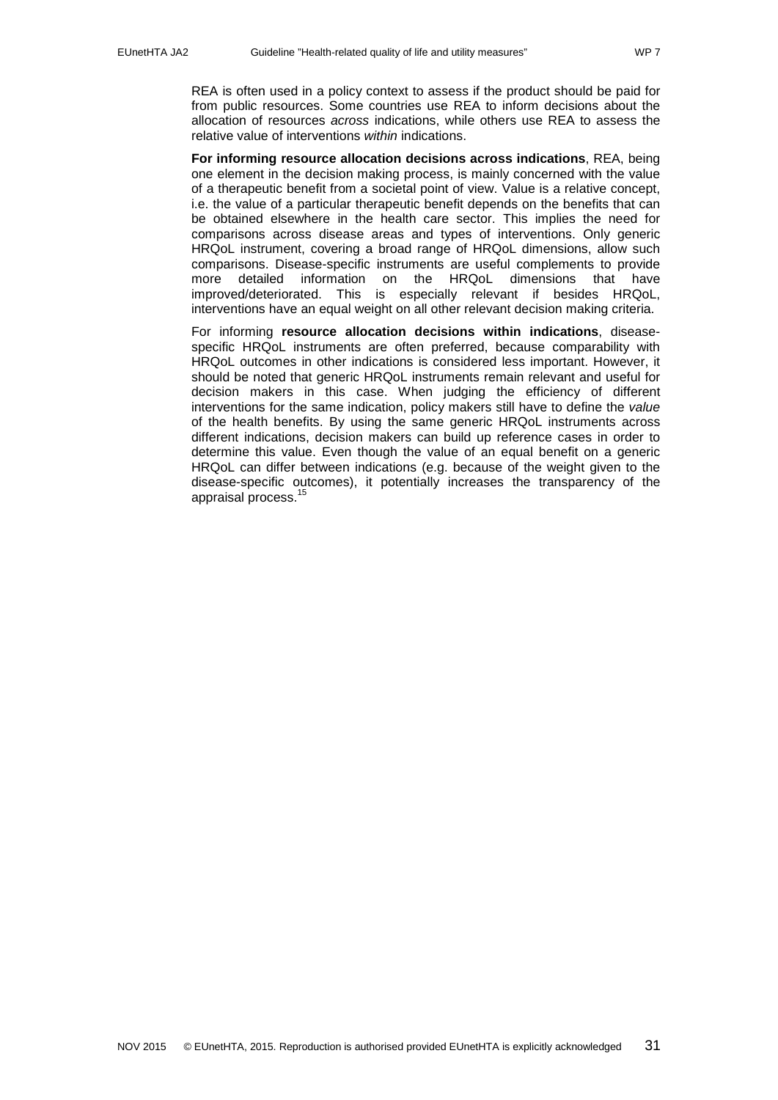REA is often used in a policy context to assess if the product should be paid for from public resources. Some countries use REA to inform decisions about the allocation of resources *across* indications, while others use REA to assess the relative value of interventions *within* indications.

**For informing resource allocation decisions across indications**, REA, being one element in the decision making process, is mainly concerned with the value of a therapeutic benefit from a societal point of view. Value is a relative concept, i.e. the value of a particular therapeutic benefit depends on the benefits that can be obtained elsewhere in the health care sector. This implies the need for comparisons across disease areas and types of interventions. Only generic HRQoL instrument, covering a broad range of HRQoL dimensions, allow such comparisons. Disease-specific instruments are useful complements to provide more detailed information on the HRQoL dimensions that have improved/deteriorated. This is especially relevant if besides HRQoL, interventions have an equal weight on all other relevant decision making criteria.

For informing **resource allocation decisions within indications**, diseasespecific HRQoL instruments are often preferred, because comparability with HRQoL outcomes in other indications is considered less important. However, it should be noted that generic HRQoL instruments remain relevant and useful for decision makers in this case. When judging the efficiency of different interventions for the same indication, policy makers still have to define the *value* of the health benefits. By using the same generic HRQoL instruments across different indications, decision makers can build up reference cases in order to determine this value. Even though the value of an equal benefit on a generic HRQoL can differ between indications (e.g. because of the weight given to the disease-specific outcomes), it potentially increases the transparency of the appraisal process.<sup>[15](#page-31-15)</sup>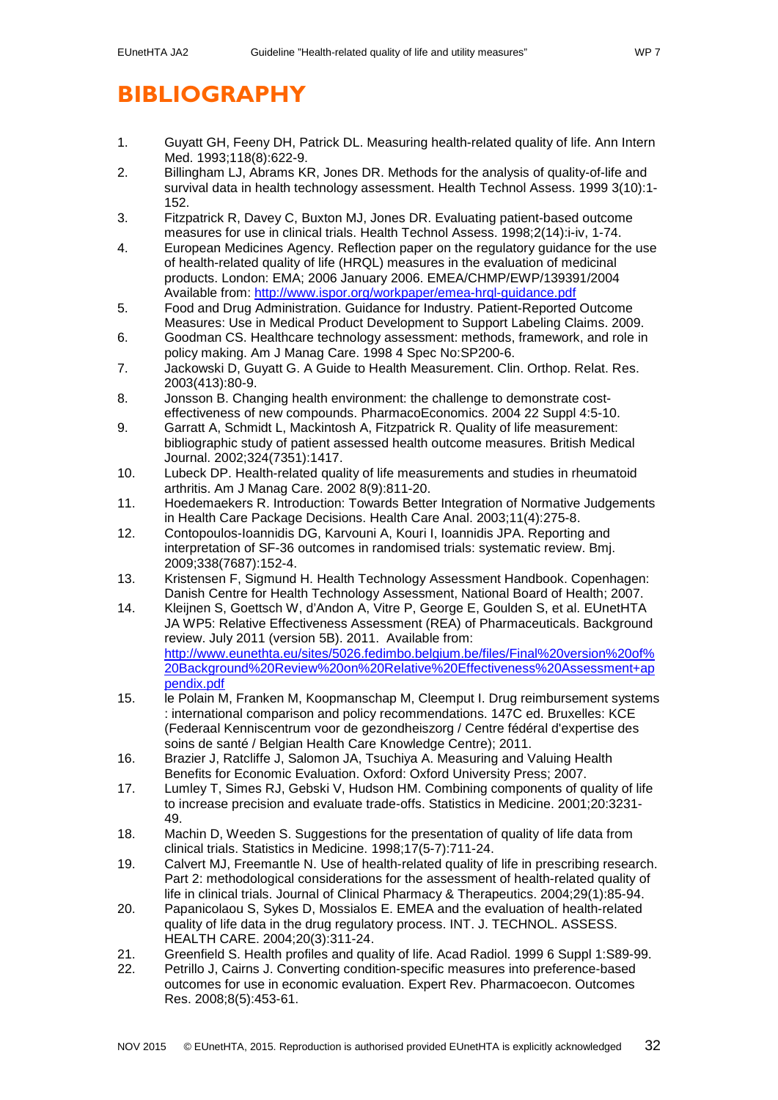# <span id="page-31-0"></span>**BIBLIOGRAPHY**

- <span id="page-31-1"></span>1. Guyatt GH, Feeny DH, Patrick DL. Measuring health-related quality of life. Ann Intern Med. 1993;118(8):622-9.
- <span id="page-31-2"></span>2. Billingham LJ, Abrams KR, Jones DR. Methods for the analysis of quality-of-life and survival data in health technology assessment. Health Technol Assess. 1999 3(10):1- 152.
- <span id="page-31-3"></span>3. Fitzpatrick R, Davey C, Buxton MJ, Jones DR. Evaluating patient-based outcome measures for use in clinical trials. Health Technol Assess. 1998;2(14):i-iv, 1-74.
- <span id="page-31-4"></span>4. European Medicines Agency. Reflection paper on the regulatory guidance for the use of health-related quality of life (HRQL) measures in the evaluation of medicinal products. London: EMA; 2006 January 2006. EMEA/CHMP/EWP/139391/2004 Available from:<http://www.ispor.org/workpaper/emea-hrql-guidance.pdf>
- <span id="page-31-5"></span>5. Food and Drug Administration. Guidance for Industry. Patient-Reported Outcome Measures: Use in Medical Product Development to Support Labeling Claims. 2009.
- <span id="page-31-6"></span>6. Goodman CS. Healthcare technology assessment: methods, framework, and role in policy making. Am J Manag Care. 1998 4 Spec No:SP200-6.
- <span id="page-31-7"></span>7. Jackowski D, Guyatt G. A Guide to Health Measurement. Clin. Orthop. Relat. Res. 2003(413):80-9.
- <span id="page-31-8"></span>8. Jonsson B. Changing health environment: the challenge to demonstrate costeffectiveness of new compounds. PharmacoEconomics. 2004 22 Suppl 4:5-10.
- <span id="page-31-9"></span>9. Garratt A, Schmidt L, Mackintosh A, Fitzpatrick R. Quality of life measurement: bibliographic study of patient assessed health outcome measures. British Medical Journal. 2002;324(7351):1417.
- <span id="page-31-10"></span>10. Lubeck DP. Health-related quality of life measurements and studies in rheumatoid arthritis. Am J Manag Care. 2002 8(9):811-20.
- <span id="page-31-11"></span>11. Hoedemaekers R. Introduction: Towards Better Integration of Normative Judgements in Health Care Package Decisions. Health Care Anal. 2003;11(4):275-8.
- <span id="page-31-12"></span>12. Contopoulos-Ioannidis DG, Karvouni A, Kouri I, Ioannidis JPA. Reporting and interpretation of SF-36 outcomes in randomised trials: systematic review. Bmj. 2009;338(7687):152-4.
- <span id="page-31-13"></span>13. Kristensen F, Sigmund H. Health Technology Assessment Handbook. Copenhagen: Danish Centre for Health Technology Assessment, National Board of Health; 2007.
- <span id="page-31-14"></span>14. Kleijnen S, Goettsch W, d'Andon A, Vitre P, George E, Goulden S, et al. EUnetHTA JA WP5: Relative Effectiveness Assessment (REA) of Pharmaceuticals. Background review. July 2011 (version 5B). 2011. Available from: [http://www.eunethta.eu/sites/5026.fedimbo.belgium.be/files/Final%20version%20of%](http://www.eunethta.eu/sites/5026.fedimbo.belgium.be/files/Final%20version%20of%20Background%20Review%20on%20Relative%20Effectiveness%20Assessment+appendix.pdf) [20Background%20Review%20on%20Relative%20Effectiveness%20Assessment+ap](http://www.eunethta.eu/sites/5026.fedimbo.belgium.be/files/Final%20version%20of%20Background%20Review%20on%20Relative%20Effectiveness%20Assessment+appendix.pdf) [pendix.pdf](http://www.eunethta.eu/sites/5026.fedimbo.belgium.be/files/Final%20version%20of%20Background%20Review%20on%20Relative%20Effectiveness%20Assessment+appendix.pdf)
- <span id="page-31-15"></span>15. le Polain M, Franken M, Koopmanschap M, Cleemput I. Drug reimbursement systems : international comparison and policy recommendations. 147C ed. Bruxelles: KCE (Federaal Kenniscentrum voor de gezondheiszorg / Centre fédéral d'expertise des soins de santé / Belgian Health Care Knowledge Centre); 2011.
- <span id="page-31-16"></span>16. Brazier J, Ratcliffe J, Salomon JA, Tsuchiya A. Measuring and Valuing Health Benefits for Economic Evaluation. Oxford: Oxford University Press; 2007.
- <span id="page-31-17"></span>17. Lumley T, Simes RJ, Gebski V, Hudson HM. Combining components of quality of life to increase precision and evaluate trade-offs. Statistics in Medicine. 2001;20:3231- 49.
- <span id="page-31-18"></span>18. Machin D, Weeden S. Suggestions for the presentation of quality of life data from clinical trials. Statistics in Medicine. 1998;17(5-7):711-24.
- <span id="page-31-19"></span>19. Calvert MJ, Freemantle N. Use of health-related quality of life in prescribing research. Part 2: methodological considerations for the assessment of health-related quality of life in clinical trials. Journal of Clinical Pharmacy & Therapeutics. 2004;29(1):85-94.
- <span id="page-31-20"></span>20. Papanicolaou S, Sykes D, Mossialos E. EMEA and the evaluation of health-related quality of life data in the drug regulatory process. INT. J. TECHNOL. ASSESS. HEALTH CARE. 2004;20(3):311-24.
- <span id="page-31-21"></span>21. Greenfield S. Health profiles and quality of life. Acad Radiol. 1999 6 Suppl 1:S89-99.
- <span id="page-31-22"></span>22. Petrillo J, Cairns J. Converting condition-specific measures into preference-based outcomes for use in economic evaluation. Expert Rev. Pharmacoecon. Outcomes Res. 2008;8(5):453-61.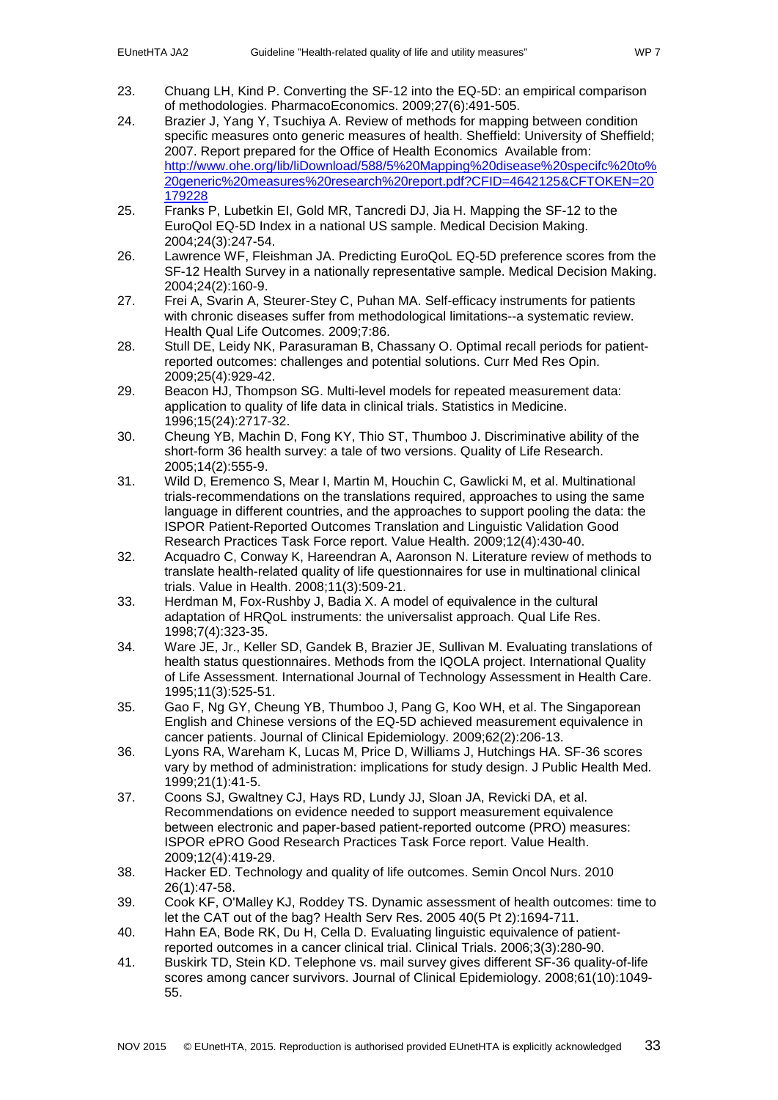- <span id="page-32-0"></span>23. Chuang LH, Kind P. Converting the SF-12 into the EQ-5D: an empirical comparison of methodologies. PharmacoEconomics. 2009;27(6):491-505.
- <span id="page-32-1"></span>24. Brazier J, Yang Y, Tsuchiya A. Review of methods for mapping between condition specific measures onto generic measures of health. Sheffield: University of Sheffield; 2007. Report prepared for the Office of Health Economics Available from: [http://www.ohe.org/lib/liDownload/588/5%20Mapping%20disease%20specifc%20to%](http://www.ohe.org/lib/liDownload/588/5%20Mapping%20disease%20specifc%20to%20generic%20measures%20research%20report.pdf?CFID=4642125&CFTOKEN=20179228) [20generic%20measures%20research%20report.pdf?CFID=4642125&CFTOKEN=20](http://www.ohe.org/lib/liDownload/588/5%20Mapping%20disease%20specifc%20to%20generic%20measures%20research%20report.pdf?CFID=4642125&CFTOKEN=20179228) [179228](http://www.ohe.org/lib/liDownload/588/5%20Mapping%20disease%20specifc%20to%20generic%20measures%20research%20report.pdf?CFID=4642125&CFTOKEN=20179228)
- <span id="page-32-2"></span>25. Franks P, Lubetkin EI, Gold MR, Tancredi DJ, Jia H. Mapping the SF-12 to the EuroQol EQ-5D Index in a national US sample. Medical Decision Making. 2004;24(3):247-54.
- <span id="page-32-3"></span>26. Lawrence WF, Fleishman JA. Predicting EuroQoL EQ-5D preference scores from the SF-12 Health Survey in a nationally representative sample. Medical Decision Making. 2004;24(2):160-9.
- <span id="page-32-4"></span>27. Frei A, Svarin A, Steurer-Stey C, Puhan MA. Self-efficacy instruments for patients with chronic diseases suffer from methodological limitations--a systematic review. Health Qual Life Outcomes. 2009;7:86.
- <span id="page-32-5"></span>28. Stull DE, Leidy NK, Parasuraman B, Chassany O. Optimal recall periods for patientreported outcomes: challenges and potential solutions. Curr Med Res Opin. 2009;25(4):929-42.
- <span id="page-32-6"></span>29. Beacon HJ, Thompson SG. Multi-level models for repeated measurement data: application to quality of life data in clinical trials. Statistics in Medicine. 1996;15(24):2717-32.
- <span id="page-32-7"></span>30. Cheung YB, Machin D, Fong KY, Thio ST, Thumboo J. Discriminative ability of the short-form 36 health survey: a tale of two versions. Quality of Life Research. 2005;14(2):555-9.
- <span id="page-32-8"></span>31. Wild D, Eremenco S, Mear I, Martin M, Houchin C, Gawlicki M, et al. Multinational trials-recommendations on the translations required, approaches to using the same language in different countries, and the approaches to support pooling the data: the ISPOR Patient-Reported Outcomes Translation and Linguistic Validation Good Research Practices Task Force report. Value Health. 2009;12(4):430-40.
- <span id="page-32-9"></span>32. Acquadro C, Conway K, Hareendran A, Aaronson N. Literature review of methods to translate health-related quality of life questionnaires for use in multinational clinical trials. Value in Health. 2008;11(3):509-21.
- <span id="page-32-10"></span>33. Herdman M, Fox-Rushby J, Badia X. A model of equivalence in the cultural adaptation of HRQoL instruments: the universalist approach. Qual Life Res. 1998;7(4):323-35.
- <span id="page-32-11"></span>34. Ware JE, Jr., Keller SD, Gandek B, Brazier JE, Sullivan M. Evaluating translations of health status questionnaires. Methods from the IQOLA project. International Quality of Life Assessment. International Journal of Technology Assessment in Health Care. 1995;11(3):525-51.
- <span id="page-32-12"></span>35. Gao F, Ng GY, Cheung YB, Thumboo J, Pang G, Koo WH, et al. The Singaporean English and Chinese versions of the EQ-5D achieved measurement equivalence in cancer patients. Journal of Clinical Epidemiology. 2009;62(2):206-13.
- <span id="page-32-13"></span>36. Lyons RA, Wareham K, Lucas M, Price D, Williams J, Hutchings HA. SF-36 scores vary by method of administration: implications for study design. J Public Health Med. 1999;21(1):41-5.
- <span id="page-32-14"></span>37. Coons SJ, Gwaltney CJ, Hays RD, Lundy JJ, Sloan JA, Revicki DA, et al. Recommendations on evidence needed to support measurement equivalence between electronic and paper-based patient-reported outcome (PRO) measures: ISPOR ePRO Good Research Practices Task Force report. Value Health. 2009;12(4):419-29.
- <span id="page-32-15"></span>38. Hacker ED. Technology and quality of life outcomes. Semin Oncol Nurs. 2010 26(1):47-58.
- <span id="page-32-16"></span>39. Cook KF, O'Malley KJ, Roddey TS. Dynamic assessment of health outcomes: time to let the CAT out of the bag? Health Serv Res. 2005 40(5 Pt 2):1694-711.
- <span id="page-32-17"></span>40. Hahn EA, Bode RK, Du H, Cella D. Evaluating linguistic equivalence of patientreported outcomes in a cancer clinical trial. Clinical Trials. 2006;3(3):280-90.
- <span id="page-32-18"></span>41. Buskirk TD, Stein KD. Telephone vs. mail survey gives different SF-36 quality-of-life scores among cancer survivors. Journal of Clinical Epidemiology. 2008;61(10):1049- 55.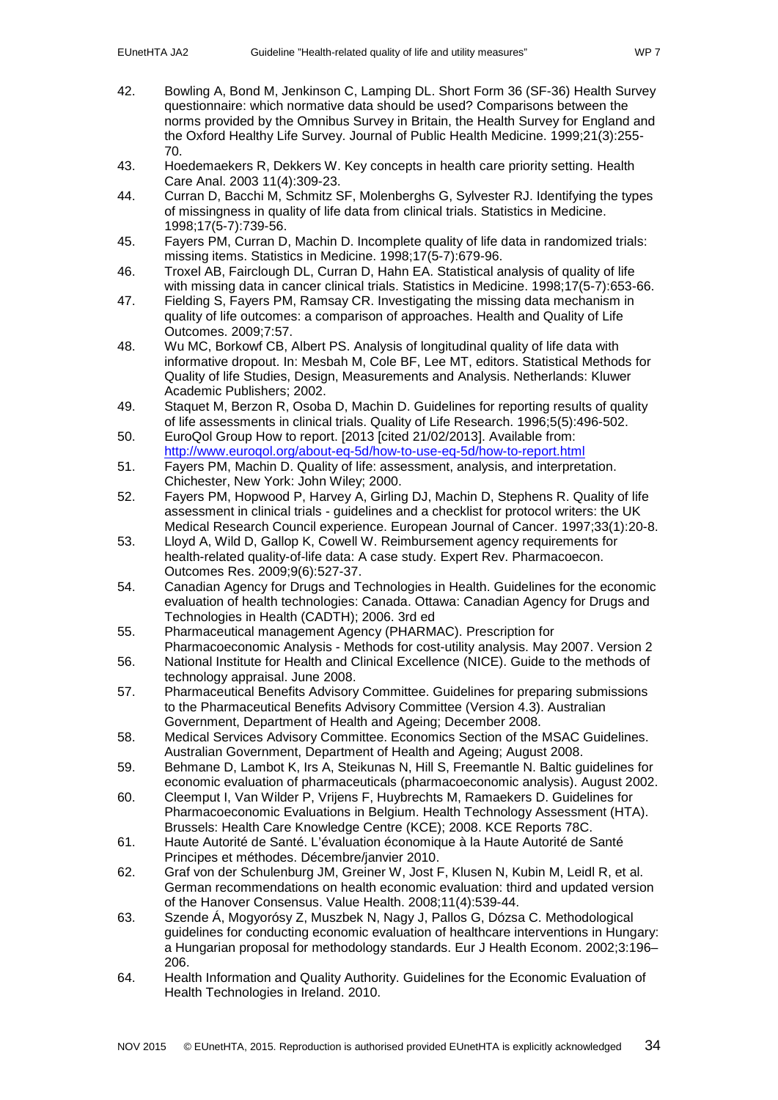- <span id="page-33-0"></span>42. Bowling A, Bond M, Jenkinson C, Lamping DL. Short Form 36 (SF-36) Health Survey questionnaire: which normative data should be used? Comparisons between the norms provided by the Omnibus Survey in Britain, the Health Survey for England and the Oxford Healthy Life Survey. Journal of Public Health Medicine. 1999;21(3):255- 70.
- <span id="page-33-1"></span>43. Hoedemaekers R, Dekkers W. Key concepts in health care priority setting. Health Care Anal. 2003 11(4):309-23.
- <span id="page-33-2"></span>44. Curran D, Bacchi M, Schmitz SF, Molenberghs G, Sylvester RJ. Identifying the types of missingness in quality of life data from clinical trials. Statistics in Medicine. 1998;17(5-7):739-56.
- <span id="page-33-3"></span>45. Fayers PM, Curran D, Machin D. Incomplete quality of life data in randomized trials: missing items. Statistics in Medicine. 1998;17(5-7):679-96.
- <span id="page-33-4"></span>46. Troxel AB, Fairclough DL, Curran D, Hahn EA. Statistical analysis of quality of life with missing data in cancer clinical trials. Statistics in Medicine. 1998;17(5-7):653-66.
- <span id="page-33-5"></span>47. Fielding S, Fayers PM, Ramsay CR. Investigating the missing data mechanism in quality of life outcomes: a comparison of approaches. Health and Quality of Life Outcomes. 2009;7:57.
- <span id="page-33-6"></span>48. Wu MC, Borkowf CB, Albert PS. Analysis of longitudinal quality of life data with informative dropout. In: Mesbah M, Cole BF, Lee MT, editors. Statistical Methods for Quality of life Studies, Design, Measurements and Analysis. Netherlands: Kluwer Academic Publishers; 2002.
- <span id="page-33-7"></span>49. Staquet M, Berzon R, Osoba D, Machin D. Guidelines for reporting results of quality of life assessments in clinical trials. Quality of Life Research. 1996;5(5):496-502.
- <span id="page-33-8"></span>50. EuroQol Group How to report. [2013 [cited 21/02/2013]. Available from: <http://www.euroqol.org/about-eq-5d/how-to-use-eq-5d/how-to-report.html>
- <span id="page-33-9"></span>51. Fayers PM, Machin D. Quality of life: assessment, analysis, and interpretation. Chichester, New York: John Wiley; 2000.
- <span id="page-33-10"></span>52. Fayers PM, Hopwood P, Harvey A, Girling DJ, Machin D, Stephens R. Quality of life assessment in clinical trials - guidelines and a checklist for protocol writers: the UK Medical Research Council experience. European Journal of Cancer. 1997;33(1):20-8.
- <span id="page-33-11"></span>53. Lloyd A, Wild D, Gallop K, Cowell W. Reimbursement agency requirements for health-related quality-of-life data: A case study. Expert Rev. Pharmacoecon. Outcomes Res. 2009;9(6):527-37.
- <span id="page-33-12"></span>54. Canadian Agency for Drugs and Technologies in Health. Guidelines for the economic evaluation of health technologies: Canada. Ottawa: Canadian Agency for Drugs and Technologies in Health (CADTH); 2006. 3rd ed
- <span id="page-33-13"></span>55. Pharmaceutical management Agency (PHARMAC). Prescription for Pharmacoeconomic Analysis - Methods for cost-utility analysis. May 2007. Version 2
- <span id="page-33-14"></span>56. National Institute for Health and Clinical Excellence (NICE). Guide to the methods of technology appraisal. June 2008.
- <span id="page-33-15"></span>57. Pharmaceutical Benefits Advisory Committee. Guidelines for preparing submissions to the Pharmaceutical Benefits Advisory Committee (Version 4.3). Australian Government, Department of Health and Ageing; December 2008.
- <span id="page-33-18"></span>58. Medical Services Advisory Committee. Economics Section of the MSAC Guidelines. Australian Government, Department of Health and Ageing; August 2008.
- <span id="page-33-22"></span>59. Behmane D, Lambot K, Irs A, Steikunas N, Hill S, Freemantle N. Baltic guidelines for economic evaluation of pharmaceuticals (pharmacoeconomic analysis). August 2002.
- <span id="page-33-21"></span>60. Cleemput I, Van Wilder P, Vrijens F, Huybrechts M, Ramaekers D. Guidelines for Pharmacoeconomic Evaluations in Belgium. Health Technology Assessment (HTA). Brussels: Health Care Knowledge Centre (KCE); 2008. KCE Reports 78C.
- <span id="page-33-16"></span>61. Haute Autorité de Santé. L'évaluation économique à la Haute Autorité de Santé Principes et méthodes. Décembre/janvier 2010.
- <span id="page-33-19"></span>62. Graf von der Schulenburg JM, Greiner W, Jost F, Klusen N, Kubin M, Leidl R, et al. German recommendations on health economic evaluation: third and updated version of the Hanover Consensus. Value Health. 2008;11(4):539-44.
- <span id="page-33-17"></span>63. Szende Á, Mogyorósy Z, Muszbek N, Nagy J, Pallos G, Dózsa C. Methodological guidelines for conducting economic evaluation of healthcare interventions in Hungary: a Hungarian proposal for methodology standards. Eur J Health Econom. 2002;3:196– 206.
- <span id="page-33-20"></span>64. Health Information and Quality Authority. Guidelines for the Economic Evaluation of Health Technologies in Ireland. 2010.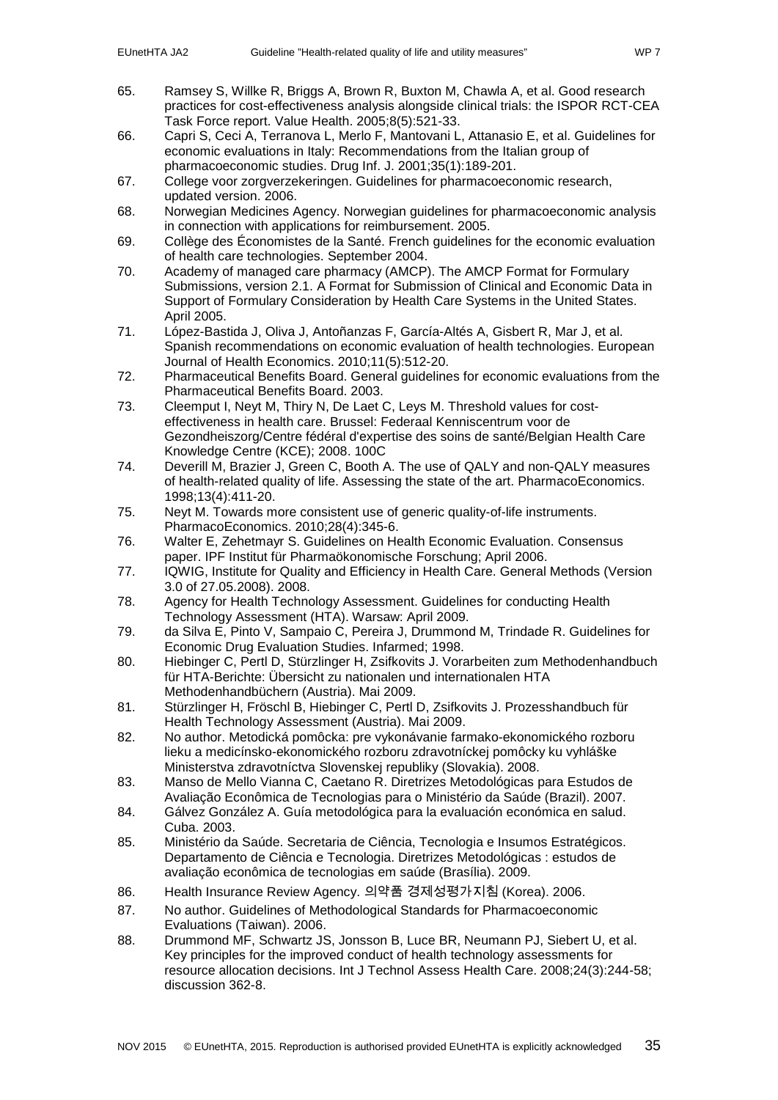- <span id="page-34-0"></span>65. Ramsey S, Willke R, Briggs A, Brown R, Buxton M, Chawla A, et al. Good research practices for cost-effectiveness analysis alongside clinical trials: the ISPOR RCT-CEA Task Force report. Value Health. 2005;8(5):521-33.
- <span id="page-34-11"></span>66. Capri S, Ceci A, Terranova L, Merlo F, Mantovani L, Attanasio E, et al. Guidelines for economic evaluations in Italy: Recommendations from the Italian group of pharmacoeconomic studies. Drug Inf. J. 2001;35(1):189-201.
- <span id="page-34-5"></span>67. College voor zorgverzekeringen. Guidelines for pharmacoeconomic research, updated version. 2006.
- <span id="page-34-12"></span>68. Norwegian Medicines Agency. Norwegian guidelines for pharmacoeconomic analysis in connection with applications for reimbursement. 2005.
- <span id="page-34-1"></span>69. Collège des Économistes de la Santé. French guidelines for the economic evaluation of health care technologies. September 2004.
- <span id="page-34-2"></span>70. Academy of managed care pharmacy (AMCP). The AMCP Format for Formulary Submissions, version 2.1. A Format for Submission of Clinical and Economic Data in Support of Formulary Consideration by Health Care Systems in the United States. April 2005.
- <span id="page-34-3"></span>71. López-Bastida J, Oliva J, Antoñanzas F, García-Altés A, Gisbert R, Mar J, et al. Spanish recommendations on economic evaluation of health technologies. European Journal of Health Economics. 2010;11(5):512-20.
- <span id="page-34-4"></span>72. Pharmaceutical Benefits Board. General guidelines for economic evaluations from the Pharmaceutical Benefits Board. 2003.
- <span id="page-34-6"></span>73. Cleemput I, Neyt M, Thiry N, De Laet C, Leys M. Threshold values for costeffectiveness in health care. Brussel: Federaal Kenniscentrum voor de Gezondheiszorg/Centre fédéral d'expertise des soins de santé/Belgian Health Care Knowledge Centre (KCE); 2008. 100C
- <span id="page-34-7"></span>74. Deverill M, Brazier J, Green C, Booth A. The use of QALY and non-QALY measures of health-related quality of life. Assessing the state of the art. PharmacoEconomics. 1998;13(4):411-20.
- <span id="page-34-8"></span>75. Neyt M. Towards more consistent use of generic quality-of-life instruments. PharmacoEconomics. 2010;28(4):345-6.
- <span id="page-34-9"></span>76. Walter E, Zehetmayr S. Guidelines on Health Economic Evaluation. Consensus paper. IPF Institut für Pharmaökonomische Forschung; April 2006.
- <span id="page-34-10"></span>77. IQWIG, Institute for Quality and Efficiency in Health Care. General Methods (Version 3.0 of 27.05.2008). 2008.
- <span id="page-34-13"></span>78. Agency for Health Technology Assessment. Guidelines for conducting Health Technology Assessment (HTA). Warsaw: April 2009.
- <span id="page-34-14"></span>79. da Silva E, Pinto V, Sampaio C, Pereira J, Drummond M, Trindade R. Guidelines for Economic Drug Evaluation Studies. Infarmed; 1998.
- <span id="page-34-15"></span>80. Hiebinger C, Pertl D, Stürzlinger H, Zsifkovits J. Vorarbeiten zum Methodenhandbuch für HTA-Berichte: Übersicht zu nationalen und internationalen HTA Methodenhandbüchern (Austria). Mai 2009.
- 81. Stürzlinger H, Fröschl B, Hiebinger C, Pertl D, Zsifkovits J. Prozesshandbuch für Health Technology Assessment (Austria). Mai 2009.
- 82. No author. Metodická pomôcka: pre vykonávanie farmako-ekonomického rozboru lieku a medicínsko-ekonomického rozboru zdravotníckej pomôcky ku vyhláške Ministerstva zdravotníctva Slovenskej republiky (Slovakia). 2008.
- 83. Manso de Mello Vianna C, Caetano R. Diretrizes Metodológicas para Estudos de Avaliação Econômica de Tecnologias para o Ministério da Saúde (Brazil). 2007.
- 84. Gálvez González A. Guía metodológica para la evaluación económica en salud. Cuba. 2003.
- 85. Ministério da Saúde. Secretaria de Ciência, Tecnologia e Insumos Estratégicos. Departamento de Ciência e Tecnologia. Diretrizes Metodológicas : estudos de avaliação econômica de tecnologias em saúde (Brasília). 2009.
- 86. Health Insurance Review Agency. 의약품 경제성평가지침 (Korea). 2006.
- 87. No author. Guidelines of Methodological Standards for Pharmacoeconomic Evaluations (Taiwan). 2006.
- <span id="page-34-16"></span>88. Drummond MF, Schwartz JS, Jonsson B, Luce BR, Neumann PJ, Siebert U, et al. Key principles for the improved conduct of health technology assessments for resource allocation decisions. Int J Technol Assess Health Care. 2008;24(3):244-58; discussion 362-8.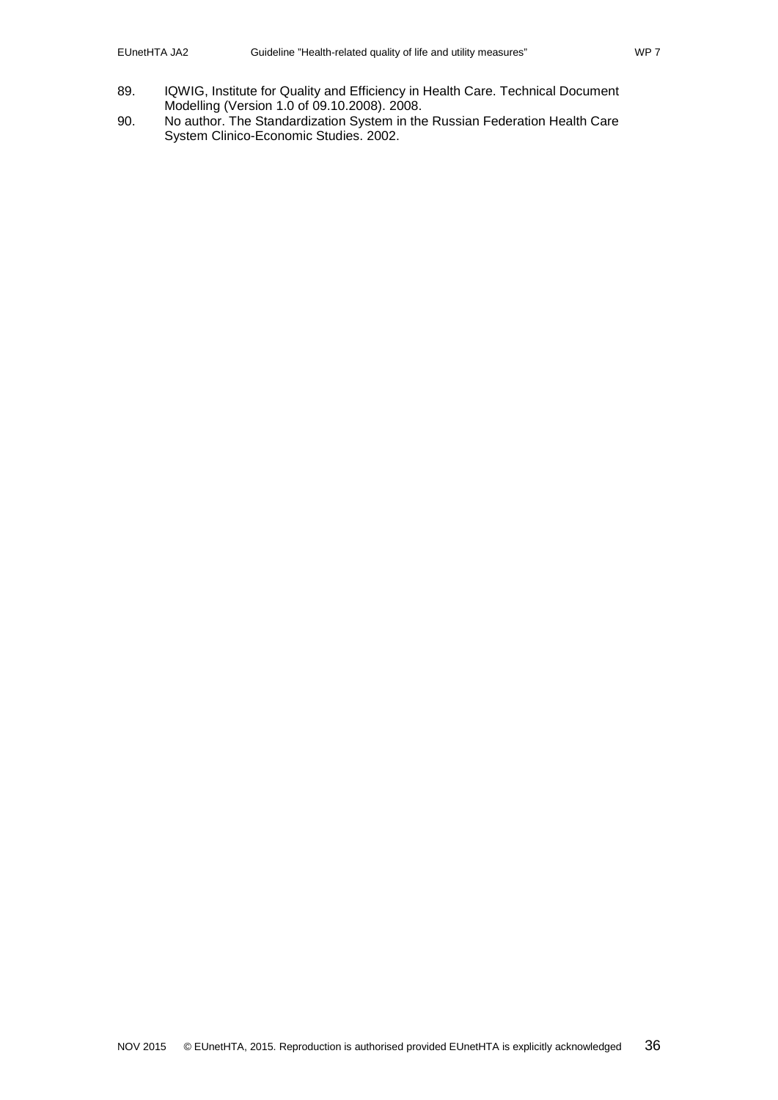- 89. IQWIG, Institute for Quality and Efficiency in Health Care. Technical Document Modelling (Version 1.0 of 09.10.2008). 2008.
- 90. No author. The Standardization System in the Russian Federation Health Care System Clinico-Economic Studies. 2002.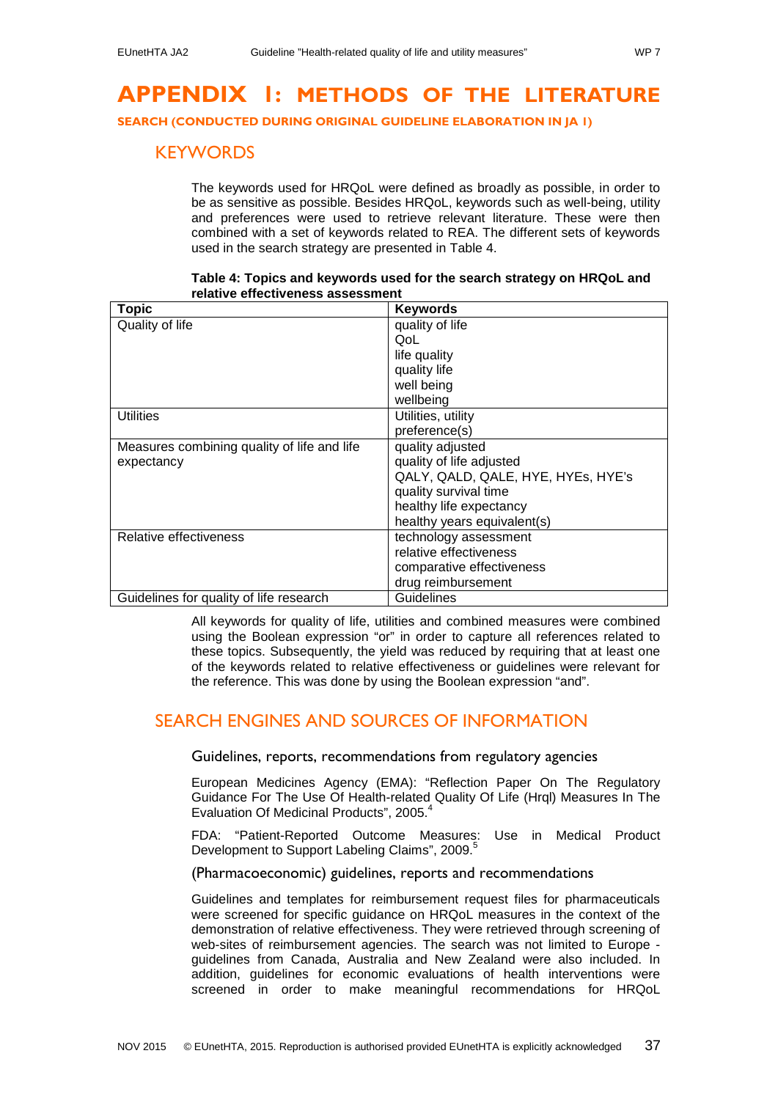# <span id="page-36-0"></span>**APPENDIX 1: METHODS OF THE LITERATURE**

<span id="page-36-1"></span>**SEARCH (CONDUCTED DURING ORIGINAL GUIDELINE ELABORATION IN JA 1)**

## **KEYWORDS**

The keywords used for HRQoL were defined as broadly as possible, in order to be as sensitive as possible. Besides HRQoL, keywords such as well-being, utility and preferences were used to retrieve relevant literature. These were then combined with a set of keywords related to REA. The different sets of keywords used in the search strategy are presented in [Table 4.](#page-36-5)

<span id="page-36-5"></span>

| <b>Topic</b>                                | <b>Keywords</b>                    |
|---------------------------------------------|------------------------------------|
| Quality of life                             | quality of life                    |
|                                             | QoL                                |
|                                             | life quality                       |
|                                             | quality life                       |
|                                             | well being                         |
|                                             | wellbeing                          |
| <b>Utilities</b>                            | Utilities, utility                 |
|                                             | preference(s)                      |
| Measures combining quality of life and life | quality adjusted                   |
| expectancy                                  | quality of life adjusted           |
|                                             | QALY, QALD, QALE, HYE, HYEs, HYE's |
|                                             | quality survival time              |
|                                             | healthy life expectancy            |
|                                             | healthy years equivalent(s)        |
| Relative effectiveness                      | technology assessment              |
|                                             | relative effectiveness             |
|                                             | comparative effectiveness          |
|                                             | drug reimbursement                 |
| Guidelines for quality of life research     | Guidelines                         |

**Table 4: Topics and keywords used for the search strategy on HRQoL and relative effectiveness assessment**

All keywords for quality of life, utilities and combined measures were combined using the Boolean expression "or" in order to capture all references related to these topics. Subsequently, the yield was reduced by requiring that at least one of the keywords related to relative effectiveness or guidelines were relevant for the reference. This was done by using the Boolean expression "and".

## <span id="page-36-3"></span><span id="page-36-2"></span>SEARCH ENGINES AND SOURCES OF INFORMATION

Guidelines, reports, recommendations from regulatory agencies

European Medicines Agency (EMA): "Reflection Paper On The Regulatory Guidance For The Use Of Health-related Quality Of Life (Hrql) Measures In The Evaluation Of Medicinal Products", 2005.<sup>[4](#page-31-4)</sup>

FDA: "Patient-Reported Outcome Measures: Use in Medical Product Development to Support Labeling Claims", 2009.<sup>[5](#page-31-5)</sup>

<span id="page-36-4"></span>(Pharmacoeconomic) guidelines, reports and recommendations

Guidelines and templates for reimbursement request files for pharmaceuticals were screened for specific guidance on HRQoL measures in the context of the demonstration of relative effectiveness. They were retrieved through screening of web-sites of reimbursement agencies. The search was not limited to Europe guidelines from Canada, Australia and New Zealand were also included. In addition, guidelines for economic evaluations of health interventions were screened in order to make meaningful recommendations for HRQoL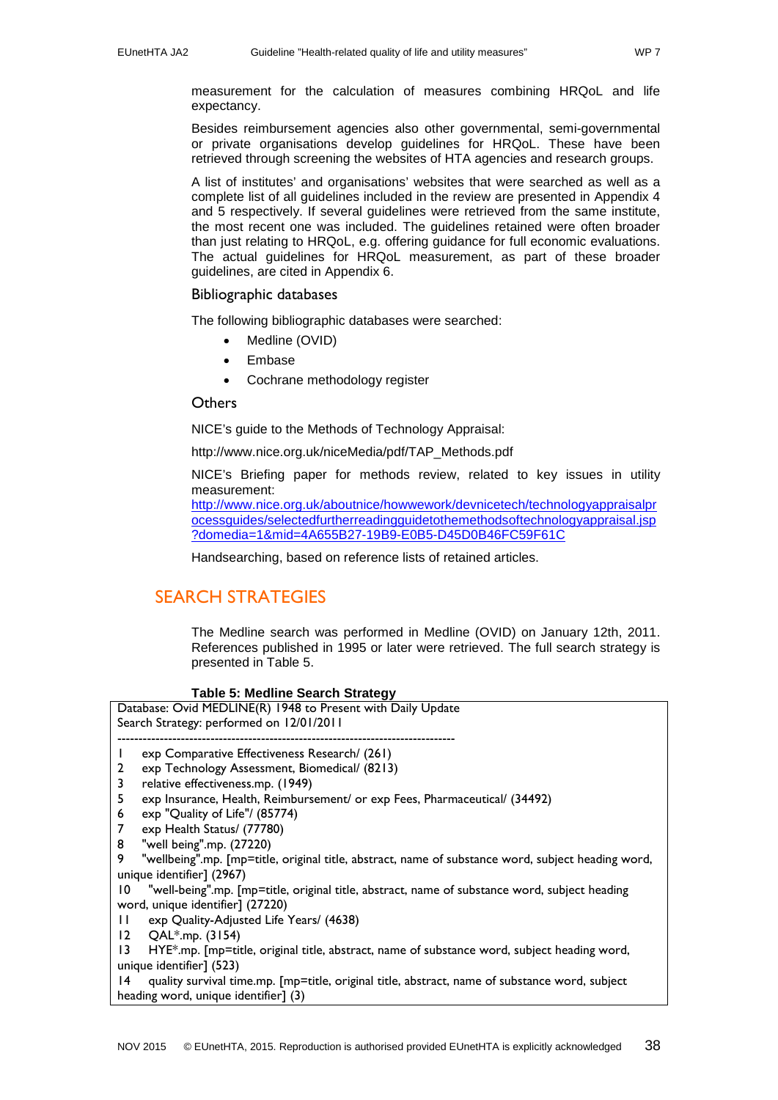measurement for the calculation of measures combining HRQoL and life expectancy.

Besides reimbursement agencies also other governmental, semi-governmental or private organisations develop guidelines for HRQoL. These have been retrieved through screening the websites of HTA agencies and research groups.

A list of institutes' and organisations' websites that were searched as well as a complete list of all guidelines included in the review are presented in Appendix 4 and 5 respectively. If several guidelines were retrieved from the same institute, the most recent one was included. The guidelines retained were often broader than just relating to HRQoL, e.g. offering guidance for full economic evaluations. The actual guidelines for HRQoL measurement, as part of these broader guidelines, are cited in Appendix 6.

### <span id="page-37-0"></span>Bibliographic databases

The following bibliographic databases were searched:

- Medline (OVID)
- **Embase**
- Cochrane methodology register

#### <span id="page-37-1"></span>**Others**

NICE's guide to the Methods of Technology Appraisal:

http://www.nice.org.uk/niceMedia/pdf/TAP\_Methods.pdf

NICE's Briefing paper for methods review, related to key issues in utility measurement:

[http://www.nice.org.uk/aboutnice/howwework/devnicetech/technologyappraisalpr](http://www.nice.org.uk/aboutnice/howwework/devnicetech/technologyappraisalprocessguides/selectedfurtherreadingguidetothemethodsoftechnologyappraisal.jsp?domedia=1&mid=4A655B27-19B9-E0B5-D45D0B46FC59F61C) [ocessguides/selectedfurtherreadingguidetothemethodsoftechnologyappraisal.jsp](http://www.nice.org.uk/aboutnice/howwework/devnicetech/technologyappraisalprocessguides/selectedfurtherreadingguidetothemethodsoftechnologyappraisal.jsp?domedia=1&mid=4A655B27-19B9-E0B5-D45D0B46FC59F61C) [?domedia=1&mid=4A655B27-19B9-E0B5-D45D0B46FC59F61C](http://www.nice.org.uk/aboutnice/howwework/devnicetech/technologyappraisalprocessguides/selectedfurtherreadingguidetothemethodsoftechnologyappraisal.jsp?domedia=1&mid=4A655B27-19B9-E0B5-D45D0B46FC59F61C)

Handsearching, based on reference lists of retained articles.

## <span id="page-37-2"></span>SEARCH STRATEGIES

The Medline search was performed in Medline (OVID) on January 12th, 2011. References published in 1995 or later were retrieved. The full search strategy is presented in [Table 5.](#page-37-3)

#### **Table 5: Medline Search Strategy**

<span id="page-37-3"></span>

| Database: Ovid MEDLINE(R) 1948 to Present with Daily Update<br>Search Strategy: performed on 12/01/2011 |                                                                                                    |  |  |
|---------------------------------------------------------------------------------------------------------|----------------------------------------------------------------------------------------------------|--|--|
| $\mathbf{I}$                                                                                            | exp Comparative Effectiveness Research/ (261)                                                      |  |  |
| 2                                                                                                       | exp Technology Assessment, Biomedical/ (8213)                                                      |  |  |
| 3                                                                                                       | relative effectiveness.mp. (1949)                                                                  |  |  |
| 5                                                                                                       | exp Insurance, Health, Reimbursement/ or exp Fees, Pharmaceutical/ (34492)                         |  |  |
| 6                                                                                                       | exp "Quality of Life"/ (85774)                                                                     |  |  |
| 7                                                                                                       | exp Health Status/ (77780)                                                                         |  |  |
| 8                                                                                                       | "well being".mp. (27220)                                                                           |  |  |
| 9                                                                                                       | "wellbeing".mp. [mp=title, original title, abstract, name of substance word, subject heading word, |  |  |
|                                                                                                         | unique identifier] (2967)                                                                          |  |  |
| $\overline{10}$                                                                                         | "well-being".mp. [mp=title, original title, abstract, name of substance word, subject heading      |  |  |
| word, unique identifier] (27220)                                                                        |                                                                                                    |  |  |
| Ħ                                                                                                       | exp Quality-Adjusted Life Years/ (4638)                                                            |  |  |
| 12                                                                                                      | QAL <sup>*</sup> .mp. (3154)                                                                       |  |  |
| $\overline{13}$                                                                                         | HYE*.mp. [mp=title, original title, abstract, name of substance word, subject heading word,        |  |  |
| unique identifier] (523)                                                                                |                                                                                                    |  |  |
| 14                                                                                                      | quality survival time.mp. [mp=title, original title, abstract, name of substance word, subject     |  |  |
| heading word, unique identifier] (3)                                                                    |                                                                                                    |  |  |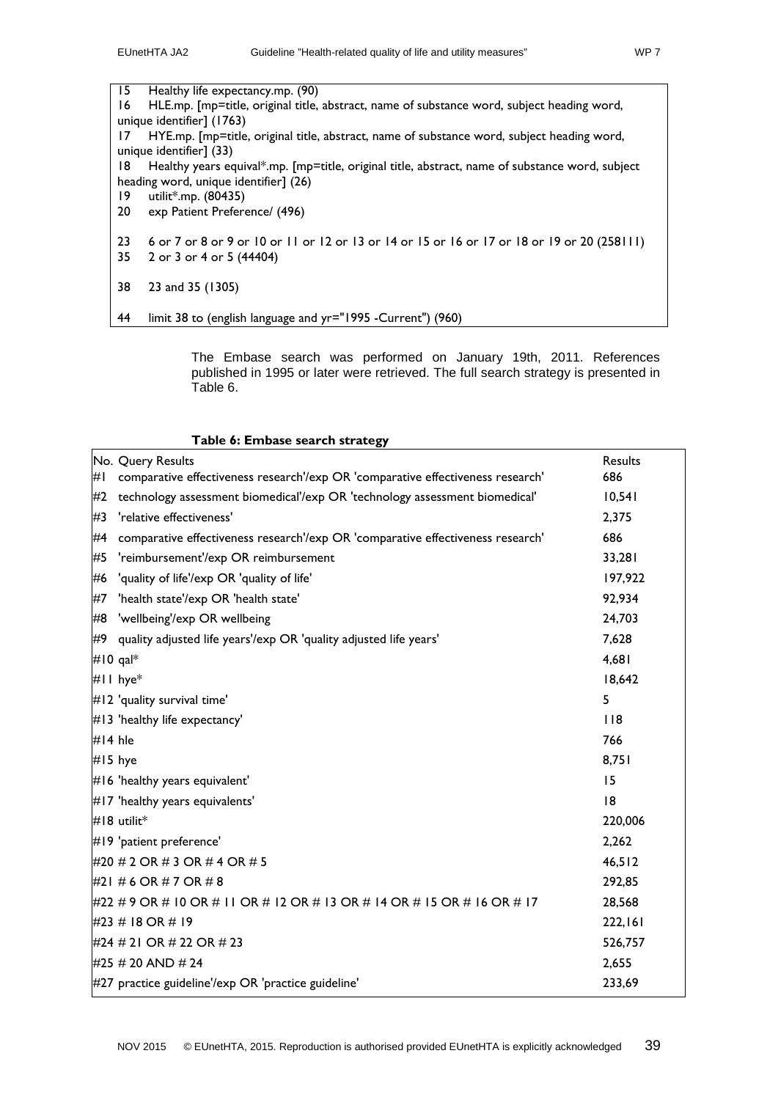15 Healthy life expectancy.mp. (90) 16 HLE.mp. [mp=title, original title, abstract, name of substance word, subject heading word, unique identifier] (1763) 17 HYE.mp. [mp=title, original title, abstract, name of substance word, subject heading word, unique identifier] (33) 18 Healthy years equival\*.mp. [mp=title, original title, abstract, name of substance word, subject heading word, unique identifier] (26) 19 utilit\*.mp. (80435) 20 exp Patient Preference/ (496) 23 6 or 7 or 8 or 9 or 10 or 11 or 12 or 13 or 14 or 15 or 16 or 17 or 18 or 19 or 20 (258111) 35 2 or 3 or 4 or 5 (44404) 38 23 and 35 (1305) 44 limit 38 to (english language and yr="1995 -Current") (960)

> The Embase search was performed on January 19th, 2011. References published in 1995 or later were retrieved. The full search strategy is presented in [Table 6.](#page-38-0)

#### **Table 6: Embase search strategy**

<span id="page-38-0"></span>

|           | No. Query Results<br><b>Results</b>                                             |         |  |
|-----------|---------------------------------------------------------------------------------|---------|--|
| #I        | comparative effectiveness research'/exp OR 'comparative effectiveness research' | 686     |  |
| #2        | technology assessment biomedical'/exp OR 'technology assessment biomedical'     | 10,541  |  |
| #3        | 'relative effectiveness'                                                        |         |  |
| #4        | comparative effectiveness research'/exp OR 'comparative effectiveness research' |         |  |
| #5        | 'reimbursement'/exp OR reimbursement                                            | 33,281  |  |
|           | #6 'quality of life'/exp OR 'quality of life'                                   |         |  |
| #7        | 'health state'/exp OR 'health state'                                            | 92,934  |  |
|           | #8 'wellbeing'/exp OR wellbeing                                                 | 24,703  |  |
| #9        | quality adjusted life years'/exp OR 'quality adjusted life years'               | 7,628   |  |
|           | #10 qal $*$                                                                     | 4,681   |  |
|           | #II hye*                                                                        | 18,642  |  |
|           | #12 'quality survival time'                                                     | 5       |  |
|           | #13 'healthy life expectancy'                                                   | 118     |  |
| #14 hle   |                                                                                 | 766     |  |
| $#15$ hye |                                                                                 | 8,751   |  |
|           | #16 'healthy years equivalent'                                                  | 15      |  |
|           | #17 'healthy years equivalents'                                                 | 8       |  |
|           | #18 utilit*                                                                     | 220,006 |  |
|           | #19 'patient preference'                                                        | 2,262   |  |
|           | #20 # 2 OR # 3 OR # 4 OR # 5                                                    | 46,512  |  |
|           | #21 # 6 OR # 7 OR # 8                                                           | 292,85  |  |
|           | #22 # 9 OR # 10 OR # 11 OR # 12 OR # 13 OR # 14 OR # 15 OR # 16 OR # 17         | 28,568  |  |
|           | #23 # 18 OR # 19                                                                | 222,161 |  |
|           | #24 # 21 OR # 22 OR # 23                                                        | 526,757 |  |
|           | #25 # 20 AND # 24                                                               | 2,655   |  |
|           | #27 practice guideline'/exp OR 'practice guideline'                             | 233,69  |  |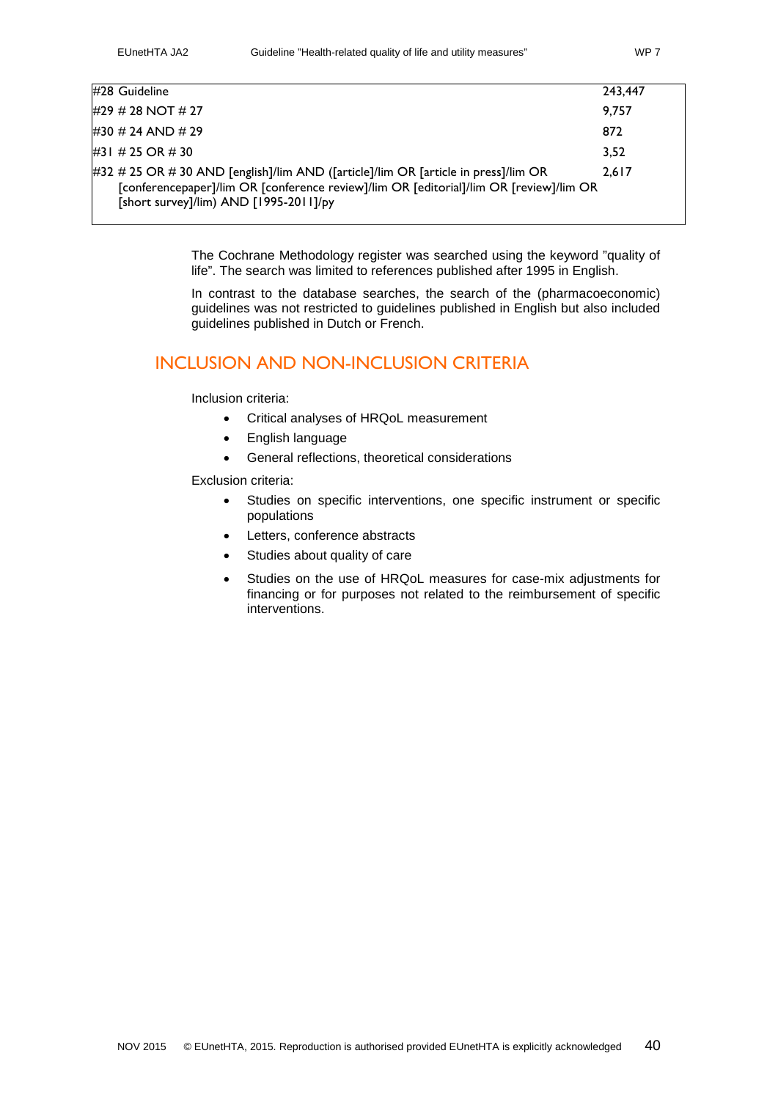| #28 Guideline                                                                                                                                                                                                          | 243.447 |
|------------------------------------------------------------------------------------------------------------------------------------------------------------------------------------------------------------------------|---------|
| #29 # 28 NOT # 27                                                                                                                                                                                                      | 9.757   |
| #30 # 24 AND # 29                                                                                                                                                                                                      | 872     |
| #31 # 25 OR # 30                                                                                                                                                                                                       | 3.52    |
| #32 # 25 OR # 30 AND [english]/lim AND ([article]/lim OR [article in press]/lim OR<br>[conferencepaper]/lim OR [conference review]/lim OR [editorial]/lim OR [review]/lim OR<br>[short survey]/lim) AND [1995-2011]/py |         |

The Cochrane Methodology register was searched using the keyword "quality of life". The search was limited to references published after 1995 in English.

In contrast to the database searches, the search of the (pharmacoeconomic) guidelines was not restricted to guidelines published in English but also included guidelines published in Dutch or French.

## <span id="page-39-0"></span>INCLUSION AND NON-INCLUSION CRITERIA

Inclusion criteria:

- Critical analyses of HRQoL measurement
- English language
- General reflections, theoretical considerations

Exclusion criteria:

- Studies on specific interventions, one specific instrument or specific populations
- Letters, conference abstracts
- Studies about quality of care
- Studies on the use of HRQoL measures for case-mix adjustments for financing or for purposes not related to the reimbursement of specific interventions.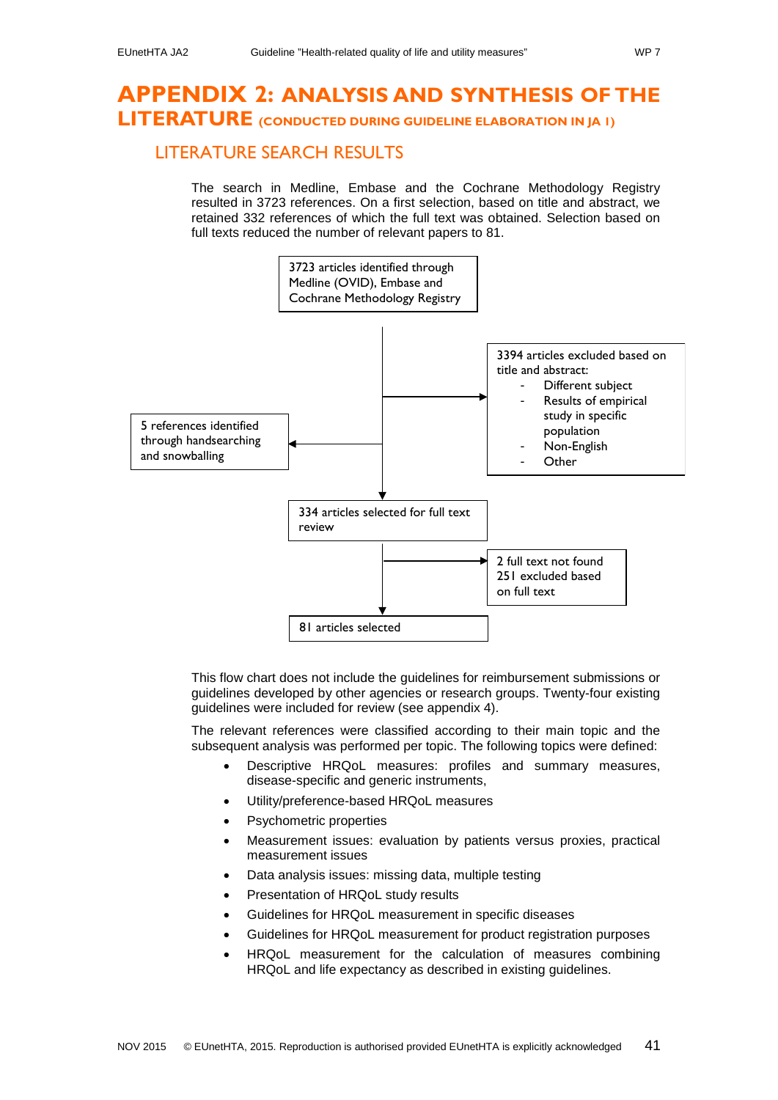# <span id="page-40-0"></span>**APPENDIX 2: ANALYSIS AND SYNTHESIS OF THE LITERATURE (CONDUCTED DURING GUIDELINE ELABORATION IN JA 1)**

## <span id="page-40-1"></span>LITERATURE SEARCH RESULTS

The search in Medline, Embase and the Cochrane Methodology Registry resulted in 3723 references. On a first selection, based on title and abstract, we retained 332 references of which the full text was obtained. Selection based on full texts reduced the number of relevant papers to 81.



This flow chart does not include the guidelines for reimbursement submissions or guidelines developed by other agencies or research groups. Twenty-four existing guidelines were included for review (see appendix 4).

The relevant references were classified according to their main topic and the subsequent analysis was performed per topic. The following topics were defined:

- Descriptive HRQoL measures: profiles and summary measures, disease-specific and generic instruments,
- Utility/preference-based HRQoL measures
- Psychometric properties
- Measurement issues: evaluation by patients versus proxies, practical measurement issues
- Data analysis issues: missing data, multiple testing
- Presentation of HRQoL study results
- Guidelines for HRQoL measurement in specific diseases
- Guidelines for HRQoL measurement for product registration purposes
- HRQoL measurement for the calculation of measures combining HRQoL and life expectancy as described in existing guidelines.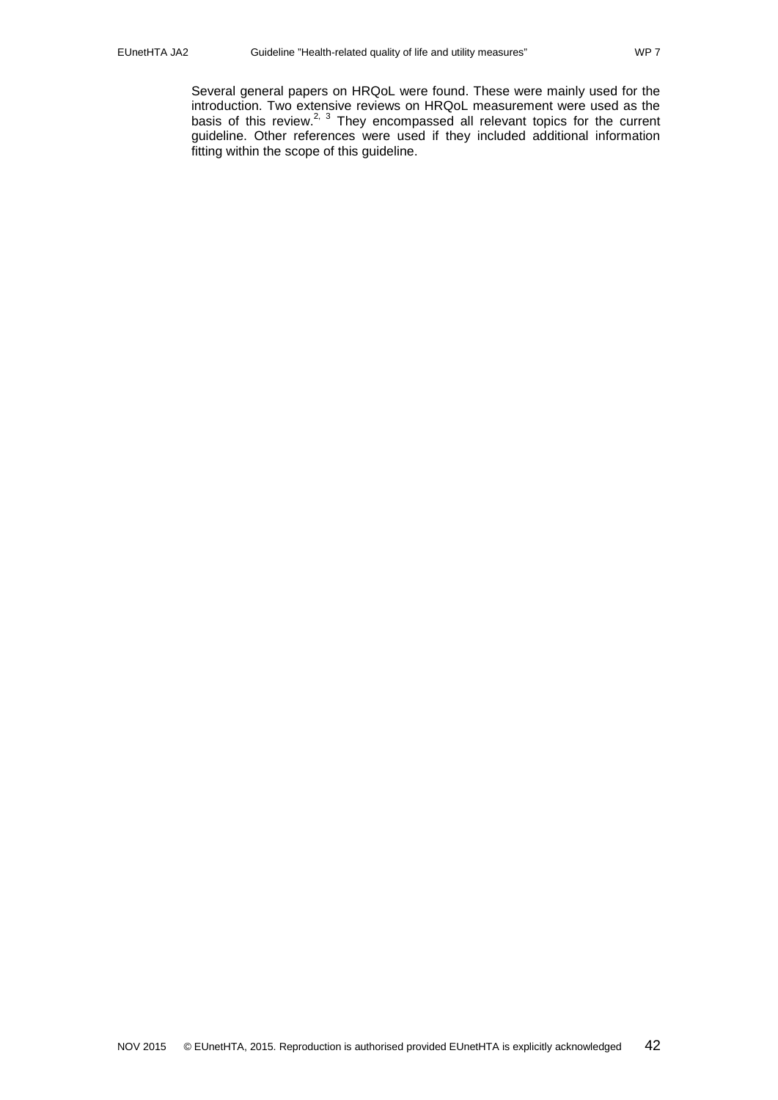Several general papers on HRQoL were found. These were mainly used for the introduction. Two extensive reviews on HRQoL measurement were used as the basis of this review.<sup>2, [3](#page-31-3)</sup> They encompassed all relevant topics for the current guideline. Other references were used if they included additional information fitting within the scope of this guideline.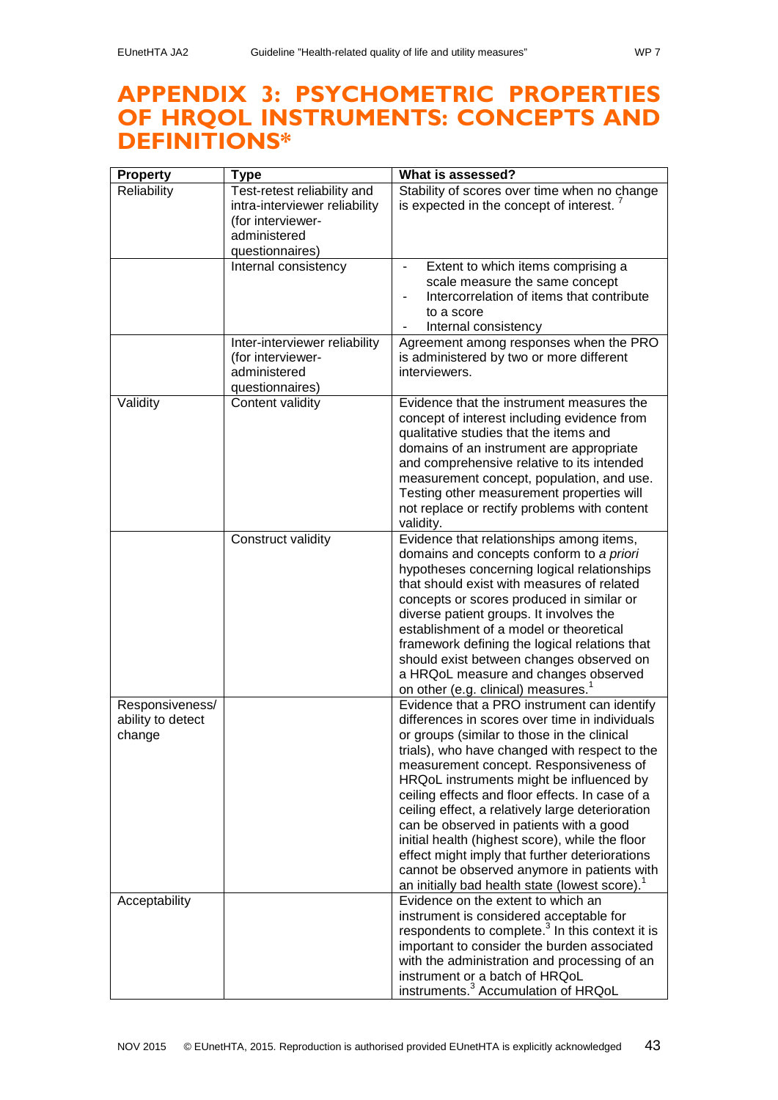# <span id="page-42-0"></span>**APPENDIX 3: PSYCHOMETRIC PROPERTIES OF HRQOL INSTRUMENTS: CONCEPTS AND DEFINITIONS\***

| <b>Property</b>                                | <b>Type</b>                                                                                                          | What is assessed?                                                                                                                                                                                                                                                                                                                                                                                                                                                                                                                                                                                                                                       |
|------------------------------------------------|----------------------------------------------------------------------------------------------------------------------|---------------------------------------------------------------------------------------------------------------------------------------------------------------------------------------------------------------------------------------------------------------------------------------------------------------------------------------------------------------------------------------------------------------------------------------------------------------------------------------------------------------------------------------------------------------------------------------------------------------------------------------------------------|
| Reliability                                    | Test-retest reliability and<br>intra-interviewer reliability<br>(for interviewer-<br>administered<br>questionnaires) | Stability of scores over time when no change<br>is expected in the concept of interest.                                                                                                                                                                                                                                                                                                                                                                                                                                                                                                                                                                 |
|                                                | Internal consistency                                                                                                 | Extent to which items comprising a<br>scale measure the same concept<br>Intercorrelation of items that contribute<br>to a score<br>Internal consistency                                                                                                                                                                                                                                                                                                                                                                                                                                                                                                 |
|                                                | Inter-interviewer reliability<br>(for interviewer-<br>administered<br>questionnaires)                                | Agreement among responses when the PRO<br>is administered by two or more different<br>interviewers.                                                                                                                                                                                                                                                                                                                                                                                                                                                                                                                                                     |
| Validity                                       | Content validity                                                                                                     | Evidence that the instrument measures the<br>concept of interest including evidence from<br>qualitative studies that the items and<br>domains of an instrument are appropriate<br>and comprehensive relative to its intended<br>measurement concept, population, and use.<br>Testing other measurement properties will<br>not replace or rectify problems with content<br>validity.                                                                                                                                                                                                                                                                     |
|                                                | Construct validity                                                                                                   | Evidence that relationships among items,<br>domains and concepts conform to a priori<br>hypotheses concerning logical relationships<br>that should exist with measures of related<br>concepts or scores produced in similar or<br>diverse patient groups. It involves the<br>establishment of a model or theoretical<br>framework defining the logical relations that<br>should exist between changes observed on<br>a HRQoL measure and changes observed<br>on other (e.g. clinical) measures. <sup>1</sup>                                                                                                                                            |
| Responsiveness/<br>ability to detect<br>change |                                                                                                                      | Evidence that a PRO instrument can identify<br>differences in scores over time in individuals<br>or groups (similar to those in the clinical<br>trials), who have changed with respect to the<br>measurement concept. Responsiveness of<br>HRQoL instruments might be influenced by<br>ceiling effects and floor effects. In case of a<br>ceiling effect, a relatively large deterioration<br>can be observed in patients with a good<br>initial health (highest score), while the floor<br>effect might imply that further deteriorations<br>cannot be observed anymore in patients with<br>an initially bad health state (lowest score). <sup>1</sup> |
| Acceptability                                  |                                                                                                                      | Evidence on the extent to which an<br>instrument is considered acceptable for<br>respondents to complete. <sup>3</sup> In this context it is<br>important to consider the burden associated<br>with the administration and processing of an<br>instrument or a batch of HRQoL<br>instruments. <sup>3</sup> Accumulation of HRQoL                                                                                                                                                                                                                                                                                                                        |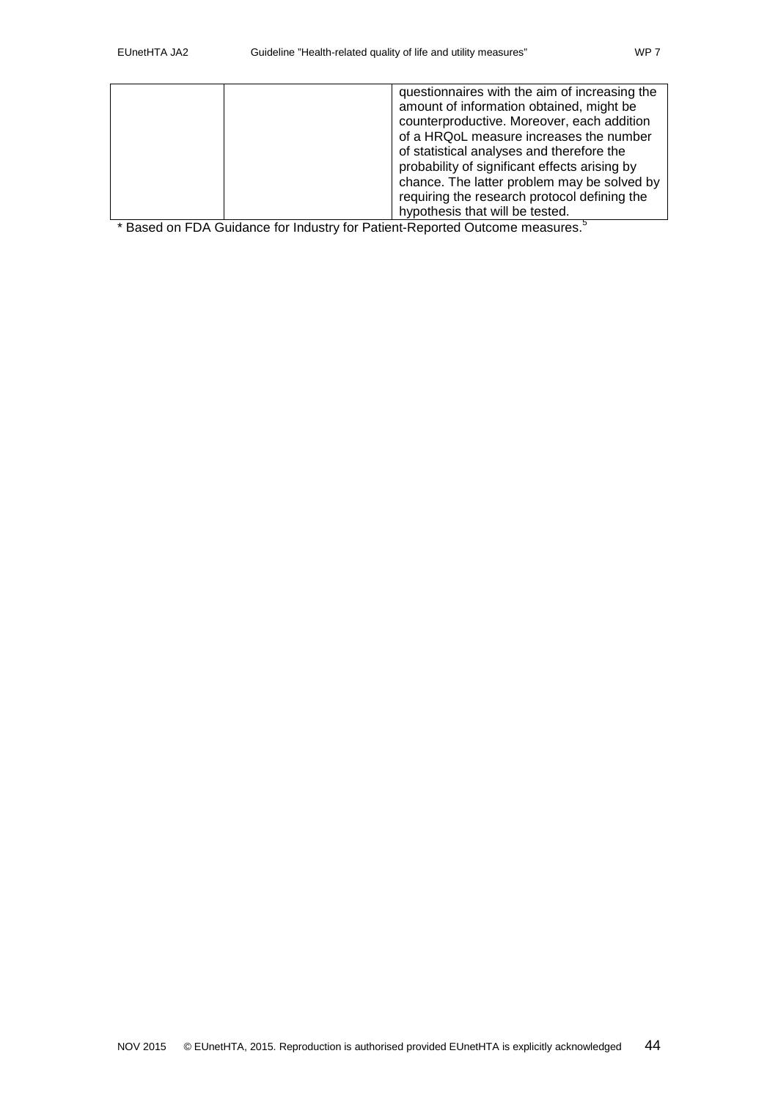| questionnaires with the aim of increasing the |
|-----------------------------------------------|
|                                               |
| amount of information obtained, might be      |
| counterproductive. Moreover, each addition    |
| of a HRQoL measure increases the number       |
| of statistical analyses and therefore the     |
| probability of significant effects arising by |
| chance. The latter problem may be solved by   |
| requiring the research protocol defining the  |
| hypothesis that will be tested.               |

\* Based on FDA Guidance for Industry for Patient-Reported Outcome measures[.](#page-31-5)<sup>5</sup>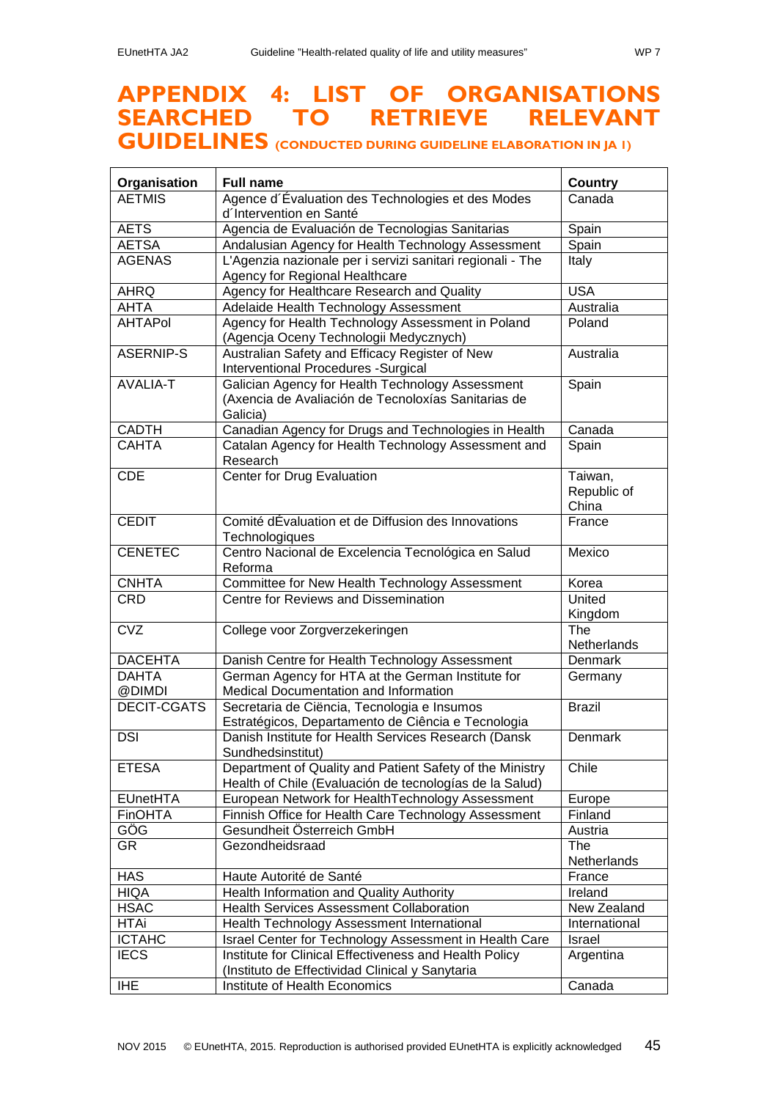# <span id="page-44-0"></span>**APPENDIX 4: LIST OF ORGANISATIONS SEARCHED TO RETRIEVE RELEVANT**

# **GUIDELINES (CONDUCTED DURING GUIDELINE ELABORATION IN JA 1)**

| Organisation           | <b>Full name</b>                                                                                                    | <b>Country</b>                  |
|------------------------|---------------------------------------------------------------------------------------------------------------------|---------------------------------|
| <b>AETMIS</b>          | Agence d'Évaluation des Technologies et des Modes                                                                   | Canada                          |
|                        | d'Intervention en Santé                                                                                             |                                 |
| <b>AETS</b>            | Agencia de Evaluación de Tecnologias Sanitarias                                                                     | Spain                           |
| <b>AETSA</b>           | Andalusian Agency for Health Technology Assessment                                                                  | Spain                           |
| <b>AGENAS</b>          | L'Agenzia nazionale per i servizi sanitari regionali - The<br>Agency for Regional Healthcare                        | Italy                           |
| <b>AHRQ</b>            | Agency for Healthcare Research and Quality                                                                          | <b>USA</b>                      |
| <b>AHTA</b>            | Adelaide Health Technology Assessment                                                                               | Australia                       |
| <b>AHTAPol</b>         | Agency for Health Technology Assessment in Poland<br>(Agencja Oceny Technologii Medycznych)                         | Poland                          |
| <b>ASERNIP-S</b>       | Australian Safety and Efficacy Register of New<br><b>Interventional Procedures -Surgical</b>                        | Australia                       |
| <b>AVALIA-T</b>        | Galician Agency for Health Technology Assessment<br>(Axencia de Avaliación de Tecnoloxías Sanitarias de<br>Galicia) | Spain                           |
| <b>CADTH</b>           | Canadian Agency for Drugs and Technologies in Health                                                                | Canada                          |
| <b>CAHTA</b>           | Catalan Agency for Health Technology Assessment and<br>Research                                                     | Spain                           |
| <b>CDE</b>             | Center for Drug Evaluation                                                                                          | Taiwan,<br>Republic of<br>China |
| <b>CEDIT</b>           | Comité dÉvaluation et de Diffusion des Innovations<br>Technologiques                                                | France                          |
| <b>CENETEC</b>         | Centro Nacional de Excelencia Tecnológica en Salud<br>Reforma                                                       | Mexico                          |
| CNHTA                  | Committee for New Health Technology Assessment                                                                      | Korea                           |
| <b>CRD</b>             | Centre for Reviews and Dissemination                                                                                | United<br>Kingdom               |
| CVZ                    | College voor Zorgverzekeringen                                                                                      | The<br>Netherlands              |
| <b>DACEHTA</b>         | Danish Centre for Health Technology Assessment                                                                      | <b>Denmark</b>                  |
| <b>DAHTA</b><br>@DIMDI | German Agency for HTA at the German Institute for<br>Medical Documentation and Information                          | Germany                         |
| DECIT-CGATS            | Secretaria de Ciëncia, Tecnologia e Insumos<br>Estratégicos, Departamento de Ciência e Tecnologia                   | <b>Brazil</b>                   |
| <b>DSI</b>             | Danish Institute for Health Services Research (Dansk<br>Sundhedsinstitut)                                           | Denmark                         |
| <b>ETESA</b>           | Department of Quality and Patient Safety of the Ministry<br>Health of Chile (Evaluación de tecnologías de la Salud) | Chile                           |
| <b>EUnetHTA</b>        | European Network for HealthTechnology Assessment                                                                    | Europe                          |
| FinOHTA                | Finnish Office for Health Care Technology Assessment                                                                | Finland                         |
| GÖG                    | Gesundheit Österreich GmbH                                                                                          | Austria                         |
| GR                     | Gezondheidsraad                                                                                                     | The<br>Netherlands              |
| <b>HAS</b>             | Haute Autorité de Santé                                                                                             | France                          |
| <b>HIQA</b>            | Health Information and Quality Authority                                                                            | Ireland                         |
| <b>HSAC</b>            | <b>Health Services Assessment Collaboration</b>                                                                     | New Zealand                     |
| <b>HTAi</b>            | Health Technology Assessment International                                                                          | International                   |
| <b>ICTAHC</b>          | <b>Israel Center for Technology Assessment in Health Care</b>                                                       | <b>Israel</b>                   |
| <b>IECS</b>            | Institute for Clinical Effectiveness and Health Policy<br>(Instituto de Effectividad Clinical y Sanytaria           | Argentina                       |
| <b>IHE</b>             | Institute of Health Economics                                                                                       | Canada                          |
|                        |                                                                                                                     |                                 |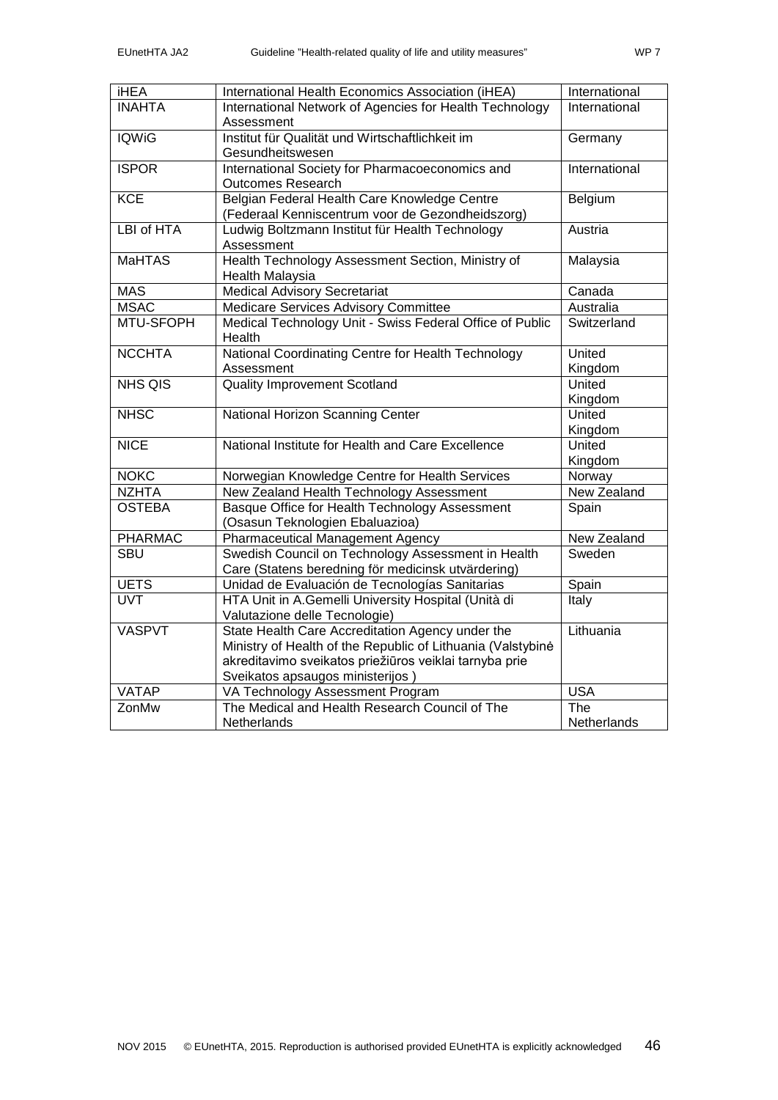| <b>iHEA</b>    | International Health Economics Association (iHEA)                                                                                                                                                             | International      |
|----------------|---------------------------------------------------------------------------------------------------------------------------------------------------------------------------------------------------------------|--------------------|
| <b>INAHTA</b>  | International Network of Agencies for Health Technology<br>Assessment                                                                                                                                         | International      |
| <b>IQWiG</b>   | Institut für Qualität und Wirtschaftlichkeit im<br>Gesundheitswesen                                                                                                                                           | Germany            |
| <b>ISPOR</b>   | International Society for Pharmacoeconomics and<br><b>Outcomes Research</b>                                                                                                                                   | International      |
| <b>KCE</b>     | Belgian Federal Health Care Knowledge Centre<br>(Federaal Kenniscentrum voor de Gezondheidszorg)                                                                                                              | Belgium            |
| LBI of HTA     | Ludwig Boltzmann Institut für Health Technology<br>Assessment                                                                                                                                                 | Austria            |
| <b>MaHTAS</b>  | Health Technology Assessment Section, Ministry of<br>Health Malaysia                                                                                                                                          | Malaysia           |
| <b>MAS</b>     | <b>Medical Advisory Secretariat</b>                                                                                                                                                                           | Canada             |
| <b>MSAC</b>    | Medicare Services Advisory Committee                                                                                                                                                                          | Australia          |
| MTU-SFOPH      | Medical Technology Unit - Swiss Federal Office of Public<br>Health                                                                                                                                            | Switzerland        |
| <b>NCCHTA</b>  | National Coordinating Centre for Health Technology<br>Assessment                                                                                                                                              | United<br>Kingdom  |
| NHS QIS        | <b>Quality Improvement Scotland</b>                                                                                                                                                                           | United<br>Kingdom  |
| <b>NHSC</b>    | National Horizon Scanning Center                                                                                                                                                                              | United<br>Kingdom  |
| <b>NICE</b>    | National Institute for Health and Care Excellence                                                                                                                                                             | United<br>Kingdom  |
| <b>NOKC</b>    | Norwegian Knowledge Centre for Health Services                                                                                                                                                                | Norway             |
| <b>NZHTA</b>   | New Zealand Health Technology Assessment                                                                                                                                                                      | <b>New Zealand</b> |
| <b>OSTEBA</b>  | Basque Office for Health Technology Assessment<br>(Osasun Teknologien Ebaluazioa)                                                                                                                             | Spain              |
| <b>PHARMAC</b> | <b>Pharmaceutical Management Agency</b>                                                                                                                                                                       | New Zealand        |
| <b>SBU</b>     | Swedish Council on Technology Assessment in Health<br>Care (Statens beredning för medicinsk utvärdering)                                                                                                      | Sweden             |
| <b>UETS</b>    | Unidad de Evaluación de Tecnologías Sanitarias                                                                                                                                                                | Spain              |
| <b>UVT</b>     | HTA Unit in A.Gemelli University Hospital (Unità di<br>Valutazione delle Tecnologie)                                                                                                                          | Italy              |
| <b>VASPVT</b>  | State Health Care Accreditation Agency under the<br>Ministry of Health of the Republic of Lithuania (Valstybine<br>akreditavimo sveikatos priežiūros veiklai tarnyba prie<br>Sveikatos apsaugos ministerijos) | Lithuania          |
| <b>VATAP</b>   | VA Technology Assessment Program                                                                                                                                                                              | <b>USA</b>         |
| ZonMw          | The Medical and Health Research Council of The<br>Netherlands                                                                                                                                                 | The<br>Netherlands |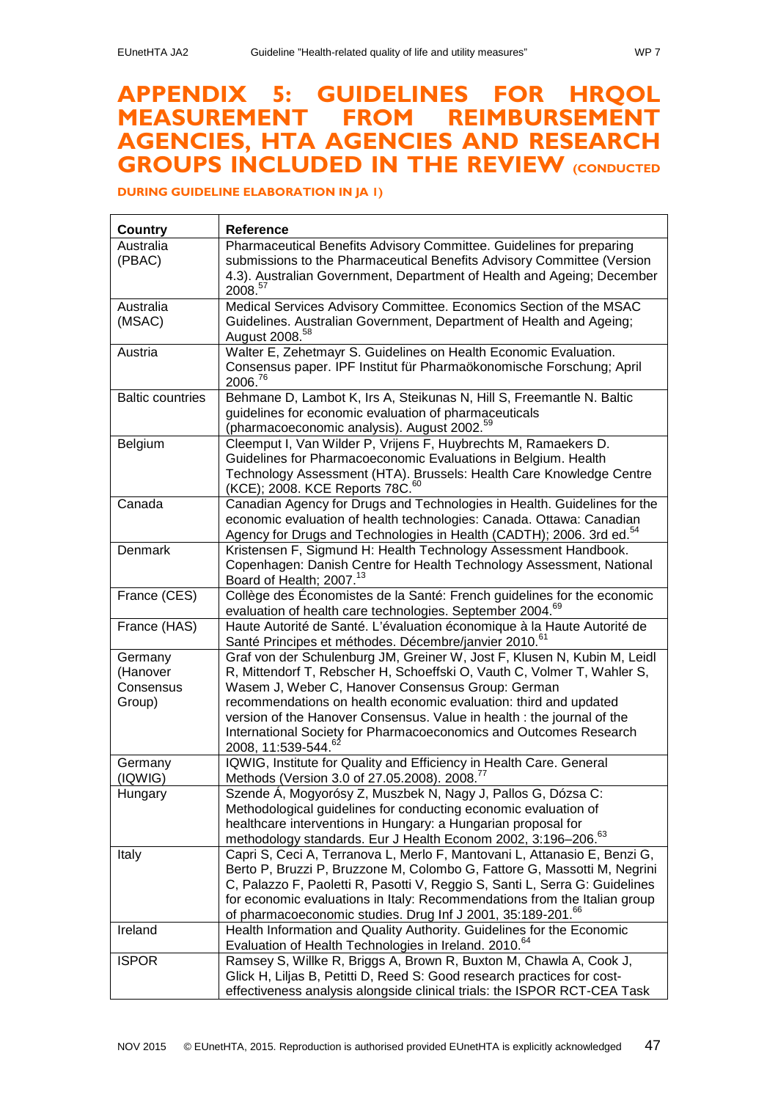# <span id="page-46-0"></span>**APPENDIX 5: GUIDELINES FOR HRQOL MEASUREMENT FROM REIMBURSEMENT AGENCIES, HTA AGENCIES AND RESEARCH GROUPS INCLUDED IN THE REVIEW (CONDUCTED**

**DURING GUIDELINE ELABORATION IN JA 1)**

| Country                 | Reference                                                                                                                                             |
|-------------------------|-------------------------------------------------------------------------------------------------------------------------------------------------------|
| Australia               | Pharmaceutical Benefits Advisory Committee. Guidelines for preparing                                                                                  |
| (PBAC)                  | submissions to the Pharmaceutical Benefits Advisory Committee (Version                                                                                |
|                         | 4.3). Australian Government, Department of Health and Ageing; December<br>2008.57                                                                     |
| Australia               | Medical Services Advisory Committee. Economics Section of the MSAC                                                                                    |
| (MSAC)                  | Guidelines. Australian Government, Department of Health and Ageing;                                                                                   |
|                         | August 2008. <sup>58</sup>                                                                                                                            |
| Austria                 | Walter E, Zehetmayr S. Guidelines on Health Economic Evaluation.                                                                                      |
|                         | Consensus paper. IPF Institut für Pharmaökonomische Forschung; April<br>2006. <sup>76</sup>                                                           |
| <b>Baltic countries</b> | Behmane D, Lambot K, Irs A, Steikunas N, Hill S, Freemantle N. Baltic                                                                                 |
|                         | guidelines for economic evaluation of pharmaceuticals                                                                                                 |
|                         | (pharmacoeconomic analysis). August 2002. <sup>59</sup>                                                                                               |
| Belgium                 | Cleemput I, Van Wilder P, Vrijens F, Huybrechts M, Ramaekers D.                                                                                       |
|                         | Guidelines for Pharmacoeconomic Evaluations in Belgium. Health                                                                                        |
|                         | Technology Assessment (HTA). Brussels: Health Care Knowledge Centre                                                                                   |
|                         | (KCE); 2008. KCE Reports 78C. <sup>60</sup>                                                                                                           |
| Canada                  | Canadian Agency for Drugs and Technologies in Health. Guidelines for the                                                                              |
|                         | economic evaluation of health technologies: Canada. Ottawa: Canadian                                                                                  |
|                         | Agency for Drugs and Technologies in Health (CADTH); 2006. 3rd ed. <sup>54</sup>                                                                      |
| <b>Denmark</b>          | Kristensen F, Sigmund H: Health Technology Assessment Handbook.                                                                                       |
|                         | Copenhagen: Danish Centre for Health Technology Assessment, National<br>Board of Health; 2007. <sup>13</sup>                                          |
| France (CES)            | Collège des Économistes de la Santé: French guidelines for the economic                                                                               |
|                         | evaluation of health care technologies. September 2004. <sup>69</sup>                                                                                 |
| France (HAS)            | Haute Autorité de Santé. L'évaluation économique à la Haute Autorité de<br>Santé Principes et méthodes. Décembre/janvier 2010. <sup>61</sup>          |
| Germany                 | Graf von der Schulenburg JM, Greiner W, Jost F, Klusen N, Kubin M, Leidl                                                                              |
| (Hanover                | R, Mittendorf T, Rebscher H, Schoeffski O, Vauth C, Volmer T, Wahler S,                                                                               |
| Consensus               | Wasem J, Weber C, Hanover Consensus Group: German                                                                                                     |
| Group)                  | recommendations on health economic evaluation: third and updated                                                                                      |
|                         | version of the Hanover Consensus. Value in health : the journal of the                                                                                |
|                         | International Society for Pharmacoeconomics and Outcomes Research                                                                                     |
|                         | 2008, 11:539-544. <sup>62</sup>                                                                                                                       |
| Germany                 | IQWIG, Institute for Quality and Efficiency in Health Care. General                                                                                   |
| (IQWIG)                 | Methods (Version 3.0 of 27.05.2008). 2008. <sup>77</sup>                                                                                              |
| Hungary                 | Szende Á, Mogyorósy Z, Muszbek N, Nagy J, Pallos G, Dózsa C:                                                                                          |
|                         | Methodological guidelines for conducting economic evaluation of                                                                                       |
|                         | healthcare interventions in Hungary: a Hungarian proposal for                                                                                         |
|                         | methodology standards. Eur J Health Econom 2002, 3:196-206. <sup>63</sup>                                                                             |
| Italy                   | Capri S, Ceci A, Terranova L, Merlo F, Mantovani L, Attanasio E, Benzi G,<br>Berto P, Bruzzi P, Bruzzone M, Colombo G, Fattore G, Massotti M, Negrini |
|                         | C, Palazzo F, Paoletti R, Pasotti V, Reggio S, Santi L, Serra G: Guidelines                                                                           |
|                         | for economic evaluations in Italy: Recommendations from the Italian group                                                                             |
|                         | of pharmacoeconomic studies. Drug Inf J 2001, 35:189-201. <sup>66</sup>                                                                               |
| Ireland                 | Health Information and Quality Authority. Guidelines for the Economic                                                                                 |
|                         | Evaluation of Health Technologies in Ireland. 2010. <sup>64</sup>                                                                                     |
| <b>ISPOR</b>            | Ramsey S, Willke R, Briggs A, Brown R, Buxton M, Chawla A, Cook J,                                                                                    |
|                         | Glick H, Liljas B, Petitti D, Reed S: Good research practices for cost-                                                                               |
|                         | effectiveness analysis alongside clinical trials: the ISPOR RCT-CEA Task                                                                              |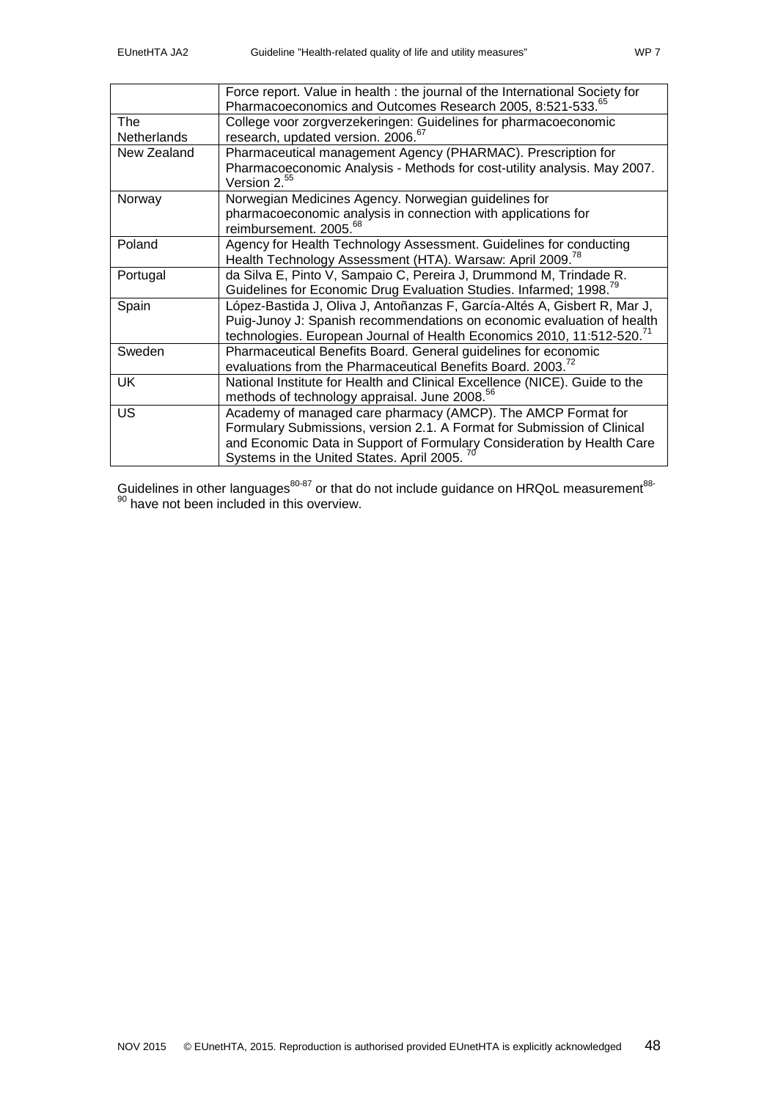|                           | Force report. Value in health : the journal of the International Society for<br>Pharmacoeconomics and Outcomes Research 2005, 8:521-533. <sup>65</sup>                                                                                                         |
|---------------------------|----------------------------------------------------------------------------------------------------------------------------------------------------------------------------------------------------------------------------------------------------------------|
| The<br><b>Netherlands</b> | College voor zorgverzekeringen: Guidelines for pharmacoeconomic<br>research, updated version. 2006. <sup>67</sup>                                                                                                                                              |
| New Zealand               | Pharmaceutical management Agency (PHARMAC). Prescription for<br>Pharmacoeconomic Analysis - Methods for cost-utility analysis. May 2007.<br>Version 2. <sup>55</sup>                                                                                           |
| Norway                    | Norwegian Medicines Agency. Norwegian guidelines for<br>pharmacoeconomic analysis in connection with applications for<br>reimbursement. 2005. <sup>68</sup>                                                                                                    |
| Poland                    | Agency for Health Technology Assessment. Guidelines for conducting<br>Health Technology Assessment (HTA). Warsaw: April 2009. <sup>78</sup>                                                                                                                    |
| Portugal                  | da Silva E, Pinto V, Sampaio C, Pereira J, Drummond M, Trindade R.<br>Guidelines for Economic Drug Evaluation Studies. Infarmed; 1998. <sup>79</sup>                                                                                                           |
| Spain                     | López-Bastida J, Oliva J, Antoñanzas F, García-Altés A, Gisbert R, Mar J,<br>Puig-Junoy J: Spanish recommendations on economic evaluation of health<br>technologies. European Journal of Health Economics 2010, 11:512-520. <sup>71</sup>                      |
| Sweden                    | Pharmaceutical Benefits Board. General guidelines for economic<br>evaluations from the Pharmaceutical Benefits Board. 2003. <sup>72</sup>                                                                                                                      |
| <b>UK</b>                 | National Institute for Health and Clinical Excellence (NICE). Guide to the<br>methods of technology appraisal. June 2008. <sup>56</sup>                                                                                                                        |
| <b>US</b>                 | Academy of managed care pharmacy (AMCP). The AMCP Format for<br>Formulary Submissions, version 2.1. A Format for Submission of Clinical<br>and Economic Data in Support of Formulary Consideration by Health Care<br>Systems in the United States. April 2005. |

Guidelines in other languages<sup>[80-87](#page-34-15)</sup> or that do not include guidance on HRQoL measurement<sup>[88-](#page-34-16)</sup> <sup>90</sup> have not been included in this overview.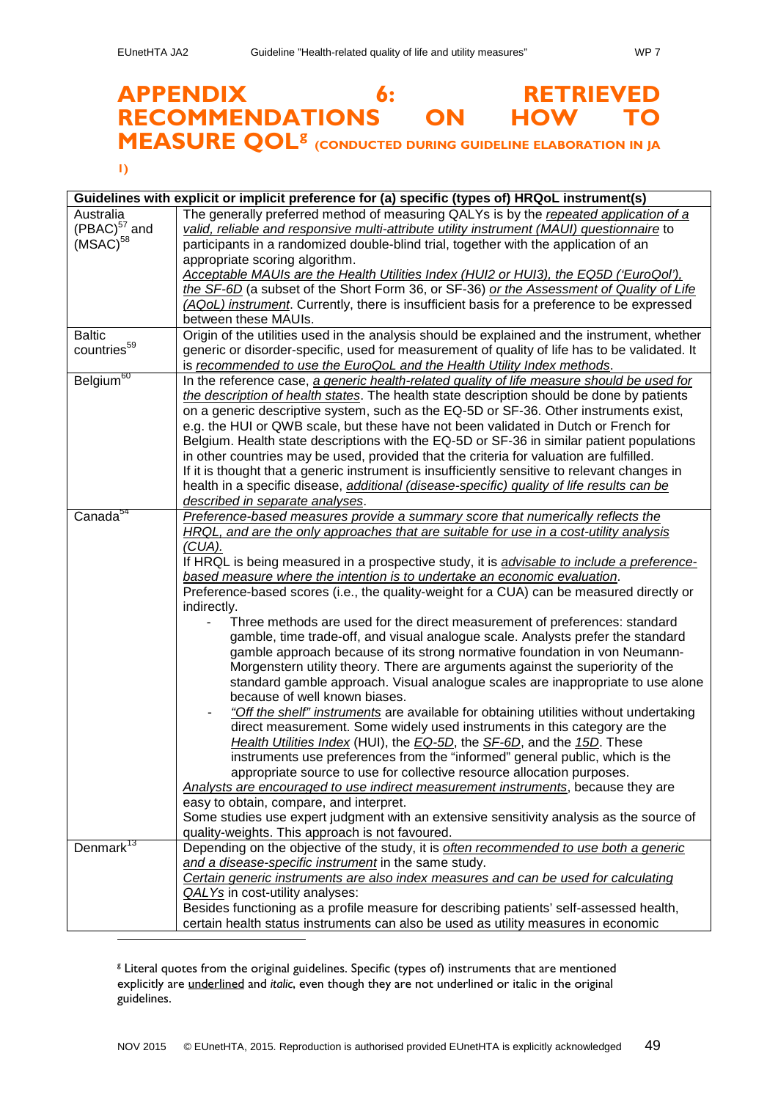# <span id="page-48-0"></span>**APPENDIX 6: RETRIEVED RECOMMENDATIONS ON HOW TO MEASURE QOL[g](#page-48-1) (CONDUCTED DURING GUIDELINE ELABORATION IN JA**

### **1)**

| Guidelines with explicit or implicit preference for (a) specific (types of) HRQoL instrument(s) |                                                                                                                                                                                                                                                                                                                                                                                                                                                                                                                                                                                                                                                                                                                                                                                                                                                                                                                                                                                                                                                                                                                                                                                                                                                                                                                                                                                                                                                                                                                                                                                                                                |
|-------------------------------------------------------------------------------------------------|--------------------------------------------------------------------------------------------------------------------------------------------------------------------------------------------------------------------------------------------------------------------------------------------------------------------------------------------------------------------------------------------------------------------------------------------------------------------------------------------------------------------------------------------------------------------------------------------------------------------------------------------------------------------------------------------------------------------------------------------------------------------------------------------------------------------------------------------------------------------------------------------------------------------------------------------------------------------------------------------------------------------------------------------------------------------------------------------------------------------------------------------------------------------------------------------------------------------------------------------------------------------------------------------------------------------------------------------------------------------------------------------------------------------------------------------------------------------------------------------------------------------------------------------------------------------------------------------------------------------------------|
| Australia<br>$(PBAC)^{57}$ and<br>(MSAC) <sup>58</sup>                                          | The generally preferred method of measuring QALYs is by the repeated application of a<br>valid, reliable and responsive multi-attribute utility instrument (MAUI) questionnaire to<br>participants in a randomized double-blind trial, together with the application of an<br>appropriate scoring algorithm.<br>Acceptable MAUIs are the Health Utilities Index (HUI2 or HUI3), the EQ5D ('EuroQol'),<br>the SF-6D (a subset of the Short Form 36, or SF-36) or the Assessment of Quality of Life<br>(AQoL) instrument. Currently, there is insufficient basis for a preference to be expressed<br>between these MAUIs.                                                                                                                                                                                                                                                                                                                                                                                                                                                                                                                                                                                                                                                                                                                                                                                                                                                                                                                                                                                                        |
| <b>Baltic</b><br>countries <sup>59</sup>                                                        | Origin of the utilities used in the analysis should be explained and the instrument, whether<br>generic or disorder-specific, used for measurement of quality of life has to be validated. It<br>is recommended to use the EuroQoL and the Health Utility Index methods.                                                                                                                                                                                                                                                                                                                                                                                                                                                                                                                                                                                                                                                                                                                                                                                                                                                                                                                                                                                                                                                                                                                                                                                                                                                                                                                                                       |
| Belgium <sup>60</sup>                                                                           | In the reference case, a generic health-related quality of life measure should be used for<br>the description of health states. The health state description should be done by patients<br>on a generic descriptive system, such as the EQ-5D or SF-36. Other instruments exist,<br>e.g. the HUI or QWB scale, but these have not been validated in Dutch or French for<br>Belgium. Health state descriptions with the EQ-5D or SF-36 in similar patient populations<br>in other countries may be used, provided that the criteria for valuation are fulfilled.<br>If it is thought that a generic instrument is insufficiently sensitive to relevant changes in<br>health in a specific disease, additional (disease-specific) quality of life results can be<br>described in separate analyses.                                                                                                                                                                                                                                                                                                                                                                                                                                                                                                                                                                                                                                                                                                                                                                                                                              |
| Canada <sup>54</sup>                                                                            | Preference-based measures provide a summary score that numerically reflects the<br>HRQL, and are the only approaches that are suitable for use in a cost-utility analysis<br>(CUA).<br>If HRQL is being measured in a prospective study, it is <i>advisable to include a preference-</i><br>based measure where the intention is to undertake an economic evaluation.<br>Preference-based scores (i.e., the quality-weight for a CUA) can be measured directly or<br>indirectly.<br>Three methods are used for the direct measurement of preferences: standard<br>gamble, time trade-off, and visual analogue scale. Analysts prefer the standard<br>gamble approach because of its strong normative foundation in von Neumann-<br>Morgenstern utility theory. There are arguments against the superiority of the<br>standard gamble approach. Visual analogue scales are inappropriate to use alone<br>because of well known biases.<br>"Off the shelf" instruments are available for obtaining utilities without undertaking<br>direct measurement. Some widely used instruments in this category are the<br>Health Utilities Index (HUI), the EQ-5D, the SF-6D, and the 15D. These<br>instruments use preferences from the "informed" general public, which is the<br>appropriate source to use for collective resource allocation purposes.<br>Analysts are encouraged to use indirect measurement instruments, because they are<br>easy to obtain, compare, and interpret.<br>Some studies use expert judgment with an extensive sensitivity analysis as the source of<br>quality-weights. This approach is not favoured. |
| Denmark <sup>13</sup>                                                                           | Depending on the objective of the study, it is often recommended to use both a generic<br>and a disease-specific instrument in the same study.<br>Certain generic instruments are also index measures and can be used for calculating<br>QALYs in cost-utility analyses:<br>Besides functioning as a profile measure for describing patients' self-assessed health,<br>certain health status instruments can also be used as utility measures in economic                                                                                                                                                                                                                                                                                                                                                                                                                                                                                                                                                                                                                                                                                                                                                                                                                                                                                                                                                                                                                                                                                                                                                                      |
|                                                                                                 |                                                                                                                                                                                                                                                                                                                                                                                                                                                                                                                                                                                                                                                                                                                                                                                                                                                                                                                                                                                                                                                                                                                                                                                                                                                                                                                                                                                                                                                                                                                                                                                                                                |

<span id="page-48-1"></span><sup>&</sup>lt;sup>8</sup> Literal quotes from the original guidelines. Specific (types of) instruments that are mentioned explicitly are underlined and *italic*, even though they are not underlined or italic in the original guidelines.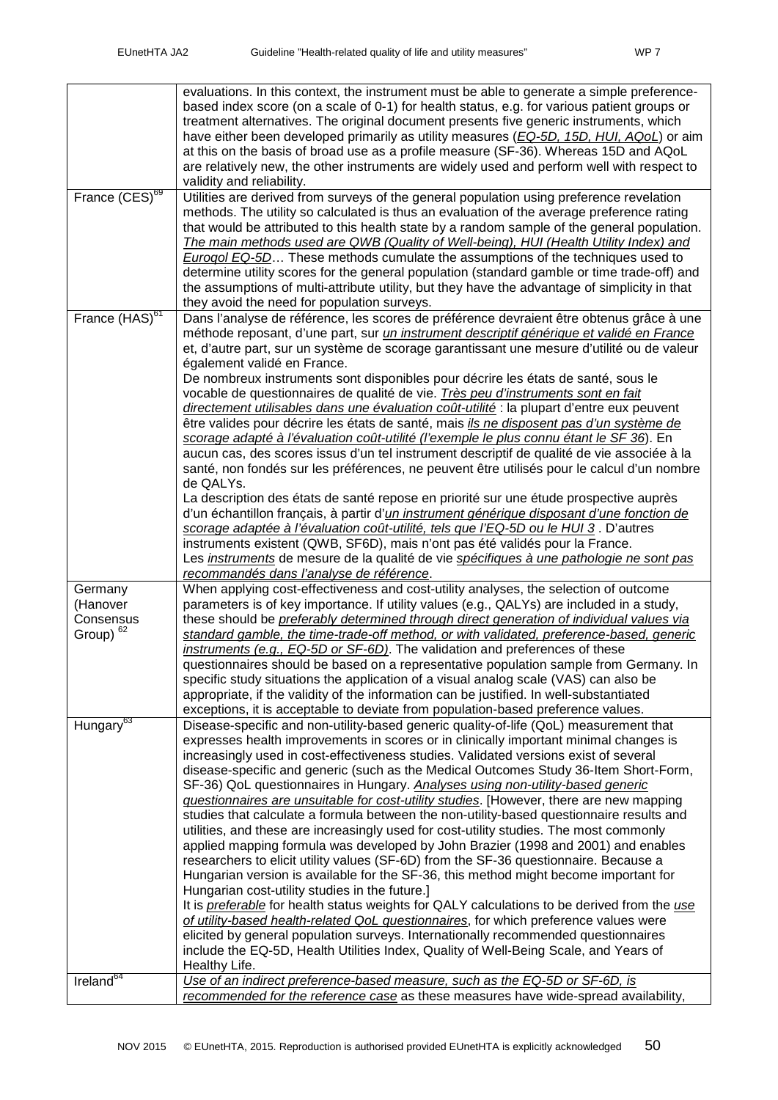|                                                          | evaluations. In this context, the instrument must be able to generate a simple preference-<br>based index score (on a scale of 0-1) for health status, e.g. for various patient groups or<br>treatment alternatives. The original document presents five generic instruments, which<br>have either been developed primarily as utility measures (EQ-5D, 15D, HUI, AQoL) or aim<br>at this on the basis of broad use as a profile measure (SF-36). Whereas 15D and AQoL<br>are relatively new, the other instruments are widely used and perform well with respect to<br>validity and reliability.                                                                                                                                                                                                                                                                                                                                                                                                                                                                                                                                                                                                                                                                                                                                                                                                                                                                                                                              |
|----------------------------------------------------------|--------------------------------------------------------------------------------------------------------------------------------------------------------------------------------------------------------------------------------------------------------------------------------------------------------------------------------------------------------------------------------------------------------------------------------------------------------------------------------------------------------------------------------------------------------------------------------------------------------------------------------------------------------------------------------------------------------------------------------------------------------------------------------------------------------------------------------------------------------------------------------------------------------------------------------------------------------------------------------------------------------------------------------------------------------------------------------------------------------------------------------------------------------------------------------------------------------------------------------------------------------------------------------------------------------------------------------------------------------------------------------------------------------------------------------------------------------------------------------------------------------------------------------|
| France (CES) <sup>69</sup>                               | Utilities are derived from surveys of the general population using preference revelation<br>methods. The utility so calculated is thus an evaluation of the average preference rating<br>that would be attributed to this health state by a random sample of the general population.<br>The main methods used are QWB (Quality of Well-being), HUI (Health Utility Index) and<br><b>Eurogol EQ-5D</b> These methods cumulate the assumptions of the techniques used to<br>determine utility scores for the general population (standard gamble or time trade-off) and<br>the assumptions of multi-attribute utility, but they have the advantage of simplicity in that<br>they avoid the need for population surveys.                                                                                                                                                                                                                                                                                                                                                                                                                                                                                                                                                                                                                                                                                                                                                                                                          |
| France (HAS) <sup>61</sup>                               | Dans l'analyse de référence, les scores de préférence devraient être obtenus grâce à une<br>méthode reposant, d'une part, sur <i>un instrument descriptif générique et validé en France</i><br>et, d'autre part, sur un système de scorage garantissant une mesure d'utilité ou de valeur<br>également validé en France.<br>De nombreux instruments sont disponibles pour décrire les états de santé, sous le<br>vocable de questionnaires de qualité de vie. Très peu d'instruments sont en fait<br>directement utilisables dans une évaluation coût-utilité : la plupart d'entre eux peuvent<br>être valides pour décrire les états de santé, mais <i>ils ne disposent pas d'un système de</i><br>scorage adapté à l'évaluation coût-utilité (l'exemple le plus connu étant le SF 36). En<br>aucun cas, des scores issus d'un tel instrument descriptif de qualité de vie associée à la<br>santé, non fondés sur les préférences, ne peuvent être utilisés pour le calcul d'un nombre<br>de QALYs.<br>La description des états de santé repose en priorité sur une étude prospective auprès<br>d'un échantillon français, à partir d' <i>un instrument générique disposant d'une fonction de</i><br>scorage adaptée à l'évaluation coût-utilité, tels que l'EQ-5D ou le HUI 3. D'autres<br>instruments existent (QWB, SF6D), mais n'ont pas été validés pour la France.<br>Les <i>instruments</i> de mesure de la qualité de vie <i>spécifiques à une pathologie ne sont pas</i><br>recommandés dans l'analyse de référence. |
| Germany<br>(Hanover<br>Consensus<br>Group) <sup>62</sup> | When applying cost-effectiveness and cost-utility analyses, the selection of outcome<br>parameters is of key importance. If utility values (e.g., QALYs) are included in a study,<br>these should be preferably determined through direct generation of individual values via<br>standard gamble, the time-trade-off method, or with validated, preference-based, generic<br>instruments (e.g., EQ-5D or SF-6D). The validation and preferences of these<br>questionnaires should be based on a representative population sample from Germany. In<br>specific study situations the application of a visual analog scale (VAS) can also be<br>appropriate, if the validity of the information can be justified. In well-substantiated<br>exceptions, it is acceptable to deviate from population-based preference values.                                                                                                                                                                                                                                                                                                                                                                                                                                                                                                                                                                                                                                                                                                       |
| Hungary <sup>63</sup>                                    | Disease-specific and non-utility-based generic quality-of-life (QoL) measurement that<br>expresses health improvements in scores or in clinically important minimal changes is<br>increasingly used in cost-effectiveness studies. Validated versions exist of several<br>disease-specific and generic (such as the Medical Outcomes Study 36-Item Short-Form,<br>SF-36) QoL questionnaires in Hungary. Analyses using non-utility-based generic<br>guestionnaires are unsuitable for cost-utility studies. [However, there are new mapping<br>studies that calculate a formula between the non-utility-based questionnaire results and<br>utilities, and these are increasingly used for cost-utility studies. The most commonly<br>applied mapping formula was developed by John Brazier (1998 and 2001) and enables<br>researchers to elicit utility values (SF-6D) from the SF-36 questionnaire. Because a<br>Hungarian version is available for the SF-36, this method might become important for<br>Hungarian cost-utility studies in the future.]<br>It is <i>preferable</i> for health status weights for QALY calculations to be derived from the use<br>of utility-based health-related QoL questionnaires, for which preference values were<br>elicited by general population surveys. Internationally recommended questionnaires<br>include the EQ-5D, Health Utilities Index, Quality of Well-Being Scale, and Years of<br>Healthy Life.                                                                          |
| Ireland <sup>64</sup>                                    | Use of an indirect preference-based measure, such as the EQ-5D or SF-6D, is<br>recommended for the reference case as these measures have wide-spread availability,                                                                                                                                                                                                                                                                                                                                                                                                                                                                                                                                                                                                                                                                                                                                                                                                                                                                                                                                                                                                                                                                                                                                                                                                                                                                                                                                                             |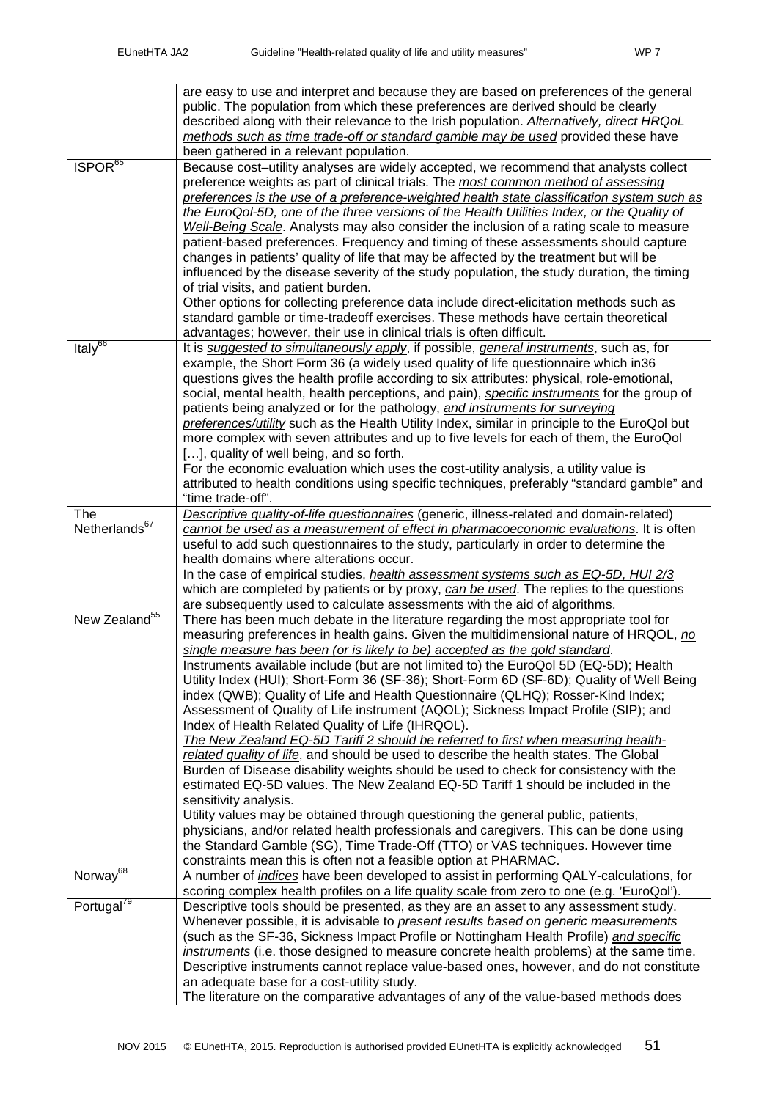|                           | are easy to use and interpret and because they are based on preferences of the general<br>public. The population from which these preferences are derived should be clearly<br>described along with their relevance to the Irish population. Alternatively, direct HRQoL<br>methods such as time trade-off or standard gamble may be used provided these have<br>been gathered in a relevant population.                                                                                                                                                                                                                                                                                                                                                                                                                                                                                                                                                                                                                                                                                                                                                                                                                                                                                                                                                                                                  |
|---------------------------|-----------------------------------------------------------------------------------------------------------------------------------------------------------------------------------------------------------------------------------------------------------------------------------------------------------------------------------------------------------------------------------------------------------------------------------------------------------------------------------------------------------------------------------------------------------------------------------------------------------------------------------------------------------------------------------------------------------------------------------------------------------------------------------------------------------------------------------------------------------------------------------------------------------------------------------------------------------------------------------------------------------------------------------------------------------------------------------------------------------------------------------------------------------------------------------------------------------------------------------------------------------------------------------------------------------------------------------------------------------------------------------------------------------|
| ISPOR <sup>65</sup>       | Because cost-utility analyses are widely accepted, we recommend that analysts collect<br>preference weights as part of clinical trials. The most common method of assessing<br>preferences is the use of a preference-weighted health state classification system such as<br>the EuroQol-5D, one of the three versions of the Health Utilities Index, or the Quality of<br>Well-Being Scale. Analysts may also consider the inclusion of a rating scale to measure<br>patient-based preferences. Frequency and timing of these assessments should capture<br>changes in patients' quality of life that may be affected by the treatment but will be<br>influenced by the disease severity of the study population, the study duration, the timing<br>of trial visits, and patient burden.<br>Other options for collecting preference data include direct-elicitation methods such as<br>standard gamble or time-tradeoff exercises. These methods have certain theoretical                                                                                                                                                                                                                                                                                                                                                                                                                                |
|                           | advantages; however, their use in clinical trials is often difficult.                                                                                                                                                                                                                                                                                                                                                                                                                                                                                                                                                                                                                                                                                                                                                                                                                                                                                                                                                                                                                                                                                                                                                                                                                                                                                                                                     |
| Italy <sup>66</sup>       | It is suggested to simultaneously apply, if possible, general instruments, such as, for<br>example, the Short Form 36 (a widely used quality of life questionnaire which in 36<br>questions gives the health profile according to six attributes: physical, role-emotional,<br>social, mental health, health perceptions, and pain), specific instruments for the group of<br>patients being analyzed or for the pathology, and instruments for surveying<br>preferences/utility such as the Health Utility Index, similar in principle to the EuroQol but<br>more complex with seven attributes and up to five levels for each of them, the EuroQol<br>[], quality of well being, and so forth.<br>For the economic evaluation which uses the cost-utility analysis, a utility value is<br>attributed to health conditions using specific techniques, preferably "standard gamble" and                                                                                                                                                                                                                                                                                                                                                                                                                                                                                                                   |
| <b>The</b>                | "time trade-off".<br>Descriptive quality-of-life questionnaires (generic, illness-related and domain-related)                                                                                                                                                                                                                                                                                                                                                                                                                                                                                                                                                                                                                                                                                                                                                                                                                                                                                                                                                                                                                                                                                                                                                                                                                                                                                             |
| Netherlands <sup>67</sup> | cannot be used as a measurement of effect in pharmacoeconomic evaluations. It is often<br>useful to add such questionnaires to the study, particularly in order to determine the<br>health domains where alterations occur.<br>In the case of empirical studies, <i>health assessment systems such as EQ-5D, HUI 2/3</i><br>which are completed by patients or by proxy, can be used. The replies to the questions                                                                                                                                                                                                                                                                                                                                                                                                                                                                                                                                                                                                                                                                                                                                                                                                                                                                                                                                                                                        |
|                           | are subsequently used to calculate assessments with the aid of algorithms.                                                                                                                                                                                                                                                                                                                                                                                                                                                                                                                                                                                                                                                                                                                                                                                                                                                                                                                                                                                                                                                                                                                                                                                                                                                                                                                                |
| New Zealand <sup>55</sup> | There has been much debate in the literature regarding the most appropriate tool for<br>measuring preferences in health gains. Given the multidimensional nature of HRQOL, no<br>single measure has been (or is likely to be) accepted as the gold standard.<br>Instruments available include (but are not limited to) the EuroQol 5D (EQ-5D); Health<br>Utility Index (HUI); Short-Form 36 (SF-36); Short-Form 6D (SF-6D); Quality of Well Being<br>index (QWB); Quality of Life and Health Questionnaire (QLHQ); Rosser-Kind Index;<br>Assessment of Quality of Life instrument (AQOL); Sickness Impact Profile (SIP); and<br>Index of Health Related Quality of Life (IHRQOL).<br>The New Zealand EQ-5D Tariff 2 should be referred to first when measuring health-<br>related quality of life, and should be used to describe the health states. The Global<br>Burden of Disease disability weights should be used to check for consistency with the<br>estimated EQ-5D values. The New Zealand EQ-5D Tariff 1 should be included in the<br>sensitivity analysis.<br>Utility values may be obtained through questioning the general public, patients,<br>physicians, and/or related health professionals and caregivers. This can be done using<br>the Standard Gamble (SG), Time Trade-Off (TTO) or VAS techniques. However time<br>constraints mean this is often not a feasible option at PHARMAC. |
| Norway <sup>68</sup>      | A number of <i>indices</i> have been developed to assist in performing QALY-calculations, for                                                                                                                                                                                                                                                                                                                                                                                                                                                                                                                                                                                                                                                                                                                                                                                                                                                                                                                                                                                                                                                                                                                                                                                                                                                                                                             |
| Portugal <sup>79</sup>    | scoring complex health profiles on a life quality scale from zero to one (e.g. 'EuroQol').<br>Descriptive tools should be presented, as they are an asset to any assessment study.<br>Whenever possible, it is advisable to present results based on generic measurements<br>(such as the SF-36, Sickness Impact Profile or Nottingham Health Profile) and specific<br>instruments (i.e. those designed to measure concrete health problems) at the same time.<br>Descriptive instruments cannot replace value-based ones, however, and do not constitute<br>an adequate base for a cost-utility study.<br>The literature on the comparative advantages of any of the value-based methods does                                                                                                                                                                                                                                                                                                                                                                                                                                                                                                                                                                                                                                                                                                            |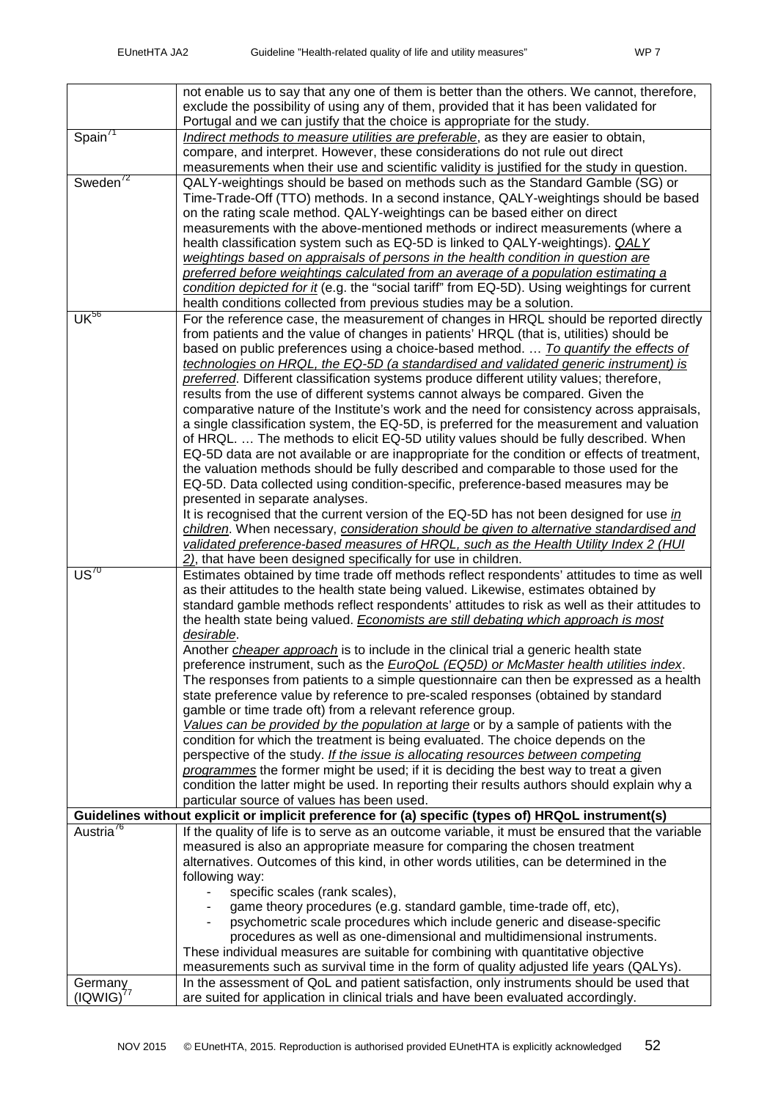|                               | not enable us to say that any one of them is better than the others. We cannot, therefore,                                                                                           |
|-------------------------------|--------------------------------------------------------------------------------------------------------------------------------------------------------------------------------------|
|                               | exclude the possibility of using any of them, provided that it has been validated for                                                                                                |
|                               | Portugal and we can justify that the choice is appropriate for the study.                                                                                                            |
| Span <sup>71</sup>            | Indirect methods to measure utilities are preferable, as they are easier to obtain,                                                                                                  |
|                               | compare, and interpret. However, these considerations do not rule out direct                                                                                                         |
|                               | measurements when their use and scientific validity is justified for the study in question.                                                                                          |
| Sweden <sup>'2</sup>          | QALY-weightings should be based on methods such as the Standard Gamble (SG) or                                                                                                       |
|                               | Time-Trade-Off (TTO) methods. In a second instance, QALY-weightings should be based                                                                                                  |
|                               | on the rating scale method. QALY-weightings can be based either on direct                                                                                                            |
|                               | measurements with the above-mentioned methods or indirect measurements (where a                                                                                                      |
|                               | health classification system such as EQ-5D is linked to QALY-weightings). <i>QALY</i>                                                                                                |
|                               | weightings based on appraisals of persons in the health condition in question are                                                                                                    |
|                               | preferred before weightings calculated from an average of a population estimating a                                                                                                  |
|                               | condition depicted for it (e.g. the "social tariff" from EQ-5D). Using weightings for current                                                                                        |
|                               | health conditions collected from previous studies may be a solution.                                                                                                                 |
| $\overline{\mathsf{UK}^{56}}$ | For the reference case, the measurement of changes in HRQL should be reported directly                                                                                               |
|                               | from patients and the value of changes in patients' HRQL (that is, utilities) should be                                                                                              |
|                               | based on public preferences using a choice-based method.  To quantify the effects of                                                                                                 |
|                               | technologies on HRQL, the EQ-5D (a standardised and validated generic instrument) is                                                                                                 |
|                               | preferred. Different classification systems produce different utility values; therefore,                                                                                             |
|                               | results from the use of different systems cannot always be compared. Given the                                                                                                       |
|                               | comparative nature of the Institute's work and the need for consistency across appraisals,                                                                                           |
|                               | a single classification system, the EQ-5D, is preferred for the measurement and valuation                                                                                            |
|                               | of HRQL The methods to elicit EQ-5D utility values should be fully described. When                                                                                                   |
|                               | EQ-5D data are not available or are inappropriate for the condition or effects of treatment,                                                                                         |
|                               | the valuation methods should be fully described and comparable to those used for the                                                                                                 |
|                               | EQ-5D. Data collected using condition-specific, preference-based measures may be                                                                                                     |
|                               | presented in separate analyses.                                                                                                                                                      |
|                               | It is recognised that the current version of the EQ-5D has not been designed for use in                                                                                              |
|                               | children. When necessary, consideration should be given to alternative standardised and                                                                                              |
|                               | validated preference-based measures of HRQL, such as the Health Utility Index 2 (HUI                                                                                                 |
| $\overline{US}^{70}$          | 2), that have been designed specifically for use in children.                                                                                                                        |
|                               | Estimates obtained by time trade off methods reflect respondents' attitudes to time as well                                                                                          |
|                               | as their attitudes to the health state being valued. Likewise, estimates obtained by<br>standard gamble methods reflect respondents' attitudes to risk as well as their attitudes to |
|                               | the health state being valued. Economists are still debating which approach is most                                                                                                  |
|                               | desirable.                                                                                                                                                                           |
|                               | Another <i>cheaper approach</i> is to include in the clinical trial a generic health state                                                                                           |
|                               | preference instrument, such as the <b>EuroQoL</b> (EQ5D) or McMaster health utilities index.                                                                                         |
|                               | The responses from patients to a simple questionnaire can then be expressed as a health                                                                                              |
|                               | state preference value by reference to pre-scaled responses (obtained by standard                                                                                                    |
|                               | gamble or time trade oft) from a relevant reference group.                                                                                                                           |
|                               | Values can be provided by the population at large or by a sample of patients with the                                                                                                |
|                               | condition for which the treatment is being evaluated. The choice depends on the                                                                                                      |
|                               | perspective of the study. If the issue is allocating resources between competing                                                                                                     |
|                               | programmes the former might be used; if it is deciding the best way to treat a given                                                                                                 |
|                               | condition the latter might be used. In reporting their results authors should explain why a                                                                                          |
|                               | particular source of values has been used.                                                                                                                                           |
|                               | Guidelines without explicit or implicit preference for (a) specific (types of) HRQoL instrument(s)                                                                                   |
| Austria <sup>76</sup>         | If the quality of life is to serve as an outcome variable, it must be ensured that the variable                                                                                      |
|                               | measured is also an appropriate measure for comparing the chosen treatment                                                                                                           |
|                               | alternatives. Outcomes of this kind, in other words utilities, can be determined in the                                                                                              |
|                               | following way:                                                                                                                                                                       |
|                               | specific scales (rank scales),                                                                                                                                                       |
|                               | game theory procedures (e.g. standard gamble, time-trade off, etc),                                                                                                                  |
|                               | psychometric scale procedures which include generic and disease-specific                                                                                                             |
|                               | procedures as well as one-dimensional and multidimensional instruments.                                                                                                              |
|                               | These individual measures are suitable for combining with quantitative objective                                                                                                     |
|                               | measurements such as survival time in the form of quality adjusted life years (QALYs).                                                                                               |
| Germany                       | In the assessment of QoL and patient satisfaction, only instruments should be used that                                                                                              |
| <u>(IQ</u> WIG) <sup>77</sup> | are suited for application in clinical trials and have been evaluated accordingly.                                                                                                   |